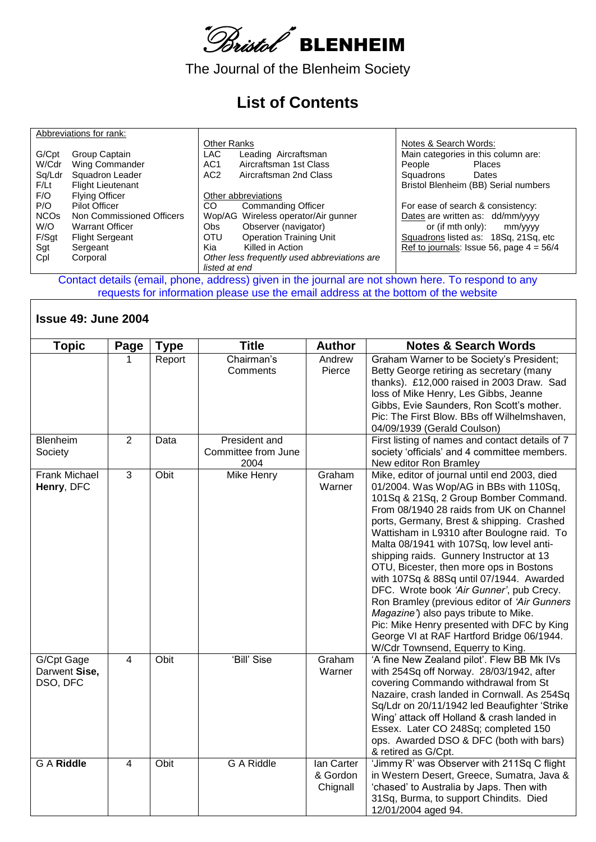

The Journal of the Blenheim Society

## **List of Contents**

|                        | Abbreviations for rank:   |                                              |                                            |
|------------------------|---------------------------|----------------------------------------------|--------------------------------------------|
|                        |                           | <b>Other Ranks</b>                           | Notes & Search Words:                      |
| G/Cpt                  | Group Captain             | <b>LAC</b><br>Leading Aircraftsman           | Main categories in this column are:        |
| W/Cdr                  | Wing Commander            | AC <sub>1</sub><br>Aircraftsman 1st Class    | People<br>Places                           |
| Sq/Ldr                 | Squadron Leader           | AC <sub>2</sub><br>Aircraftsman 2nd Class    | Squadrons<br>Dates                         |
| F/Lt                   | <b>Flight Lieutenant</b>  |                                              | Bristol Blenheim (BB) Serial numbers       |
| F/O                    | <b>Flying Officer</b>     | Other abbreviations                          |                                            |
| P/O                    | Pilot Officer             | CO.<br><b>Commanding Officer</b>             | For ease of search & consistency:          |
| <b>NCO<sub>s</sub></b> | Non Commissioned Officers | Wop/AG Wireless operator/Air gunner          | Dates are written as: dd/mm/yyyy           |
| W/O                    | <b>Warrant Officer</b>    | Observer (navigator)<br>Obs.                 | or (if mth only):<br>mm/vyyy               |
| F/Sgt                  | <b>Flight Sergeant</b>    | <b>Operation Training Unit</b><br>OTU        | Squadrons listed as: 18Sq, 21Sq, etc       |
| Sgt                    | Sergeant                  | Killed in Action<br>Kia                      | Ref to journals: Issue 56, page $4 = 56/4$ |
| Cpl                    | Corporal                  | Other less frequently used abbreviations are |                                            |
|                        |                           | listed at end                                |                                            |

Contact details (email, phone, address) given in the journal are not shown here. To respond to any requests for information please use the email address at the bottom of the website

## **Issue 49: June 2004**

| <b>Topic</b>                            | Page           | <b>Type</b> | <b>Title</b>                                 | <b>Author</b>                      | <b>Notes &amp; Search Words</b>                                                                                                                                                                                                                                                                                                                                                                                                                                                                                                                                                                                                                                                                                            |
|-----------------------------------------|----------------|-------------|----------------------------------------------|------------------------------------|----------------------------------------------------------------------------------------------------------------------------------------------------------------------------------------------------------------------------------------------------------------------------------------------------------------------------------------------------------------------------------------------------------------------------------------------------------------------------------------------------------------------------------------------------------------------------------------------------------------------------------------------------------------------------------------------------------------------------|
|                                         |                | Report      | Chairman's<br>Comments                       | Andrew<br>Pierce                   | Graham Warner to be Society's President;<br>Betty George retiring as secretary (many<br>thanks). £12,000 raised in 2003 Draw. Sad<br>loss of Mike Henry, Les Gibbs, Jeanne<br>Gibbs, Evie Saunders, Ron Scott's mother.<br>Pic: The First Blow. BBs off Wilhelmshaven,<br>04/09/1939 (Gerald Coulson)                                                                                                                                                                                                                                                                                                                                                                                                                      |
| Blenheim<br>Society                     | $\overline{2}$ | Data        | President and<br>Committee from June<br>2004 |                                    | First listing of names and contact details of 7<br>society 'officials' and 4 committee members.<br>New editor Ron Bramley                                                                                                                                                                                                                                                                                                                                                                                                                                                                                                                                                                                                  |
| <b>Frank Michael</b><br>Henry, DFC      | 3              | Obit        | Mike Henry                                   | Graham<br>Warner                   | Mike, editor of journal until end 2003, died<br>01/2004. Was Wop/AG in BBs with 110Sq,<br>101Sq & 21Sq, 2 Group Bomber Command.<br>From 08/1940 28 raids from UK on Channel<br>ports, Germany, Brest & shipping. Crashed<br>Wattisham in L9310 after Boulogne raid. To<br>Malta 08/1941 with 107Sq, low level anti-<br>shipping raids. Gunnery Instructor at 13<br>OTU, Bicester, then more ops in Bostons<br>with 107Sq & 88Sq until 07/1944. Awarded<br>DFC. Wrote book 'Air Gunner', pub Crecy.<br>Ron Bramley (previous editor of 'Air Gunners<br>Magazine') also pays tribute to Mike.<br>Pic: Mike Henry presented with DFC by King<br>George VI at RAF Hartford Bridge 06/1944.<br>W/Cdr Townsend, Equerry to King. |
| G/Cpt Gage<br>Darwent Sise,<br>DSO, DFC | 4              | Obit        | 'Bill' Sise                                  | Graham<br>Warner                   | 'A fine New Zealand pilot'. Flew BB Mk IVs<br>with 254Sq off Norway. 28/03/1942, after<br>covering Commando withdrawal from St<br>Nazaire, crash landed in Cornwall. As 254Sq<br>Sq/Ldr on 20/11/1942 led Beaufighter 'Strike<br>Wing' attack off Holland & crash landed in<br>Essex. Later CO 248Sq; completed 150<br>ops. Awarded DSO & DFC (both with bars)<br>& retired as G/Cpt.                                                                                                                                                                                                                                                                                                                                      |
| <b>G A Riddle</b>                       | 4              | Obit        | <b>G A Riddle</b>                            | lan Carter<br>& Gordon<br>Chignall | 'Jimmy R' was Observer with 211Sq C flight<br>in Western Desert, Greece, Sumatra, Java &<br>'chased' to Australia by Japs. Then with<br>31Sq, Burma, to support Chindits. Died<br>12/01/2004 aged 94.                                                                                                                                                                                                                                                                                                                                                                                                                                                                                                                      |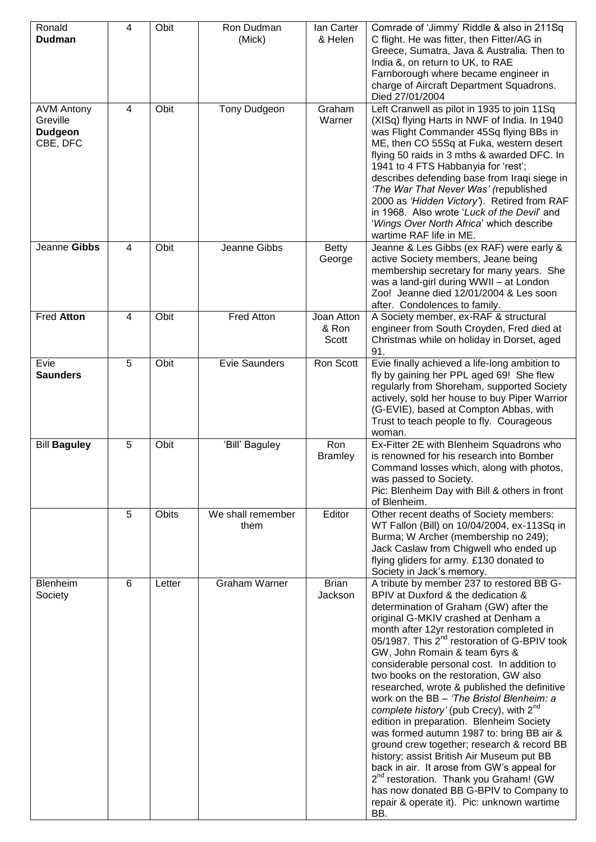| Ronald<br><b>Dudman</b>                                     | $\overline{4}$ | Obit   | Ron Dudman<br>(Mick)      | lan Carter<br>& Helen        | Comrade of 'Jimmy' Riddle & also in 211Sq<br>C flight. He was fitter, then Fitter/AG in<br>Greece, Sumatra, Java & Australia. Then to<br>India &, on return to UK, to RAE<br>Farnborough where became engineer in<br>charge of Aircraft Department Squadrons.<br>Died 27/01/2004                                                                                                                                                                                                                                                                                                                                                                                                                                                                                                                                                                                                                                                              |
|-------------------------------------------------------------|----------------|--------|---------------------------|------------------------------|-----------------------------------------------------------------------------------------------------------------------------------------------------------------------------------------------------------------------------------------------------------------------------------------------------------------------------------------------------------------------------------------------------------------------------------------------------------------------------------------------------------------------------------------------------------------------------------------------------------------------------------------------------------------------------------------------------------------------------------------------------------------------------------------------------------------------------------------------------------------------------------------------------------------------------------------------|
| <b>AVM Antony</b><br>Greville<br><b>Dudgeon</b><br>CBE, DFC | 4              | Obit   | Tony Dudgeon              | Graham<br>Warner             | Left Cranwell as pilot in 1935 to join 11Sq<br>(XISq) flying Harts in NWF of India. In 1940<br>was Flight Commander 45Sq flying BBs in<br>ME, then CO 55Sq at Fuka, western desert<br>flying 50 raids in 3 mths & awarded DFC. In<br>1941 to 4 FTS Habbanyia for 'rest';<br>describes defending base from Iraqi siege in<br>'The War That Never Was' (republished<br>2000 as 'Hidden Victory'). Retired from RAF<br>in 1968. Also wrote 'Luck of the Devil' and<br>'Wings Over North Africa' which describe<br>wartime RAF life in ME.                                                                                                                                                                                                                                                                                                                                                                                                        |
| Jeanne Gibbs                                                | 4              | Obit   | Jeanne Gibbs              | <b>Betty</b><br>George       | Jeanne & Les Gibbs (ex RAF) were early &<br>active Society members, Jeane being<br>membership secretary for many years. She<br>was a land-girl during WWII - at London<br>Zoo! Jeanne died 12/01/2004 & Les soon<br>after. Condolences to family.                                                                                                                                                                                                                                                                                                                                                                                                                                                                                                                                                                                                                                                                                             |
| Fred Atton                                                  | $\overline{4}$ | Obit   | Fred Atton                | Joan Atton<br>& Ron<br>Scott | A Society member, ex-RAF & structural<br>engineer from South Croyden, Fred died at<br>Christmas while on holiday in Dorset, aged<br>91.                                                                                                                                                                                                                                                                                                                                                                                                                                                                                                                                                                                                                                                                                                                                                                                                       |
| Evie<br><b>Saunders</b>                                     | 5              | Obit   | <b>Evie Saunders</b>      | Ron Scott                    | Evie finally achieved a life-long ambition to<br>fly by gaining her PPL aged 69! She flew<br>regularly from Shoreham, supported Society<br>actively, sold her house to buy Piper Warrior<br>(G-EVIE), based at Compton Abbas, with<br>Trust to teach people to fly. Courageous<br>woman.                                                                                                                                                                                                                                                                                                                                                                                                                                                                                                                                                                                                                                                      |
| <b>Bill Baguley</b>                                         | 5              | Obit   | 'Bill' Baguley            | Ron<br><b>Bramley</b>        | Ex-Fitter 2E with Blenheim Squadrons who<br>is renowned for his research into Bomber<br>Command losses which, along with photos,<br>was passed to Society.<br>Pic: Blenheim Day with Bill & others in front<br>of Blenheim.                                                                                                                                                                                                                                                                                                                                                                                                                                                                                                                                                                                                                                                                                                                   |
|                                                             | 5              | Obits  | We shall remember<br>them | Editor                       | Other recent deaths of Society members:<br>WT Fallon (Bill) on 10/04/2004, ex-113Sq in<br>Burma; W Archer (membership no 249);<br>Jack Caslaw from Chigwell who ended up<br>flying gliders for army. £130 donated to<br>Society in Jack's memory.                                                                                                                                                                                                                                                                                                                                                                                                                                                                                                                                                                                                                                                                                             |
| Blenheim<br>Society                                         | 6              | Letter | <b>Graham Warner</b>      | <b>Brian</b><br>Jackson      | A tribute by member 237 to restored BB G-<br>BPIV at Duxford & the dedication &<br>determination of Graham (GW) after the<br>original G-MKIV crashed at Denham a<br>month after 12yr restoration completed in<br>05/1987. This 2 <sup>nd</sup> restoration of G-BPIV took<br>GW, John Romain & team 6yrs &<br>considerable personal cost. In addition to<br>two books on the restoration, GW also<br>researched, wrote & published the definitive<br>work on the BB - 'The Bristol Blenheim: a<br>complete history' (pub Crecy), with 2 <sup>nd</sup><br>edition in preparation. Blenheim Society<br>was formed autumn 1987 to: bring BB air &<br>ground crew together; research & record BB<br>history; assist British Air Museum put BB<br>back in air. It arose from GW's appeal for<br>2 <sup>nd</sup> restoration. Thank you Graham! (GW<br>has now donated BB G-BPIV to Company to<br>repair & operate it). Pic: unknown wartime<br>BB. |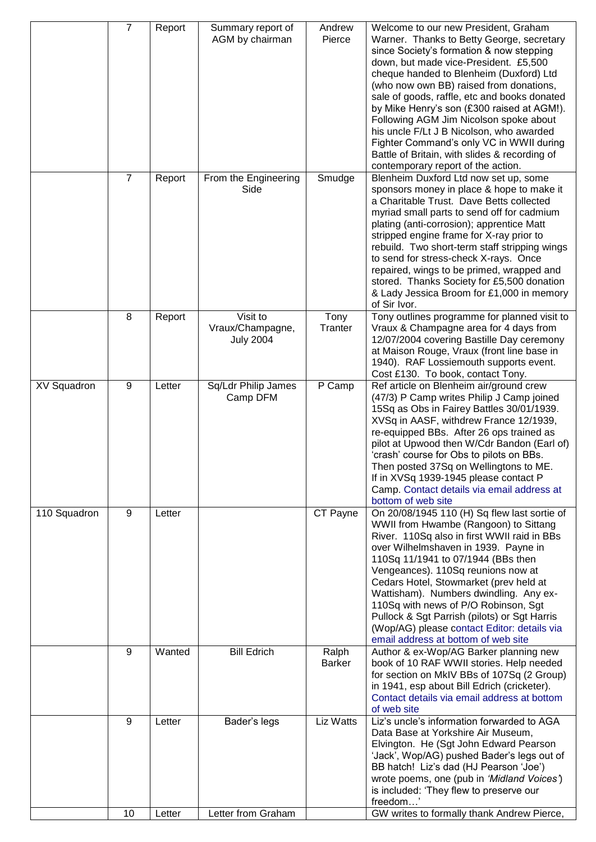|                    | $\overline{7}$ | Report | Summary report of<br>AGM by chairman             | Andrew<br>Pierce       | Welcome to our new President, Graham<br>Warner. Thanks to Betty George, secretary<br>since Society's formation & now stepping<br>down, but made vice-President. £5,500<br>cheque handed to Blenheim (Duxford) Ltd<br>(who now own BB) raised from donations,<br>sale of goods, raffle, etc and books donated<br>by Mike Henry's son (£300 raised at AGM!).<br>Following AGM Jim Nicolson spoke about<br>his uncle F/Lt J B Nicolson, who awarded<br>Fighter Command's only VC in WWII during<br>Battle of Britain, with slides & recording of<br>contemporary report of the action. |
|--------------------|----------------|--------|--------------------------------------------------|------------------------|-------------------------------------------------------------------------------------------------------------------------------------------------------------------------------------------------------------------------------------------------------------------------------------------------------------------------------------------------------------------------------------------------------------------------------------------------------------------------------------------------------------------------------------------------------------------------------------|
|                    | $\overline{7}$ | Report | From the Engineering<br>Side                     | Smudge                 | Blenheim Duxford Ltd now set up, some<br>sponsors money in place & hope to make it<br>a Charitable Trust. Dave Betts collected<br>myriad small parts to send off for cadmium<br>plating (anti-corrosion); apprentice Matt<br>stripped engine frame for X-ray prior to<br>rebuild. Two short-term staff stripping wings<br>to send for stress-check X-rays. Once<br>repaired, wings to be primed, wrapped and<br>stored. Thanks Society for £5,500 donation<br>& Lady Jessica Broom for £1,000 in memory<br>of Sir Ivor.                                                             |
|                    | 8              | Report | Visit to<br>Vraux/Champagne,<br><b>July 2004</b> | Tony<br>Tranter        | Tony outlines programme for planned visit to<br>Vraux & Champagne area for 4 days from<br>12/07/2004 covering Bastille Day ceremony<br>at Maison Rouge, Vraux (front line base in<br>1940). RAF Lossiemouth supports event.<br>Cost £130. To book, contact Tony.                                                                                                                                                                                                                                                                                                                    |
| <b>XV Squadron</b> | 9              | Letter | Sq/Ldr Philip James<br>Camp DFM                  | P Camp                 | Ref article on Blenheim air/ground crew<br>(47/3) P Camp writes Philip J Camp joined<br>15Sq as Obs in Fairey Battles 30/01/1939.<br>XVSq in AASF, withdrew France 12/1939,<br>re-equipped BBs. After 26 ops trained as<br>pilot at Upwood then W/Cdr Bandon (Earl of)<br>'crash' course for Obs to pilots on BBs.<br>Then posted 37Sq on Wellingtons to ME.<br>If in XVSq 1939-1945 please contact P<br>Camp. Contact details via email address at<br>bottom of web site                                                                                                           |
| 110 Squadron       | 9              | Letter |                                                  | CT Payne               | On 20/08/1945 110 (H) Sq flew last sortie of<br>WWII from Hwambe (Rangoon) to Sittang<br>River. 110Sq also in first WWII raid in BBs<br>over Wilhelmshaven in 1939. Payne in<br>110Sq 11/1941 to 07/1944 (BBs then<br>Vengeances). 110Sq reunions now at<br>Cedars Hotel, Stowmarket (prev held at<br>Wattisham). Numbers dwindling. Any ex-<br>110Sq with news of P/O Robinson, Sgt<br>Pullock & Sgt Parrish (pilots) or Sgt Harris<br>(Wop/AG) please contact Editor: details via<br>email address at bottom of web site                                                          |
|                    | 9              | Wanted | <b>Bill Edrich</b>                               | Ralph<br><b>Barker</b> | Author & ex-Wop/AG Barker planning new<br>book of 10 RAF WWII stories. Help needed<br>for section on MkIV BBs of 107Sq (2 Group)<br>in 1941, esp about Bill Edrich (cricketer).<br>Contact details via email address at bottom<br>of web site                                                                                                                                                                                                                                                                                                                                       |
|                    | 9              | Letter | Bader's legs                                     | Liz Watts              | Liz's uncle's information forwarded to AGA<br>Data Base at Yorkshire Air Museum,<br>Elvington. He (Sgt John Edward Pearson<br>'Jack', Wop/AG) pushed Bader's legs out of<br>BB hatch! Liz's dad (HJ Pearson 'Joe')<br>wrote poems, one (pub in 'Midland Voices')<br>is included: 'They flew to preserve our<br>freedom'                                                                                                                                                                                                                                                             |
|                    | 10             | Letter | Letter from Graham                               |                        | GW writes to formally thank Andrew Pierce,                                                                                                                                                                                                                                                                                                                                                                                                                                                                                                                                          |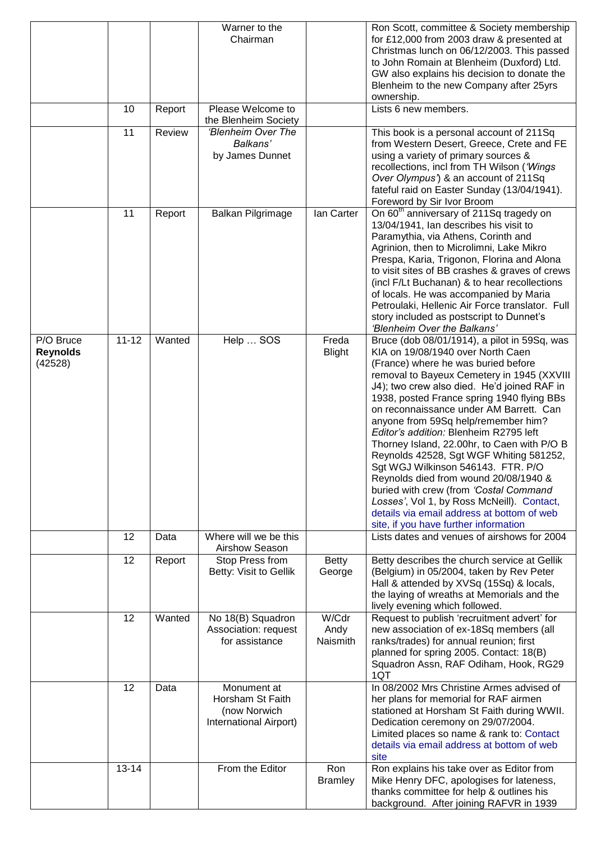|                                         |           |        | Warner to the<br>Chairman                                                 |                           | Ron Scott, committee & Society membership<br>for £12,000 from 2003 draw & presented at<br>Christmas lunch on 06/12/2003. This passed<br>to John Romain at Blenheim (Duxford) Ltd.<br>GW also explains his decision to donate the<br>Blenheim to the new Company after 25yrs<br>ownership.                                                                                                                                                                                                                                                                                                                                                                                                                                                               |
|-----------------------------------------|-----------|--------|---------------------------------------------------------------------------|---------------------------|---------------------------------------------------------------------------------------------------------------------------------------------------------------------------------------------------------------------------------------------------------------------------------------------------------------------------------------------------------------------------------------------------------------------------------------------------------------------------------------------------------------------------------------------------------------------------------------------------------------------------------------------------------------------------------------------------------------------------------------------------------|
|                                         | 10        | Report | Please Welcome to<br>the Blenheim Society                                 |                           | Lists 6 new members.                                                                                                                                                                                                                                                                                                                                                                                                                                                                                                                                                                                                                                                                                                                                    |
|                                         | 11        | Review | 'Blenheim Over The<br>Balkans'<br>by James Dunnet                         |                           | This book is a personal account of 211Sq<br>from Western Desert, Greece, Crete and FE<br>using a variety of primary sources &<br>recollections, incl from TH Wilson ('Wings<br>Over Olympus') & an account of 211Sq<br>fateful raid on Easter Sunday (13/04/1941).<br>Foreword by Sir Ivor Broom                                                                                                                                                                                                                                                                                                                                                                                                                                                        |
|                                         | 11        | Report | Balkan Pilgrimage                                                         | lan Carter                | On 60 <sup>th</sup> anniversary of 211Sq tragedy on<br>13/04/1941, Ian describes his visit to<br>Paramythia, via Athens, Corinth and<br>Agrinion, then to Microlimni, Lake Mikro<br>Prespa, Karia, Trigonon, Florina and Alona<br>to visit sites of BB crashes & graves of crews<br>(incl F/Lt Buchanan) & to hear recollections<br>of locals. He was accompanied by Maria<br>Petroulaki, Hellenic Air Force translator. Full<br>story included as postscript to Dunnet's<br>'Blenheim Over the Balkans'                                                                                                                                                                                                                                                |
| P/O Bruce<br><b>Reynolds</b><br>(42528) | $11 - 12$ | Wanted | Help  SOS                                                                 | Freda<br><b>Blight</b>    | Bruce (dob 08/01/1914), a pilot in 59Sq, was<br>KIA on 19/08/1940 over North Caen<br>(France) where he was buried before<br>removal to Bayeux Cemetery in 1945 (XXVIII<br>J4); two crew also died. He'd joined RAF in<br>1938, posted France spring 1940 flying BBs<br>on reconnaissance under AM Barrett. Can<br>anyone from 59Sq help/remember him?<br>Editor's addition: Blenheim R2795 left<br>Thorney Island, 22.00hr, to Caen with P/O B<br>Reynolds 42528, Sgt WGF Whiting 581252,<br>Sgt WGJ Wilkinson 546143. FTR. P/O<br>Reynolds died from wound 20/08/1940 &<br>buried with crew (from 'Costal Command<br>Losses', Vol 1, by Ross McNeill). Contact,<br>details via email address at bottom of web<br>site, if you have further information |
|                                         | 12        | Data   | Where will we be this<br>Airshow Season                                   |                           | Lists dates and venues of airshows for 2004                                                                                                                                                                                                                                                                                                                                                                                                                                                                                                                                                                                                                                                                                                             |
|                                         | 12        | Report | Stop Press from<br>Betty: Visit to Gellik                                 | Betty<br>George           | Betty describes the church service at Gellik<br>(Belgium) in 05/2004, taken by Rev Peter<br>Hall & attended by XVSq (15Sq) & locals,<br>the laying of wreaths at Memorials and the<br>lively evening which followed.                                                                                                                                                                                                                                                                                                                                                                                                                                                                                                                                    |
|                                         | 12        | Wanted | No 18(B) Squadron<br>Association: request<br>for assistance               | W/Cdr<br>Andy<br>Naismith | Request to publish 'recruitment advert' for<br>new association of ex-18Sq members (all<br>ranks/trades) for annual reunion; first<br>planned for spring 2005. Contact: 18(B)<br>Squadron Assn, RAF Odiham, Hook, RG29<br>1QT                                                                                                                                                                                                                                                                                                                                                                                                                                                                                                                            |
|                                         | 12        | Data   | Monument at<br>Horsham St Faith<br>(now Norwich<br>International Airport) |                           | In 08/2002 Mrs Christine Armes advised of<br>her plans for memorial for RAF airmen<br>stationed at Horsham St Faith during WWII.<br>Dedication ceremony on 29/07/2004.<br>Limited places so name & rank to: Contact<br>details via email address at bottom of web<br>site                                                                                                                                                                                                                                                                                                                                                                                                                                                                               |
|                                         | $13 - 14$ |        | From the Editor                                                           | Ron<br><b>Bramley</b>     | Ron explains his take over as Editor from<br>Mike Henry DFC, apologises for lateness,<br>thanks committee for help & outlines his<br>background. After joining RAFVR in 1939                                                                                                                                                                                                                                                                                                                                                                                                                                                                                                                                                                            |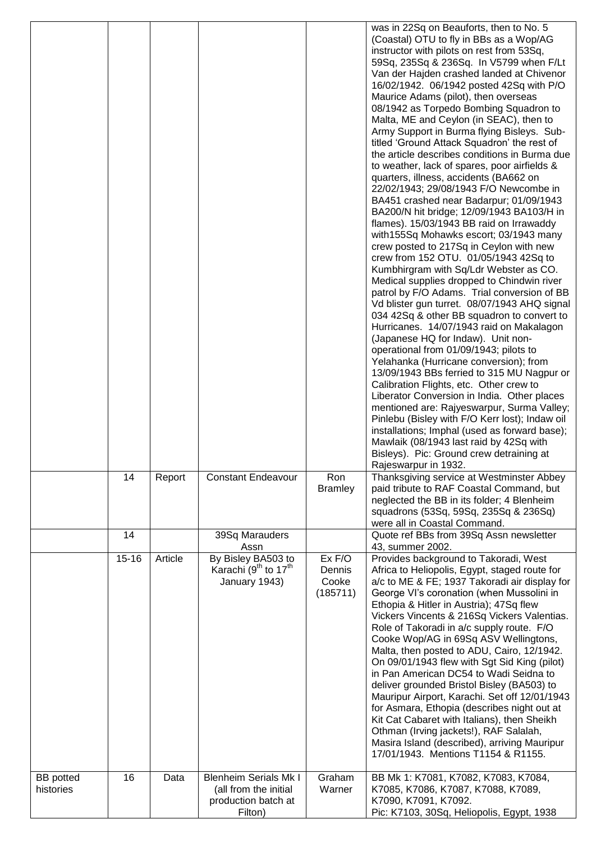|                               |           |         |                                                                                         |                                                    | was in 22Sq on Beauforts, then to No. 5<br>(Coastal) OTU to fly in BBs as a Wop/AG<br>instructor with pilots on rest from 53Sq,<br>59Sq, 235Sq & 236Sq. In V5799 when F/Lt<br>Van der Hajden crashed landed at Chivenor<br>16/02/1942. 06/1942 posted 42Sq with P/O<br>Maurice Adams (pilot), then overseas<br>08/1942 as Torpedo Bombing Squadron to<br>Malta, ME and Ceylon (in SEAC), then to<br>Army Support in Burma flying Bisleys. Sub-<br>titled 'Ground Attack Squadron' the rest of<br>the article describes conditions in Burma due<br>to weather, lack of spares, poor airfields &<br>quarters, illness, accidents (BA662 on<br>22/02/1943; 29/08/1943 F/O Newcombe in<br>BA451 crashed near Badarpur; 01/09/1943<br>BA200/N hit bridge; 12/09/1943 BA103/H in<br>flames). 15/03/1943 BB raid on Irrawaddy<br>with 155Sq Mohawks escort; 03/1943 many<br>crew posted to 217Sq in Ceylon with new<br>crew from 152 OTU. 01/05/1943 42Sq to<br>Kumbhirgram with Sq/Ldr Webster as CO.<br>Medical supplies dropped to Chindwin river<br>patrol by F/O Adams. Trial conversion of BB<br>Vd blister gun turret. 08/07/1943 AHQ signal<br>034 42Sq & other BB squadron to convert to<br>Hurricanes. 14/07/1943 raid on Makalagon<br>(Japanese HQ for Indaw). Unit non-<br>operational from 01/09/1943; pilots to<br>Yelahanka (Hurricane conversion); from<br>13/09/1943 BBs ferried to 315 MU Nagpur or<br>Calibration Flights, etc. Other crew to<br>Liberator Conversion in India. Other places<br>mentioned are: Rajyeswarpur, Surma Valley;<br>Pinlebu (Bisley with F/O Kerr lost); Indaw oil<br>installations; Imphal (used as forward base);<br>Mawlaik (08/1943 last raid by 42Sq with<br>Bisleys). Pic: Ground crew detraining at<br>Rajeswarpur in 1932. |
|-------------------------------|-----------|---------|-----------------------------------------------------------------------------------------|----------------------------------------------------|--------------------------------------------------------------------------------------------------------------------------------------------------------------------------------------------------------------------------------------------------------------------------------------------------------------------------------------------------------------------------------------------------------------------------------------------------------------------------------------------------------------------------------------------------------------------------------------------------------------------------------------------------------------------------------------------------------------------------------------------------------------------------------------------------------------------------------------------------------------------------------------------------------------------------------------------------------------------------------------------------------------------------------------------------------------------------------------------------------------------------------------------------------------------------------------------------------------------------------------------------------------------------------------------------------------------------------------------------------------------------------------------------------------------------------------------------------------------------------------------------------------------------------------------------------------------------------------------------------------------------------------------------------------------------------------------------------------------------------------------------------------------------|
|                               | 14        | Report  | <b>Constant Endeavour</b>                                                               | Ron<br><b>Bramley</b>                              | Thanksgiving service at Westminster Abbey<br>paid tribute to RAF Coastal Command, but<br>neglected the BB in its folder; 4 Blenheim<br>squadrons (53Sq, 59Sq, 235Sq & 236Sq)<br>were all in Coastal Command.                                                                                                                                                                                                                                                                                                                                                                                                                                                                                                                                                                                                                                                                                                                                                                                                                                                                                                                                                                                                                                                                                                                                                                                                                                                                                                                                                                                                                                                                                                                                                             |
|                               | 14        |         | 39Sq Marauders<br>Assn                                                                  |                                                    | Quote ref BBs from 39Sq Assn newsletter<br>43, summer 2002.                                                                                                                                                                                                                                                                                                                                                                                                                                                                                                                                                                                                                                                                                                                                                                                                                                                                                                                                                                                                                                                                                                                                                                                                                                                                                                                                                                                                                                                                                                                                                                                                                                                                                                              |
|                               | $15 - 16$ | Article | By Bisley BA503 to<br>Karachi (9 <sup>th</sup> to 17 <sup>th</sup><br>January 1943)     | $\overline{Ex}$ F/O<br>Dennis<br>Cooke<br>(185711) | Provides background to Takoradi, West<br>Africa to Heliopolis, Egypt, staged route for<br>a/c to ME & FE; 1937 Takoradi air display for<br>George VI's coronation (when Mussolini in<br>Ethopia & Hitler in Austria); 47Sq flew<br>Vickers Vincents & 216Sq Vickers Valentias.<br>Role of Takoradi in a/c supply route. F/O<br>Cooke Wop/AG in 69Sq ASV Wellingtons,<br>Malta, then posted to ADU, Cairo, 12/1942.<br>On 09/01/1943 flew with Sgt Sid King (pilot)<br>in Pan American DC54 to Wadi Seidna to<br>deliver grounded Bristol Bisley (BA503) to<br>Mauripur Airport, Karachi. Set off 12/01/1943<br>for Asmara, Ethopia (describes night out at<br>Kit Cat Cabaret with Italians), then Sheikh<br>Othman (Irving jackets!), RAF Salalah,<br>Masira Island (described), arriving Mauripur<br>17/01/1943. Mentions T1154 & R1155.                                                                                                                                                                                                                                                                                                                                                                                                                                                                                                                                                                                                                                                                                                                                                                                                                                                                                                                               |
| <b>BB</b> potted<br>histories | 16        | Data    | <b>Blenheim Serials Mk I</b><br>(all from the initial<br>production batch at<br>Filton) | Graham<br>Warner                                   | BB Mk 1: K7081, K7082, K7083, K7084,<br>K7085, K7086, K7087, K7088, K7089,<br>K7090, K7091, K7092.<br>Pic: K7103, 30Sq, Heliopolis, Egypt, 1938                                                                                                                                                                                                                                                                                                                                                                                                                                                                                                                                                                                                                                                                                                                                                                                                                                                                                                                                                                                                                                                                                                                                                                                                                                                                                                                                                                                                                                                                                                                                                                                                                          |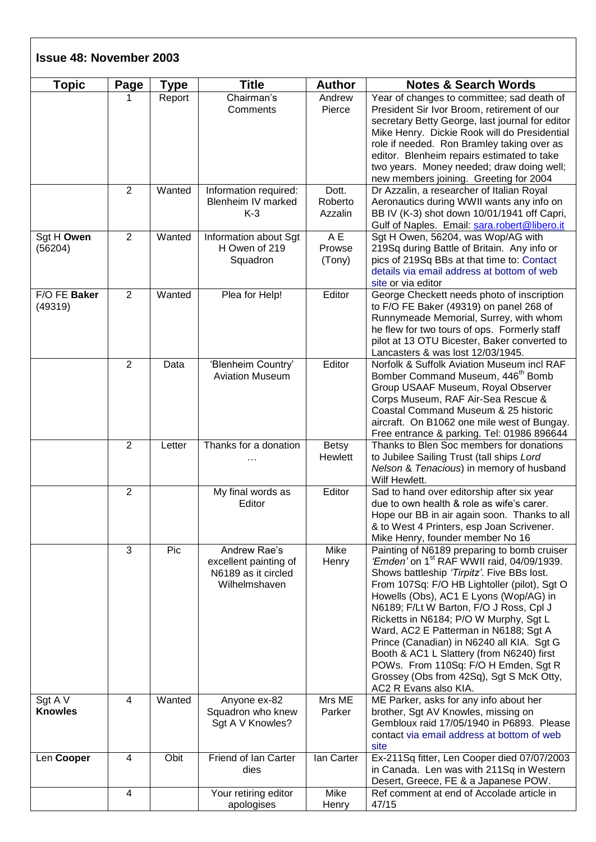| <b>Topic</b>              | Page           | Type   | <b>Title</b>                                                                  | <b>Author</b>               | <b>Notes &amp; Search Words</b>                                                                                                                                                                                                                                                                                                                                                                                                                                                                                                                                                   |
|---------------------------|----------------|--------|-------------------------------------------------------------------------------|-----------------------------|-----------------------------------------------------------------------------------------------------------------------------------------------------------------------------------------------------------------------------------------------------------------------------------------------------------------------------------------------------------------------------------------------------------------------------------------------------------------------------------------------------------------------------------------------------------------------------------|
|                           | 1              | Report | Chairman's<br>Comments                                                        | Andrew<br>Pierce            | Year of changes to committee; sad death of<br>President Sir Ivor Broom, retirement of our<br>secretary Betty George, last journal for editor<br>Mike Henry. Dickie Rook will do Presidential<br>role if needed. Ron Bramley taking over as<br>editor. Blenheim repairs estimated to take<br>two years. Money needed; draw doing well;<br>new members joining. Greeting for 2004                                                                                                                                                                                                   |
|                           | 2              | Wanted | Information required:<br>Blenheim IV marked<br>$K-3$                          | Dott.<br>Roberto<br>Azzalin | Dr Azzalin, a researcher of Italian Royal<br>Aeronautics during WWII wants any info on<br>BB IV (K-3) shot down 10/01/1941 off Capri,<br>Gulf of Naples. Email: sara.robert@libero.it                                                                                                                                                                                                                                                                                                                                                                                             |
| Sgt H Owen<br>(56204)     | $\overline{2}$ | Wanted | Information about Sgt<br>H Owen of 219<br>Squadron                            | A E<br>Prowse<br>(Tony)     | Sgt H Owen, 56204, was Wop/AG with<br>219Sq during Battle of Britain. Any info or<br>pics of 219Sq BBs at that time to: Contact<br>details via email address at bottom of web<br>site or via editor                                                                                                                                                                                                                                                                                                                                                                               |
| F/O FE Baker<br>(49319)   | $\overline{2}$ | Wanted | Plea for Help!                                                                | Editor                      | George Checkett needs photo of inscription<br>to F/O FE Baker (49319) on panel 268 of<br>Runnymeade Memorial, Surrey, with whom<br>he flew for two tours of ops. Formerly staff<br>pilot at 13 OTU Bicester, Baker converted to<br>Lancasters & was lost 12/03/1945.                                                                                                                                                                                                                                                                                                              |
|                           | $\overline{2}$ | Data   | 'Blenheim Country'<br><b>Aviation Museum</b>                                  | Editor                      | Norfolk & Suffolk Aviation Museum incl RAF<br>Bomber Command Museum, 446 <sup>th</sup> Bomb<br>Group USAAF Museum, Royal Observer<br>Corps Museum, RAF Air-Sea Rescue &<br>Coastal Command Museum & 25 historic<br>aircraft. On B1062 one mile west of Bungay.<br>Free entrance & parking. Tel: 01986 896644                                                                                                                                                                                                                                                                      |
|                           | $\overline{2}$ | Letter | Thanks for a donation                                                         | <b>Betsy</b><br>Hewlett     | Thanks to Blen Soc members for donations<br>to Jubilee Sailing Trust (tall ships Lord<br>Nelson & Tenacious) in memory of husband<br>Wilf Hewlett.                                                                                                                                                                                                                                                                                                                                                                                                                                |
|                           | $\overline{2}$ |        | My final words as<br>Editor                                                   | Editor                      | Sad to hand over editorship after six year<br>due to own health & role as wife's carer.<br>Hope our BB in air again soon. Thanks to all<br>& to West 4 Printers, esp Joan Scrivener.<br>Mike Henry, founder member No 16                                                                                                                                                                                                                                                                                                                                                          |
|                           | 3              | Pic    | Andrew Rae's<br>excellent painting of<br>N6189 as it circled<br>Wilhelmshaven | Mike<br>Henry               | Painting of N6189 preparing to bomb cruiser<br>'Emden' on 1 <sup>st</sup> RAF WWII raid, 04/09/1939.<br>Shows battleship 'Tirpitz'. Five BBs lost.<br>From 107Sq: F/O HB Lightoller (pilot), Sgt O<br>Howells (Obs), AC1 E Lyons (Wop/AG) in<br>N6189; F/Lt W Barton, F/O J Ross, Cpl J<br>Ricketts in N6184; P/O W Murphy, Sgt L<br>Ward, AC2 E Patterman in N6188; Sgt A<br>Prince (Canadian) in N6240 all KIA. Sgt G<br>Booth & AC1 L Slattery (from N6240) first<br>POWs. From 110Sq: F/O H Emden, Sgt R<br>Grossey (Obs from 42Sq), Sgt S McK Otty,<br>AC2 R Evans also KIA. |
| Sgt A V<br><b>Knowles</b> | $\overline{4}$ | Wanted | Anyone ex-82<br>Squadron who knew<br>Sgt A V Knowles?                         | Mrs ME<br>Parker            | ME Parker, asks for any info about her<br>brother, Sgt AV Knowles, missing on<br>Gembloux raid 17/05/1940 in P6893. Please<br>contact via email address at bottom of web<br>site                                                                                                                                                                                                                                                                                                                                                                                                  |
| Len Cooper                | 4              | Obit   | Friend of Ian Carter<br>dies                                                  | lan Carter                  | Ex-211Sq fitter, Len Cooper died 07/07/2003<br>in Canada. Len was with 211Sq in Western<br>Desert, Greece, FE & a Japanese POW.                                                                                                                                                                                                                                                                                                                                                                                                                                                   |
|                           | $\overline{4}$ |        | Your retiring editor<br>apologises                                            | Mike<br>Henry               | Ref comment at end of Accolade article in<br>47/15                                                                                                                                                                                                                                                                                                                                                                                                                                                                                                                                |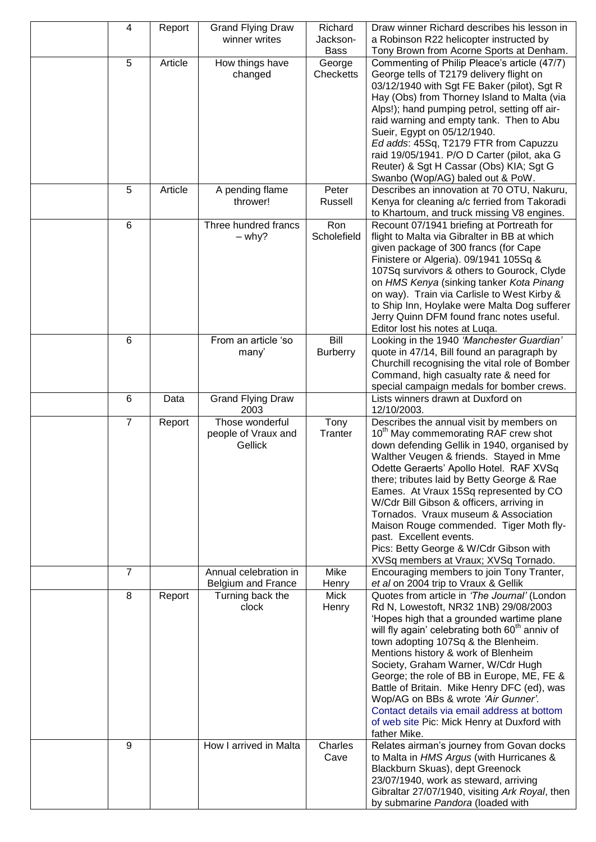| a Robinson R22 helicopter instructed by<br>winner writes<br>Jackson-<br>Tony Brown from Acorne Sports at Denham.<br>Bass<br>5<br>Article<br>Commenting of Philip Pleace's article (47/7)<br>How things have<br>George | Draw winner Richard describes his lesson in |
|-----------------------------------------------------------------------------------------------------------------------------------------------------------------------------------------------------------------------|---------------------------------------------|
|                                                                                                                                                                                                                       |                                             |
|                                                                                                                                                                                                                       |                                             |
| George tells of T2179 delivery flight on<br>Checketts<br>changed                                                                                                                                                      |                                             |
| 03/12/1940 with Sgt FE Baker (pilot), Sgt R                                                                                                                                                                           |                                             |
| Hay (Obs) from Thorney Island to Malta (via                                                                                                                                                                           |                                             |
| Alps!); hand pumping petrol, setting off air-                                                                                                                                                                         |                                             |
| raid warning and empty tank. Then to Abu                                                                                                                                                                              |                                             |
| Sueir, Egypt on 05/12/1940.                                                                                                                                                                                           |                                             |
| Ed adds: 45Sq, T2179 FTR from Capuzzu                                                                                                                                                                                 |                                             |
| raid 19/05/1941. P/O D Carter (pilot, aka G                                                                                                                                                                           |                                             |
| Reuter) & Sgt H Cassar (Obs) KIA; Sgt G<br>Swanbo (Wop/AG) baled out & PoW.                                                                                                                                           |                                             |
| 5<br>Article<br>A pending flame<br>Peter<br>Describes an innovation at 70 OTU, Nakuru,                                                                                                                                |                                             |
| Russell<br>Kenya for cleaning a/c ferried from Takoradi<br>thrower!                                                                                                                                                   |                                             |
| to Khartoum, and truck missing V8 engines.                                                                                                                                                                            |                                             |
| Ron<br>6<br>Three hundred francs<br>Recount 07/1941 briefing at Portreath for                                                                                                                                         |                                             |
| Scholefield<br>flight to Malta via Gibralter in BB at which<br>$-$ why?                                                                                                                                               |                                             |
| given package of 300 francs (for Cape                                                                                                                                                                                 |                                             |
| Finistere or Algeria). 09/1941 105Sq &<br>107Sq survivors & others to Gourock, Clyde                                                                                                                                  |                                             |
| on HMS Kenya (sinking tanker Kota Pinang                                                                                                                                                                              |                                             |
| on way). Train via Carlisle to West Kirby &                                                                                                                                                                           |                                             |
| to Ship Inn, Hoylake were Malta Dog sufferer                                                                                                                                                                          |                                             |
| Jerry Quinn DFM found franc notes useful.                                                                                                                                                                             |                                             |
|                                                                                                                                                                                                                       |                                             |
| Editor lost his notes at Luqa.                                                                                                                                                                                        |                                             |
| 6<br>From an article 'so<br>Bill<br>Looking in the 1940 'Manchester Guardian'                                                                                                                                         |                                             |
| <b>Burberry</b><br>quote in 47/14, Bill found an paragraph by<br>many'                                                                                                                                                |                                             |
| Churchill recognising the vital role of Bomber                                                                                                                                                                        |                                             |
| Command, high casualty rate & need for                                                                                                                                                                                |                                             |
| special campaign medals for bomber crews.                                                                                                                                                                             |                                             |
| <b>Grand Flying Draw</b><br>Lists winners drawn at Duxford on<br>6<br>Data                                                                                                                                            |                                             |
| 12/10/2003.<br>2003<br>$\overline{7}$<br>Those wonderful<br>Describes the annual visit by members on<br>Tony<br>Report                                                                                                |                                             |
| 10 <sup>th</sup> May commemorating RAF crew shot<br>people of Vraux and<br>Tranter                                                                                                                                    |                                             |
| down defending Gellik in 1940, organised by<br>Gellick                                                                                                                                                                |                                             |
| Walther Veugen & friends. Stayed in Mme                                                                                                                                                                               |                                             |
| Odette Geraerts' Apollo Hotel. RAF XVSq                                                                                                                                                                               |                                             |
| there; tributes laid by Betty George & Rae                                                                                                                                                                            |                                             |
| Eames. At Vraux 15Sq represented by CO                                                                                                                                                                                |                                             |
| W/Cdr Bill Gibson & officers, arriving in                                                                                                                                                                             |                                             |
| Tornados. Vraux museum & Association                                                                                                                                                                                  |                                             |
| Maison Rouge commended. Tiger Moth fly-<br>past. Excellent events.                                                                                                                                                    |                                             |
| Pics: Betty George & W/Cdr Gibson with                                                                                                                                                                                |                                             |
| XVSq members at Vraux; XVSq Tornado.                                                                                                                                                                                  |                                             |
| $\overline{7}$<br>Annual celebration in<br>Mike<br>Encouraging members to join Tony Tranter,                                                                                                                          |                                             |
| et al on 2004 trip to Vraux & Gellik<br>Belgium and France<br>Henry                                                                                                                                                   |                                             |
| 8<br>Turning back the<br><b>Mick</b><br>Quotes from article in 'The Journal' (London<br>Report                                                                                                                        |                                             |
| Rd N, Lowestoft, NR32 1NB) 29/08/2003<br>clock<br>Henry                                                                                                                                                               |                                             |
| 'Hopes high that a grounded wartime plane<br>will fly again' celebrating both 60 <sup>th</sup> anniv of                                                                                                               |                                             |
| town adopting 107Sq & the Blenheim.                                                                                                                                                                                   |                                             |
| Mentions history & work of Blenheim                                                                                                                                                                                   |                                             |
| Society, Graham Warner, W/Cdr Hugh                                                                                                                                                                                    |                                             |
| George; the role of BB in Europe, ME, FE &                                                                                                                                                                            |                                             |
| Battle of Britain. Mike Henry DFC (ed), was                                                                                                                                                                           |                                             |
| Wop/AG on BBs & wrote 'Air Gunner'.                                                                                                                                                                                   |                                             |
| Contact details via email address at bottom                                                                                                                                                                           |                                             |
| of web site Pic: Mick Henry at Duxford with<br>father Mike.                                                                                                                                                           |                                             |
| Relates airman's journey from Govan docks<br>How I arrived in Malta<br>Charles<br>9                                                                                                                                   |                                             |
| to Malta in HMS Argus (with Hurricanes &<br>Cave                                                                                                                                                                      |                                             |
| Blackburn Skuas), dept Greenock                                                                                                                                                                                       |                                             |
| 23/07/1940, work as steward, arriving<br>Gibraltar 27/07/1940, visiting Ark Royal, then                                                                                                                               |                                             |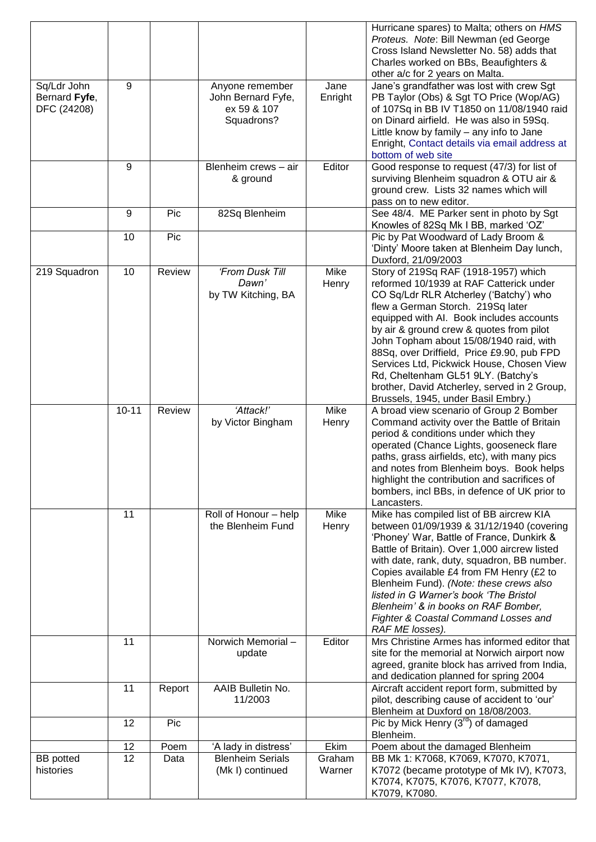|                                             |           |        |                                                                    |                  | Hurricane spares) to Malta; others on HMS<br>Proteus. Note: Bill Newman (ed George<br>Cross Island Newsletter No. 58) adds that<br>Charles worked on BBs, Beaufighters &<br>other a/c for 2 years on Malta.                                                                                                                                                                                                                                                                                                               |
|---------------------------------------------|-----------|--------|--------------------------------------------------------------------|------------------|---------------------------------------------------------------------------------------------------------------------------------------------------------------------------------------------------------------------------------------------------------------------------------------------------------------------------------------------------------------------------------------------------------------------------------------------------------------------------------------------------------------------------|
| Sq/Ldr John<br>Bernard Fyfe,<br>DFC (24208) | 9         |        | Anyone remember<br>John Bernard Fyfe,<br>ex 59 & 107<br>Squadrons? | Jane<br>Enright  | Jane's grandfather was lost with crew Sgt<br>PB Taylor (Obs) & Sgt TO Price (Wop/AG)<br>of 107Sq in BB IV T1850 on 11/08/1940 raid<br>on Dinard airfield. He was also in 59Sq.<br>Little know by family - any info to Jane<br>Enright, Contact details via email address at<br>bottom of web site                                                                                                                                                                                                                         |
|                                             | 9         |        | Blenheim crews - air<br>& ground                                   | Editor           | Good response to request (47/3) for list of<br>surviving Blenheim squadron & OTU air &<br>ground crew. Lists 32 names which will<br>pass on to new editor.                                                                                                                                                                                                                                                                                                                                                                |
|                                             | 9         | Pic    | 82Sq Blenheim                                                      |                  | See 48/4. ME Parker sent in photo by Sgt<br>Knowles of 82Sq Mk I BB, marked 'OZ'                                                                                                                                                                                                                                                                                                                                                                                                                                          |
|                                             | 10        | Pic    |                                                                    |                  | Pic by Pat Woodward of Lady Broom &<br>'Dinty' Moore taken at Blenheim Day lunch,<br>Duxford, 21/09/2003                                                                                                                                                                                                                                                                                                                                                                                                                  |
| 219 Squadron                                | 10        | Review | 'From Dusk Till<br>Dawn'<br>by TW Kitching, BA                     | Mike<br>Henry    | Story of 219Sq RAF (1918-1957) which<br>reformed 10/1939 at RAF Catterick under<br>CO Sq/Ldr RLR Atcherley ('Batchy') who<br>flew a German Storch. 219Sq later<br>equipped with AI. Book includes accounts<br>by air & ground crew & quotes from pilot<br>John Topham about 15/08/1940 raid, with<br>88Sq, over Driffield, Price £9.90, pub FPD<br>Services Ltd, Pickwick House, Chosen View<br>Rd, Cheltenham GL51 9LY. (Batchy's<br>brother, David Atcherley, served in 2 Group,<br>Brussels, 1945, under Basil Embry.) |
|                                             | $10 - 11$ | Review | 'Attack!'<br>by Victor Bingham                                     | Mike<br>Henry    | A broad view scenario of Group 2 Bomber<br>Command activity over the Battle of Britain<br>period & conditions under which they<br>operated (Chance Lights, gooseneck flare<br>paths, grass airfields, etc), with many pics<br>and notes from Blenheim boys. Book helps<br>highlight the contribution and sacrifices of<br>bombers, incl BBs, in defence of UK prior to<br>Lancasters.                                                                                                                                     |
|                                             | 11        |        | Roll of Honour - help<br>the Blenheim Fund                         | Mike<br>Henry    | Mike has compiled list of BB aircrew KIA<br>between 01/09/1939 & 31/12/1940 (covering<br>'Phoney' War, Battle of France, Dunkirk &<br>Battle of Britain). Over 1,000 aircrew listed<br>with date, rank, duty, squadron, BB number.<br>Copies available £4 from FM Henry (£2 to<br>Blenheim Fund). (Note: these crews also<br>listed in G Warner's book 'The Bristol<br>Blenheim' & in books on RAF Bomber,<br>Fighter & Coastal Command Losses and<br>RAF ME losses).                                                     |
|                                             | 11        |        | Norwich Memorial-<br>update                                        | Editor           | Mrs Christine Armes has informed editor that<br>site for the memorial at Norwich airport now<br>agreed, granite block has arrived from India,<br>and dedication planned for spring 2004                                                                                                                                                                                                                                                                                                                                   |
|                                             | 11        | Report | AAIB Bulletin No.<br>11/2003                                       |                  | Aircraft accident report form, submitted by<br>pilot, describing cause of accident to 'our'<br>Blenheim at Duxford on 18/08/2003.                                                                                                                                                                                                                                                                                                                                                                                         |
|                                             | 12        | Pic    |                                                                    |                  | Pic by Mick Henry $(3^{rd})$ of damaged<br>Blenheim.                                                                                                                                                                                                                                                                                                                                                                                                                                                                      |
|                                             | 12        | Poem   | 'A lady in distress'                                               | Ekim             | Poem about the damaged Blenheim                                                                                                                                                                                                                                                                                                                                                                                                                                                                                           |
| <b>BB</b> potted<br>histories               | 12        | Data   | <b>Blenheim Serials</b><br>(Mk I) continued                        | Graham<br>Warner | BB Mk 1: K7068, K7069, K7070, K7071,<br>K7072 (became prototype of Mk IV), K7073,<br>K7074, K7075, K7076, K7077, K7078,<br>K7079, K7080.                                                                                                                                                                                                                                                                                                                                                                                  |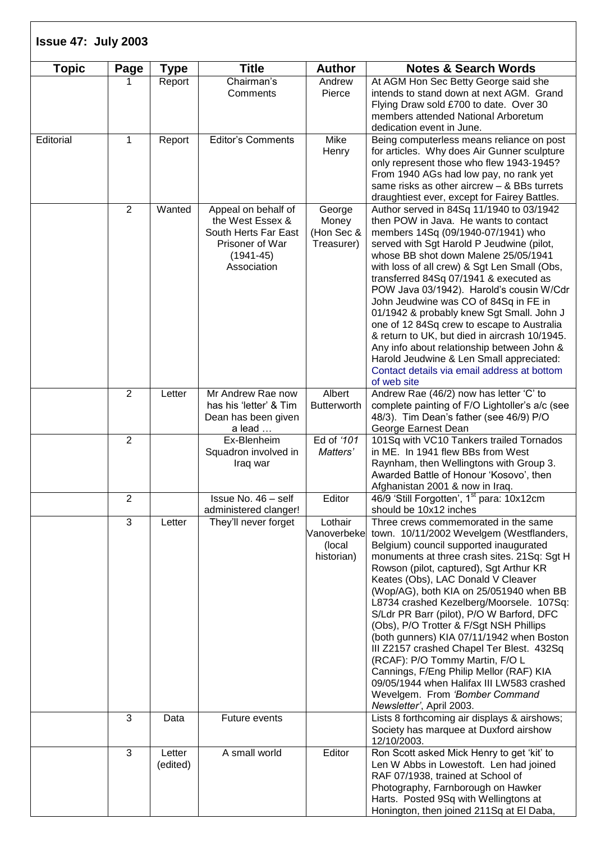| <b>Topic</b> | Page           | <b>Type</b>        | <b>Title</b>                                                                                                       | <b>Author</b>                                  | <b>Notes &amp; Search Words</b>                                                                                                                                                                                                                                                                                                                                                                                                                                                                                                                                                                                                                                                                                              |
|--------------|----------------|--------------------|--------------------------------------------------------------------------------------------------------------------|------------------------------------------------|------------------------------------------------------------------------------------------------------------------------------------------------------------------------------------------------------------------------------------------------------------------------------------------------------------------------------------------------------------------------------------------------------------------------------------------------------------------------------------------------------------------------------------------------------------------------------------------------------------------------------------------------------------------------------------------------------------------------------|
|              |                | Report             | Chairman's<br>Comments                                                                                             | Andrew<br>Pierce                               | At AGM Hon Sec Betty George said she<br>intends to stand down at next AGM. Grand<br>Flying Draw sold £700 to date. Over 30<br>members attended National Arboretum<br>dedication event in June.                                                                                                                                                                                                                                                                                                                                                                                                                                                                                                                               |
| Editorial    | $\mathbf{1}$   | Report             | <b>Editor's Comments</b>                                                                                           | Mike<br>Henry                                  | Being computerless means reliance on post<br>for articles. Why does Air Gunner sculpture<br>only represent those who flew 1943-1945?<br>From 1940 AGs had low pay, no rank yet<br>same risks as other aircrew $-$ & BBs turrets<br>draughtiest ever, except for Fairey Battles.                                                                                                                                                                                                                                                                                                                                                                                                                                              |
|              | 2              | Wanted             | Appeal on behalf of<br>the West Essex &<br>South Herts Far East<br>Prisoner of War<br>$(1941 - 45)$<br>Association | George<br>Money<br>(Hon Sec &<br>Treasurer)    | Author served in 84Sq 11/1940 to 03/1942<br>then POW in Java. He wants to contact<br>members 14Sq (09/1940-07/1941) who<br>served with Sgt Harold P Jeudwine (pilot,<br>whose BB shot down Malene 25/05/1941<br>with loss of all crew) & Sgt Len Small (Obs,<br>transferred 84Sq 07/1941 & executed as<br>POW Java 03/1942). Harold's cousin W/Cdr<br>John Jeudwine was CO of 84Sq in FE in<br>01/1942 & probably knew Sgt Small. John J<br>one of 12 84Sq crew to escape to Australia<br>& return to UK, but died in aircrash 10/1945.<br>Any info about relationship between John &<br>Harold Jeudwine & Len Small appreciated:<br>Contact details via email address at bottom<br>of web site                              |
|              | $\overline{2}$ | Letter             | Mr Andrew Rae now<br>has his 'letter' & Tim<br>Dean has been given<br>a lead                                       | Albert<br><b>Butterworth</b>                   | Andrew Rae (46/2) now has letter 'C' to<br>complete painting of F/O Lightoller's a/c (see<br>48/3). Tim Dean's father (see 46/9) P/O<br>George Earnest Dean                                                                                                                                                                                                                                                                                                                                                                                                                                                                                                                                                                  |
|              | $\overline{2}$ |                    | Ex-Blenheim<br>Squadron involved in<br>Iraq war                                                                    | Ed of '101<br>Matters'                         | 101Sq with VC10 Tankers trailed Tornados<br>in ME. In 1941 flew BBs from West<br>Raynham, then Wellingtons with Group 3.<br>Awarded Battle of Honour 'Kosovo', then<br>Afghanistan 2001 & now in Iraq.                                                                                                                                                                                                                                                                                                                                                                                                                                                                                                                       |
|              | $\overline{2}$ |                    | Issue No. 46 - self<br>administered clanger!                                                                       | Editor                                         | 46/9 'Still Forgotten', 1 <sup>st</sup> para: 10x12cm<br>should be 10x12 inches                                                                                                                                                                                                                                                                                                                                                                                                                                                                                                                                                                                                                                              |
|              | 3              | Letter             | They'll never forget                                                                                               | Lothair<br>Vanoverbeke<br>(local<br>historian) | Three crews commemorated in the same<br>town. 10/11/2002 Wevelgem (Westflanders,<br>Belgium) council supported inaugurated<br>monuments at three crash sites. 21Sq: Sgt H<br>Rowson (pilot, captured), Sgt Arthur KR<br>Keates (Obs), LAC Donald V Cleaver<br>(Wop/AG), both KIA on 25/051940 when BB<br>L8734 crashed Kezelberg/Moorsele. 107Sq:<br>S/Ldr PR Barr (pilot), P/O W Barford, DFC<br>(Obs), P/O Trotter & F/Sgt NSH Phillips<br>(both gunners) KIA 07/11/1942 when Boston<br>III Z2157 crashed Chapel Ter Blest. 432Sq<br>(RCAF): P/O Tommy Martin, F/O L<br>Cannings, F/Eng Philip Mellor (RAF) KIA<br>09/05/1944 when Halifax III LW583 crashed<br>Wevelgem. From 'Bomber Command<br>Newsletter', April 2003. |
|              | 3              | Data               | Future events                                                                                                      |                                                | Lists 8 forthcoming air displays & airshows;<br>Society has marquee at Duxford airshow<br>12/10/2003.                                                                                                                                                                                                                                                                                                                                                                                                                                                                                                                                                                                                                        |
|              | 3              | Letter<br>(edited) | A small world                                                                                                      | Editor                                         | Ron Scott asked Mick Henry to get 'kit' to<br>Len W Abbs in Lowestoft. Len had joined<br>RAF 07/1938, trained at School of<br>Photography, Farnborough on Hawker<br>Harts. Posted 9Sq with Wellingtons at<br>Honington, then joined 211Sq at El Daba,                                                                                                                                                                                                                                                                                                                                                                                                                                                                        |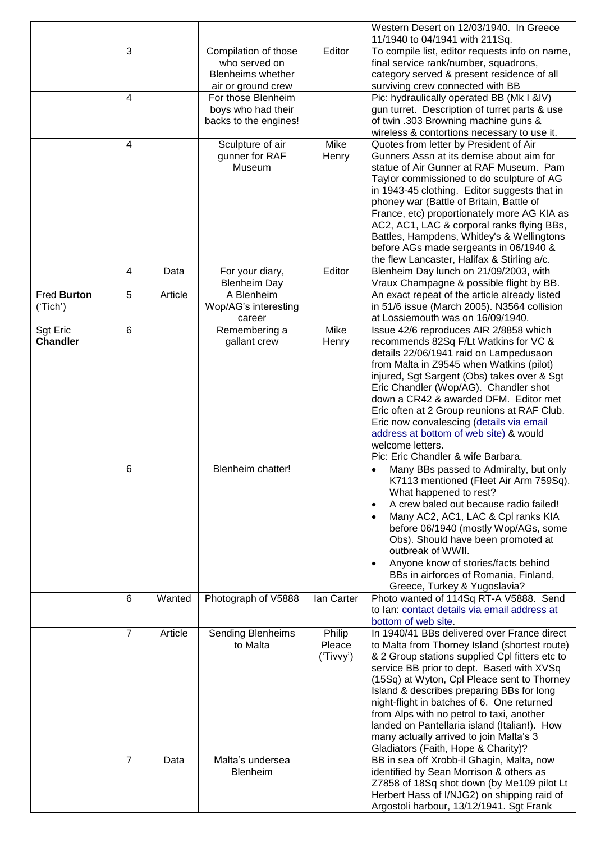|                 |                |         |                          |            | Western Desert on 12/03/1940. In Greece<br>11/1940 to 04/1941 with 211Sq.               |
|-----------------|----------------|---------|--------------------------|------------|-----------------------------------------------------------------------------------------|
|                 | 3              |         | Compilation of those     | Editor     | To compile list, editor requests info on name,                                          |
|                 |                |         | who served on            |            | final service rank/number, squadrons,                                                   |
|                 |                |         | <b>Blenheims whether</b> |            | category served & present residence of all                                              |
|                 |                |         | air or ground crew       |            | surviving crew connected with BB                                                        |
|                 | 4              |         | For those Blenheim       |            | Pic: hydraulically operated BB (Mk I &IV)                                               |
|                 |                |         | boys who had their       |            | gun turret. Description of turret parts & use                                           |
|                 |                |         | backs to the engines!    |            | of twin .303 Browning machine guns &                                                    |
|                 |                |         |                          |            | wireless & contortions necessary to use it.                                             |
|                 | 4              |         | Sculpture of air         | Mike       | Quotes from letter by President of Air                                                  |
|                 |                |         | gunner for RAF           | Henry      | Gunners Assn at its demise about aim for                                                |
|                 |                |         | Museum                   |            | statue of Air Gunner at RAF Museum. Pam                                                 |
|                 |                |         |                          |            | Taylor commissioned to do sculpture of AG                                               |
|                 |                |         |                          |            | in 1943-45 clothing. Editor suggests that in                                            |
|                 |                |         |                          |            | phoney war (Battle of Britain, Battle of<br>France, etc) proportionately more AG KIA as |
|                 |                |         |                          |            | AC2, AC1, LAC & corporal ranks flying BBs,                                              |
|                 |                |         |                          |            | Battles, Hampdens, Whitley's & Wellingtons                                              |
|                 |                |         |                          |            | before AGs made sergeants in 06/1940 &                                                  |
|                 |                |         |                          |            | the flew Lancaster, Halifax & Stirling a/c.                                             |
|                 | 4              | Data    | For your diary,          | Editor     | Blenheim Day lunch on 21/09/2003, with                                                  |
|                 |                |         | <b>Blenheim Day</b>      |            | Vraux Champagne & possible flight by BB.                                                |
| Fred Burton     | 5              | Article | A Blenheim               |            | An exact repeat of the article already listed                                           |
| ('Tich')        |                |         | Wop/AG's interesting     |            | in 51/6 issue (March 2005). N3564 collision                                             |
|                 |                |         | career                   |            | at Lossiemouth was on 16/09/1940.                                                       |
| <b>Sgt Eric</b> | 6              |         | Remembering a            | Mike       | Issue 42/6 reproduces AIR 2/8858 which                                                  |
| <b>Chandler</b> |                |         | gallant crew             | Henry      | recommends 82Sq F/Lt Watkins for VC &                                                   |
|                 |                |         |                          |            | details 22/06/1941 raid on Lampedusaon                                                  |
|                 |                |         |                          |            | from Malta in Z9545 when Watkins (pilot)                                                |
|                 |                |         |                          |            | injured, Sgt Sargent (Obs) takes over & Sgt                                             |
|                 |                |         |                          |            | Eric Chandler (Wop/AG). Chandler shot                                                   |
|                 |                |         |                          |            | down a CR42 & awarded DFM. Editor met                                                   |
|                 |                |         |                          |            | Eric often at 2 Group reunions at RAF Club.                                             |
|                 |                |         |                          |            | Eric now convalescing (details via email                                                |
|                 |                |         |                          |            | address at bottom of web site) & would                                                  |
|                 |                |         |                          |            | welcome letters.                                                                        |
|                 |                |         |                          |            | Pic: Eric Chandler & wife Barbara.                                                      |
|                 | 6              |         | Blenheim chatter!        |            | Many BBs passed to Admiralty, but only<br>٠                                             |
|                 |                |         |                          |            | K7113 mentioned (Fleet Air Arm 759Sq).                                                  |
|                 |                |         |                          |            | What happened to rest?                                                                  |
|                 |                |         |                          |            | A crew baled out because radio failed!<br>$\bullet$                                     |
|                 |                |         |                          |            | Many AC2, AC1, LAC & Cpl ranks KIA<br>$\bullet$                                         |
|                 |                |         |                          |            | before 06/1940 (mostly Wop/AGs, some                                                    |
|                 |                |         |                          |            | Obs). Should have been promoted at                                                      |
|                 |                |         |                          |            | outbreak of WWII.                                                                       |
|                 |                |         |                          |            | Anyone know of stories/facts behind                                                     |
|                 |                |         |                          |            | BBs in airforces of Romania, Finland,<br>Greece, Turkey & Yugoslavia?                   |
|                 | 6              | Wanted  | Photograph of V5888      | lan Carter | Photo wanted of 114Sq RT-A V5888. Send                                                  |
|                 |                |         |                          |            | to Ian: contact details via email address at                                            |
|                 |                |         |                          |            | bottom of web site.                                                                     |
|                 | $\overline{7}$ | Article | <b>Sending Blenheims</b> | Philip     | In 1940/41 BBs delivered over France direct                                             |
|                 |                |         | to Malta                 | Pleace     | to Malta from Thorney Island (shortest route)                                           |
|                 |                |         |                          | ('Tivvy')  | & 2 Group stations supplied Cpl fitters etc to                                          |
|                 |                |         |                          |            | service BB prior to dept. Based with XVSq                                               |
|                 |                |         |                          |            | (15Sq) at Wyton, Cpl Pleace sent to Thorney                                             |
|                 |                |         |                          |            | Island & describes preparing BBs for long                                               |
|                 |                |         |                          |            | night-flight in batches of 6. One returned                                              |
|                 |                |         |                          |            | from Alps with no petrol to taxi, another                                               |
|                 |                |         |                          |            | landed on Pantellaria island (Italian!). How                                            |
|                 |                |         |                          |            | many actually arrived to join Malta's 3                                                 |
|                 |                |         |                          |            | Gladiators (Faith, Hope & Charity)?                                                     |
|                 | 7              | Data    | Malta's undersea         |            | BB in sea off Xrobb-il Ghagin, Malta, now                                               |
|                 |                |         | <b>Blenheim</b>          |            | identified by Sean Morrison & others as                                                 |
|                 |                |         |                          |            | Z7858 of 18Sq shot down (by Me109 pilot Lt                                              |
|                 |                |         |                          |            | Herbert Hass of I/NJG2) on shipping raid of                                             |
|                 |                |         |                          |            | Argostoli harbour, 13/12/1941. Sgt Frank                                                |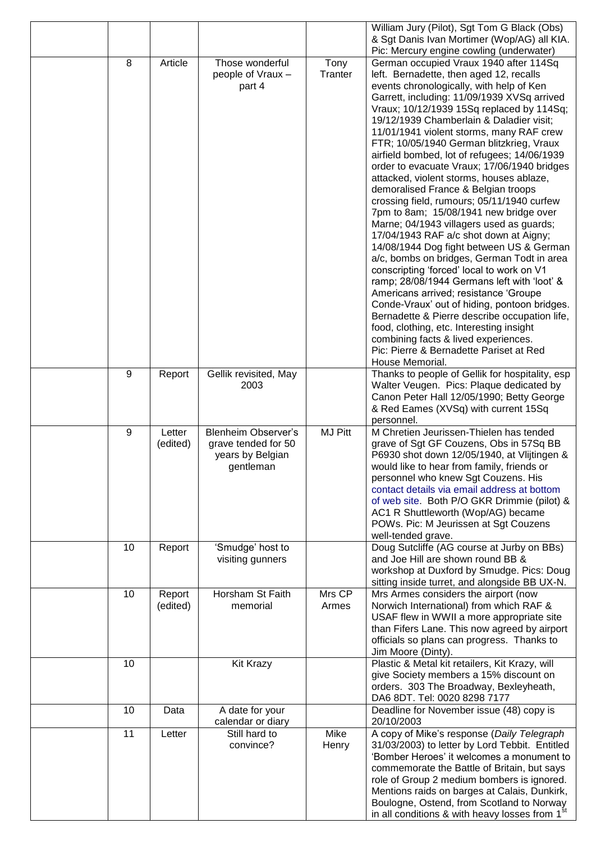|    |                    |                                                                                    |                 | William Jury (Pilot), Sgt Tom G Black (Obs)<br>& Sgt Danis Ivan Mortimer (Wop/AG) all KIA.                                                                                                                                                                                                                                                                                                                                                                                                                                                                                                                                                                                                                                                                                                                                                                                                                                                                                                                                                                                                                                                         |
|----|--------------------|------------------------------------------------------------------------------------|-----------------|----------------------------------------------------------------------------------------------------------------------------------------------------------------------------------------------------------------------------------------------------------------------------------------------------------------------------------------------------------------------------------------------------------------------------------------------------------------------------------------------------------------------------------------------------------------------------------------------------------------------------------------------------------------------------------------------------------------------------------------------------------------------------------------------------------------------------------------------------------------------------------------------------------------------------------------------------------------------------------------------------------------------------------------------------------------------------------------------------------------------------------------------------|
| 8  | Article            | Those wonderful                                                                    | Tony            | Pic: Mercury engine cowling (underwater)<br>German occupied Vraux 1940 after 114Sq                                                                                                                                                                                                                                                                                                                                                                                                                                                                                                                                                                                                                                                                                                                                                                                                                                                                                                                                                                                                                                                                 |
|    |                    | people of Vraux -<br>part 4                                                        | Tranter         | left. Bernadette, then aged 12, recalls<br>events chronologically, with help of Ken<br>Garrett, including: 11/09/1939 XVSq arrived<br>Vraux; 10/12/1939 15Sq replaced by 114Sq;<br>19/12/1939 Chamberlain & Daladier visit;<br>11/01/1941 violent storms, many RAF crew<br>FTR; 10/05/1940 German blitzkrieg, Vraux<br>airfield bombed, lot of refugees; 14/06/1939<br>order to evacuate Vraux; 17/06/1940 bridges<br>attacked, violent storms, houses ablaze,<br>demoralised France & Belgian troops<br>crossing field, rumours; 05/11/1940 curfew<br>7pm to 8am; 15/08/1941 new bridge over<br>Marne; 04/1943 villagers used as guards;<br>17/04/1943 RAF a/c shot down at Aigny;<br>14/08/1944 Dog fight between US & German<br>a/c, bombs on bridges, German Todt in area<br>conscripting 'forced' local to work on V1<br>ramp; 28/08/1944 Germans left with 'loot' &<br>Americans arrived; resistance 'Groupe<br>Conde-Vraux' out of hiding, pontoon bridges.<br>Bernadette & Pierre describe occupation life,<br>food, clothing, etc. Interesting insight<br>combining facts & lived experiences.<br>Pic: Pierre & Bernadette Pariset at Red |
| 9  | Report             | Gellik revisited, May<br>2003                                                      |                 | House Memorial.<br>Thanks to people of Gellik for hospitality, esp<br>Walter Veugen. Pics: Plaque dedicated by<br>Canon Peter Hall 12/05/1990; Betty George<br>& Red Eames (XVSq) with current 15Sq<br>personnel.                                                                                                                                                                                                                                                                                                                                                                                                                                                                                                                                                                                                                                                                                                                                                                                                                                                                                                                                  |
| 9  | Letter<br>(edited) | <b>Blenheim Observer's</b><br>grave tended for 50<br>years by Belgian<br>gentleman | <b>MJ Pitt</b>  | M Chretien Jeurissen-Thielen has tended<br>grave of Sgt GF Couzens, Obs in 57Sq BB<br>P6930 shot down 12/05/1940, at Vlijtingen &<br>would like to hear from family, friends or<br>personnel who knew Sgt Couzens. His<br>contact details via email address at bottom<br>of web site. Both P/O GKR Drimmie (pilot) &<br>AC1 R Shuttleworth (Wop/AG) became<br>POWs. Pic: M Jeurissen at Sgt Couzens<br>well-tended grave.                                                                                                                                                                                                                                                                                                                                                                                                                                                                                                                                                                                                                                                                                                                          |
| 10 | Report             | 'Smudge' host to<br>visiting gunners                                               |                 | Doug Sutcliffe (AG course at Jurby on BBs)<br>and Joe Hill are shown round BB &<br>workshop at Duxford by Smudge. Pics: Doug<br>sitting inside turret, and alongside BB UX-N.                                                                                                                                                                                                                                                                                                                                                                                                                                                                                                                                                                                                                                                                                                                                                                                                                                                                                                                                                                      |
| 10 | Report<br>(edited) | Horsham St Faith<br>memorial                                                       | Mrs CP<br>Armes | Mrs Armes considers the airport (now<br>Norwich International) from which RAF &<br>USAF flew in WWII a more appropriate site<br>than Fifers Lane. This now agreed by airport<br>officials so plans can progress. Thanks to<br>Jim Moore (Dinty).                                                                                                                                                                                                                                                                                                                                                                                                                                                                                                                                                                                                                                                                                                                                                                                                                                                                                                   |
| 10 |                    | Kit Krazy                                                                          |                 | Plastic & Metal kit retailers, Kit Krazy, will<br>give Society members a 15% discount on<br>orders. 303 The Broadway, Bexleyheath,<br>DA6 8DT. Tel: 0020 8298 7177                                                                                                                                                                                                                                                                                                                                                                                                                                                                                                                                                                                                                                                                                                                                                                                                                                                                                                                                                                                 |
| 10 | Data               | A date for your<br>calendar or diary                                               |                 | Deadline for November issue (48) copy is<br>20/10/2003                                                                                                                                                                                                                                                                                                                                                                                                                                                                                                                                                                                                                                                                                                                                                                                                                                                                                                                                                                                                                                                                                             |
| 11 | Letter             | Still hard to<br>convince?                                                         | Mike<br>Henry   | A copy of Mike's response (Daily Telegraph<br>31/03/2003) to letter by Lord Tebbit. Entitled<br>'Bomber Heroes' it welcomes a monument to<br>commemorate the Battle of Britain, but says<br>role of Group 2 medium bombers is ignored.<br>Mentions raids on barges at Calais, Dunkirk,<br>Boulogne, Ostend, from Scotland to Norway<br>in all conditions & with heavy losses from 1 <sup>st</sup>                                                                                                                                                                                                                                                                                                                                                                                                                                                                                                                                                                                                                                                                                                                                                  |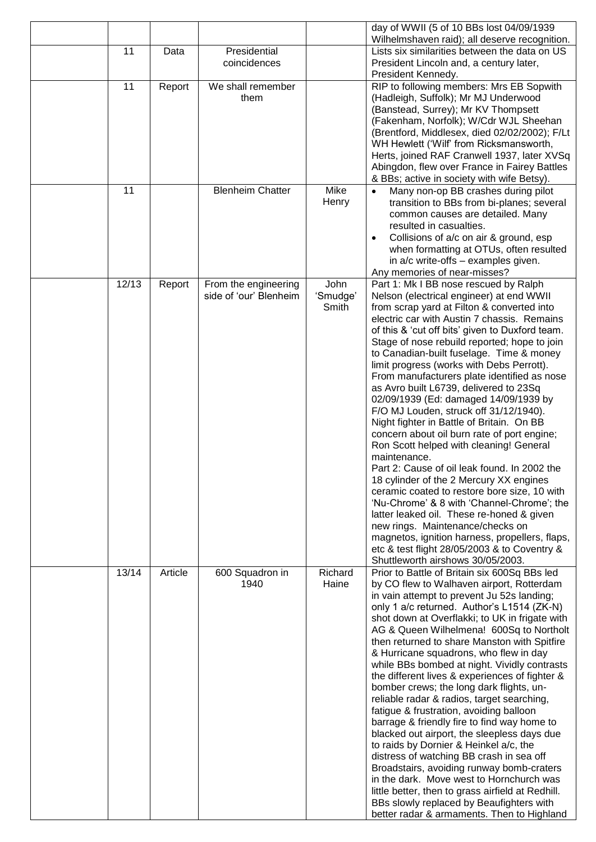|       |         |                                                |                           | day of WWII (5 of 10 BBs lost 04/09/1939                                                                                                                                                                                                                                                                                                                                                                                                                                                                                                                                                                                                                                                                                                                                                                                                                                                                                                                                                                                                                                                                                       |
|-------|---------|------------------------------------------------|---------------------------|--------------------------------------------------------------------------------------------------------------------------------------------------------------------------------------------------------------------------------------------------------------------------------------------------------------------------------------------------------------------------------------------------------------------------------------------------------------------------------------------------------------------------------------------------------------------------------------------------------------------------------------------------------------------------------------------------------------------------------------------------------------------------------------------------------------------------------------------------------------------------------------------------------------------------------------------------------------------------------------------------------------------------------------------------------------------------------------------------------------------------------|
| 11    | Data    | Presidential<br>coincidences                   |                           | Wilhelmshaven raid); all deserve recognition.<br>Lists six similarities between the data on US<br>President Lincoln and, a century later,                                                                                                                                                                                                                                                                                                                                                                                                                                                                                                                                                                                                                                                                                                                                                                                                                                                                                                                                                                                      |
| 11    | Report  | We shall remember<br>them                      |                           | President Kennedy.<br>RIP to following members: Mrs EB Sopwith<br>(Hadleigh, Suffolk); Mr MJ Underwood<br>(Banstead, Surrey); Mr KV Thompsett                                                                                                                                                                                                                                                                                                                                                                                                                                                                                                                                                                                                                                                                                                                                                                                                                                                                                                                                                                                  |
|       |         |                                                |                           | (Fakenham, Norfolk); W/Cdr WJL Sheehan<br>(Brentford, Middlesex, died 02/02/2002); F/Lt<br>WH Hewlett ('Wilf' from Ricksmansworth,                                                                                                                                                                                                                                                                                                                                                                                                                                                                                                                                                                                                                                                                                                                                                                                                                                                                                                                                                                                             |
|       |         |                                                |                           | Herts, joined RAF Cranwell 1937, later XVSq<br>Abingdon, flew over France in Fairey Battles<br>& BBs; active in society with wife Betsy).                                                                                                                                                                                                                                                                                                                                                                                                                                                                                                                                                                                                                                                                                                                                                                                                                                                                                                                                                                                      |
| 11    |         | <b>Blenheim Chatter</b>                        | Mike<br>Henry             | Many non-op BB crashes during pilot<br>$\bullet$<br>transition to BBs from bi-planes; several<br>common causes are detailed. Many<br>resulted in casualties.<br>Collisions of a/c on air & ground, esp<br>when formatting at OTUs, often resulted<br>in a/c write-offs - examples given.<br>Any memories of near-misses?                                                                                                                                                                                                                                                                                                                                                                                                                                                                                                                                                                                                                                                                                                                                                                                                       |
| 12/13 | Report  | From the engineering<br>side of 'our' Blenheim | John<br>'Smudge'<br>Smith | Part 1: Mk I BB nose rescued by Ralph<br>Nelson (electrical engineer) at end WWII<br>from scrap yard at Filton & converted into<br>electric car with Austin 7 chassis. Remains<br>of this & 'cut off bits' given to Duxford team.<br>Stage of nose rebuild reported; hope to join<br>to Canadian-built fuselage. Time & money<br>limit progress (works with Debs Perrott).<br>From manufacturers plate identified as nose<br>as Avro built L6739, delivered to 23Sq<br>02/09/1939 (Ed: damaged 14/09/1939 by<br>F/O MJ Louden, struck off 31/12/1940).<br>Night fighter in Battle of Britain. On BB<br>concern about oil burn rate of port engine;<br>Ron Scott helped with cleaning! General<br>maintenance.<br>Part 2: Cause of oil leak found. In 2002 the<br>18 cylinder of the 2 Mercury XX engines<br>ceramic coated to restore bore size, 10 with<br>'Nu-Chrome' & 8 with 'Channel-Chrome'; the<br>latter leaked oil. These re-honed & given<br>new rings. Maintenance/checks on<br>magnetos, ignition harness, propellers, flaps,<br>etc & test flight 28/05/2003 & to Coventry &<br>Shuttleworth airshows 30/05/2003. |
| 13/14 | Article | 600 Squadron in<br>1940                        | Richard<br>Haine          | Prior to Battle of Britain six 600Sq BBs led<br>by CO flew to Walhaven airport, Rotterdam<br>in vain attempt to prevent Ju 52s landing;<br>only 1 a/c returned. Author's L1514 (ZK-N)<br>shot down at Overflakki; to UK in frigate with<br>AG & Queen Wilhelmena! 600Sq to Northolt<br>then returned to share Manston with Spitfire<br>& Hurricane squadrons, who flew in day<br>while BBs bombed at night. Vividly contrasts<br>the different lives & experiences of fighter &<br>bomber crews; the long dark flights, un-<br>reliable radar & radios, target searching,<br>fatigue & frustration, avoiding balloon<br>barrage & friendly fire to find way home to<br>blacked out airport, the sleepless days due<br>to raids by Dornier & Heinkel a/c, the<br>distress of watching BB crash in sea off<br>Broadstairs, avoiding runway bomb-craters<br>in the dark. Move west to Hornchurch was<br>little better, then to grass airfield at Redhill.<br>BBs slowly replaced by Beaufighters with<br>better radar & armaments. Then to Highland                                                                               |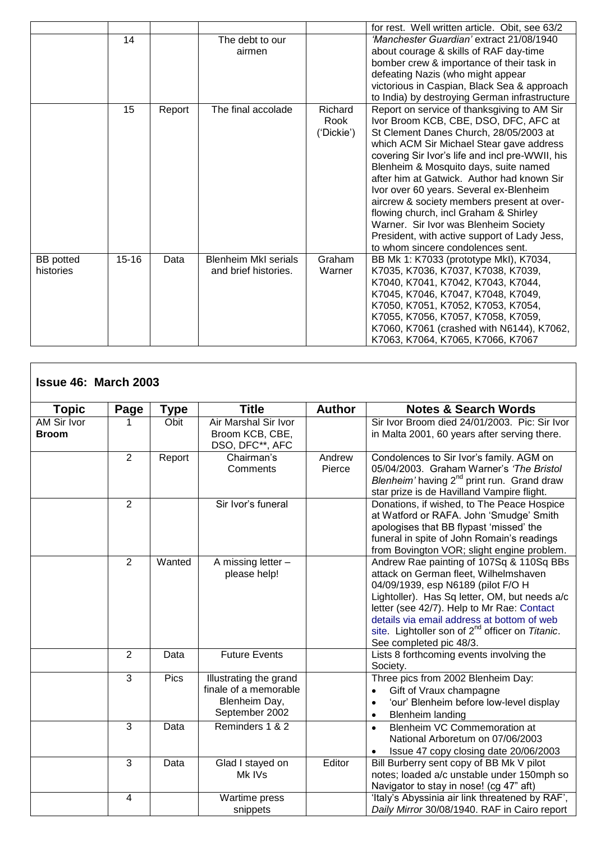|                  |           |        |                                                     |            | for rest. Well written article. Obit. see 63/2                           |
|------------------|-----------|--------|-----------------------------------------------------|------------|--------------------------------------------------------------------------|
|                  | 14        |        | The debt to our                                     |            | 'Manchester Guardian' extract 21/08/1940                                 |
|                  |           |        | airmen                                              |            | about courage & skills of RAF day-time                                   |
|                  |           |        |                                                     |            | bomber crew & importance of their task in                                |
|                  |           |        |                                                     |            | defeating Nazis (who might appear                                        |
|                  |           |        |                                                     |            | victorious in Caspian, Black Sea & approach                              |
|                  |           |        |                                                     |            | to India) by destroying German infrastructure                            |
|                  | 15        | Report | The final accolade                                  | Richard    | Report on service of thanksgiving to AM Sir                              |
|                  |           |        |                                                     | Rook       | Ivor Broom KCB, CBE, DSO, DFC, AFC at                                    |
|                  |           |        |                                                     | ('Dickie') | St Clement Danes Church, 28/05/2003 at                                   |
|                  |           |        |                                                     |            | which ACM Sir Michael Stear gave address                                 |
|                  |           |        |                                                     |            | covering Sir Ivor's life and incl pre-WWII, his                          |
|                  |           |        |                                                     |            | Blenheim & Mosquito days, suite named                                    |
|                  |           |        |                                                     |            | after him at Gatwick. Author had known Sir                               |
|                  |           |        |                                                     |            | Ivor over 60 years. Several ex-Blenheim                                  |
|                  |           |        |                                                     |            | aircrew & society members present at over-                               |
|                  |           |        |                                                     |            | flowing church, incl Graham & Shirley                                    |
|                  |           |        |                                                     |            | Warner. Sir Ivor was Blenheim Society                                    |
|                  |           |        |                                                     |            | President, with active support of Lady Jess,                             |
|                  |           |        |                                                     |            | to whom sincere condolences sent.                                        |
| <b>BB</b> potted | $15 - 16$ | Data   | <b>Blenheim MkI serials</b><br>and brief histories. | Graham     | BB Mk 1: K7033 (prototype MkI), K7034,                                   |
| histories        |           |        |                                                     | Warner     | K7035, K7036, K7037, K7038, K7039,                                       |
|                  |           |        |                                                     |            | K7040, K7041, K7042, K7043, K7044,<br>K7045, K7046, K7047, K7048, K7049, |
|                  |           |        |                                                     |            |                                                                          |
|                  |           |        |                                                     |            | K7050, K7051, K7052, K7053, K7054,<br>K7055, K7056, K7057, K7058, K7059, |
|                  |           |        |                                                     |            | K7060, K7061 (crashed with N6144), K7062,                                |
|                  |           |        |                                                     |            | K7063, K7064, K7065, K7066, K7067                                        |
|                  |           |        |                                                     |            |                                                                          |

| <b>Issue 46: March 2003</b> |                |             |                                                                                    |                  |                                                                                                                                                                                                                                                                                                                                                                |
|-----------------------------|----------------|-------------|------------------------------------------------------------------------------------|------------------|----------------------------------------------------------------------------------------------------------------------------------------------------------------------------------------------------------------------------------------------------------------------------------------------------------------------------------------------------------------|
| <b>Topic</b>                | Page           | Type        | <b>Title</b>                                                                       | <b>Author</b>    | <b>Notes &amp; Search Words</b>                                                                                                                                                                                                                                                                                                                                |
| AM Sir Ivor<br><b>Broom</b> |                | Obit        | Air Marshal Sir Ivor<br>Broom KCB, CBE,<br>DSO, DFC**, AFC                         |                  | Sir Ivor Broom died 24/01/2003. Pic: Sir Ivor<br>in Malta 2001, 60 years after serving there.                                                                                                                                                                                                                                                                  |
|                             | $\overline{2}$ | Report      | Chairman's<br>Comments                                                             | Andrew<br>Pierce | Condolences to Sir Ivor's family. AGM on<br>05/04/2003. Graham Warner's 'The Bristol<br>Blenheim' having $2^{nd}$ print run. Grand draw<br>star prize is de Havilland Vampire flight.                                                                                                                                                                          |
|                             | $\overline{2}$ |             | Sir Ivor's funeral                                                                 |                  | Donations, if wished, to The Peace Hospice<br>at Watford or RAFA. John 'Smudge' Smith<br>apologises that BB flypast 'missed' the<br>funeral in spite of John Romain's readings<br>from Bovington VOR; slight engine problem.                                                                                                                                   |
|                             | $\overline{2}$ | Wanted      | A missing letter -<br>please help!                                                 |                  | Andrew Rae painting of 107Sq & 110Sq BBs<br>attack on German fleet, Wilhelmshaven<br>04/09/1939, esp N6189 (pilot F/O H<br>Lightoller). Has Sq letter, OM, but needs a/c<br>letter (see 42/7). Help to Mr Rae: Contact<br>details via email address at bottom of web<br>site. Lightoller son of 2 <sup>nd</sup> officer on Titanic.<br>See completed pic 48/3. |
|                             | 2              | Data        | <b>Future Events</b>                                                               |                  | Lists 8 forthcoming events involving the<br>Society.                                                                                                                                                                                                                                                                                                           |
|                             | 3              | <b>Pics</b> | Illustrating the grand<br>finale of a memorable<br>Blenheim Day,<br>September 2002 |                  | Three pics from 2002 Blenheim Day:<br>Gift of Vraux champagne<br>$\bullet$<br>'our' Blenheim before low-level display<br><b>Blenheim landing</b><br>$\bullet$                                                                                                                                                                                                  |
|                             | 3              | Data        | Reminders 1 & 2                                                                    |                  | Blenheim VC Commemoration at<br>$\bullet$<br>National Arboretum on 07/06/2003<br>Issue 47 copy closing date 20/06/2003<br>$\bullet$                                                                                                                                                                                                                            |
|                             | 3              | Data        | Glad I stayed on<br>Mk IVs                                                         | Editor           | Bill Burberry sent copy of BB Mk V pilot<br>notes; loaded a/c unstable under 150mph so<br>Navigator to stay in nose! (cg 47" aft)                                                                                                                                                                                                                              |
|                             | $\overline{4}$ |             | Wartime press<br>snippets                                                          |                  | 'Italy's Abyssinia air link threatened by RAF',<br>Daily Mirror 30/08/1940. RAF in Cairo report                                                                                                                                                                                                                                                                |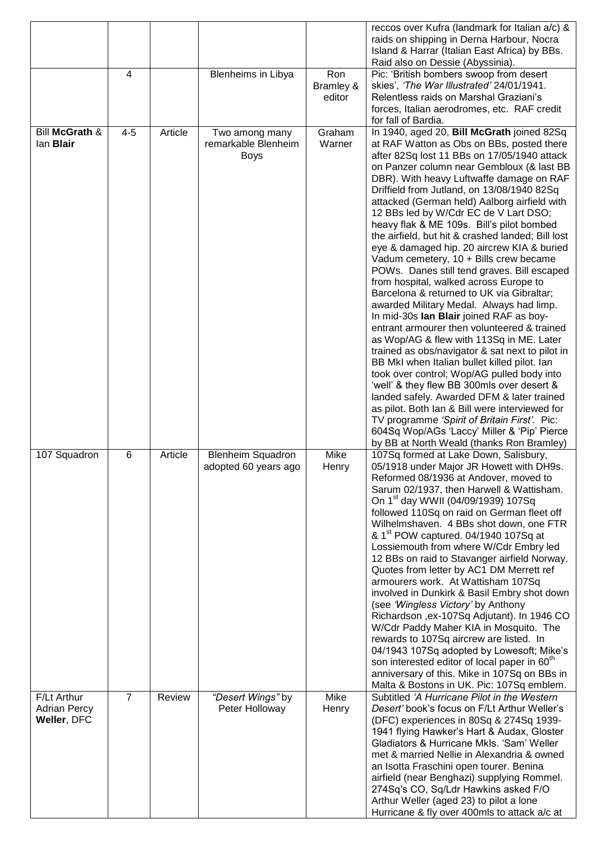|                                                   |                |         |                                                      |                            | reccos over Kufra (landmark for Italian a/c) &<br>raids on shipping in Derna Harbour, Nocra<br>Island & Harrar (Italian East Africa) by BBs.<br>Raid also on Dessie (Abyssinia).                                                                                                                                                                                                                                                                                                                                                                                                                                                                                                                                                                                                                                                                                                                                                                                                                                                                                                                                                                                                                                                                                                                                                    |
|---------------------------------------------------|----------------|---------|------------------------------------------------------|----------------------------|-------------------------------------------------------------------------------------------------------------------------------------------------------------------------------------------------------------------------------------------------------------------------------------------------------------------------------------------------------------------------------------------------------------------------------------------------------------------------------------------------------------------------------------------------------------------------------------------------------------------------------------------------------------------------------------------------------------------------------------------------------------------------------------------------------------------------------------------------------------------------------------------------------------------------------------------------------------------------------------------------------------------------------------------------------------------------------------------------------------------------------------------------------------------------------------------------------------------------------------------------------------------------------------------------------------------------------------|
|                                                   | 4              |         | Blenheims in Libya                                   | Ron<br>Bramley &<br>editor | Pic: 'British bombers swoop from desert<br>skies', 'The War Illustrated' 24/01/1941.<br>Relentless raids on Marshal Graziani's<br>forces, Italian aerodromes, etc. RAF credit<br>for fall of Bardia.                                                                                                                                                                                                                                                                                                                                                                                                                                                                                                                                                                                                                                                                                                                                                                                                                                                                                                                                                                                                                                                                                                                                |
| Bill McGrath &<br>lan <b>Blair</b>                | $4 - 5$        | Article | Two among many<br>remarkable Blenheim<br><b>Boys</b> | Graham<br>Warner           | In 1940, aged 20, Bill McGrath joined 82Sq<br>at RAF Watton as Obs on BBs, posted there<br>after 82Sq lost 11 BBs on 17/05/1940 attack<br>on Panzer column near Gembloux (& last BB<br>DBR). With heavy Luftwaffe damage on RAF<br>Driffield from Jutland, on 13/08/1940 82Sq<br>attacked (German held) Aalborg airfield with<br>12 BBs led by W/Cdr EC de V Lart DSO;<br>heavy flak & ME 109s. Bill's pilot bombed<br>the airfield, but hit & crashed landed; Bill lost<br>eye & damaged hip. 20 aircrew KIA & buried<br>Vadum cemetery, 10 + Bills crew became<br>POWs. Danes still tend graves. Bill escaped<br>from hospital, walked across Europe to<br>Barcelona & returned to UK via Gibraltar;<br>awarded Military Medal. Always had limp.<br>In mid-30s lan Blair joined RAF as boy-<br>entrant armourer then volunteered & trained<br>as Wop/AG & flew with 113Sq in ME. Later<br>trained as obs/navigator & sat next to pilot in<br>BB MkI when Italian bullet killed pilot. Ian<br>took over control; Wop/AG pulled body into<br>'well' & they flew BB 300mls over desert &<br>landed safely. Awarded DFM & later trained<br>as pilot. Both Ian & Bill were interviewed for<br>TV programme 'Spirit of Britain First'. Pic:<br>604Sq Wop/AGs 'Laccy' Miller & 'Pip' Pierce<br>by BB at North Weald (thanks Ron Bramley) |
| 107 Squadron                                      | 6              | Article | <b>Blenheim Squadron</b><br>adopted 60 years ago     | Mike<br>Henry              | 107Sq formed at Lake Down, Salisbury,<br>05/1918 under Major JR Howett with DH9s.<br>Reformed 08/1936 at Andover, moved to<br>Sarum 02/1937, then Harwell & Wattisham.<br>On 1 <sup>st</sup> day WWII (04/09/1939) 107Sq<br>followed 110Sq on raid on German fleet off<br>Wilhelmshaven. 4 BBs shot down, one FTR<br>& 1 <sup>st</sup> POW captured. 04/1940 107Sq at<br>Lossiemouth from where W/Cdr Embry led<br>12 BBs on raid to Stavanger airfield Norway.<br>Quotes from letter by AC1 DM Merrett ref<br>armourers work. At Wattisham 107Sq<br>involved in Dunkirk & Basil Embry shot down<br>(see 'Wingless Victory' by Anthony<br>Richardson, ex-107Sq Adjutant). In 1946 CO<br>W/Cdr Paddy Maher KIA in Mosquito. The<br>rewards to 107Sq aircrew are listed. In<br>04/1943 107Sq adopted by Lowesoft; Mike's<br>son interested editor of local paper in 60 <sup>th</sup><br>anniversary of this. Mike in 107Sq on BBs in<br>Malta & Bostons in UK. Pic: 107Sq emblem.                                                                                                                                                                                                                                                                                                                                                     |
| F/Lt Arthur<br><b>Adrian Percy</b><br>Weller, DFC | $\overline{7}$ | Review  | "Desert Wings" by<br>Peter Holloway                  | Mike<br>Henry              | Subtitled 'A Hurricane Pilot in the Western<br>Desert' book's focus on F/Lt Arthur Weller's<br>(DFC) experiences in 80Sq & 274Sq 1939-<br>1941 flying Hawker's Hart & Audax, Gloster<br>Gladiators & Hurricane Mkls. 'Sam' Weller<br>met & married Nellie in Alexandria & owned<br>an Isotta Fraschini open tourer. Benina<br>airfield (near Benghazi) supplying Rommel.<br>274Sq's CO, Sq/Ldr Hawkins asked F/O<br>Arthur Weller (aged 23) to pilot a lone<br>Hurricane & fly over 400mls to attack a/c at                                                                                                                                                                                                                                                                                                                                                                                                                                                                                                                                                                                                                                                                                                                                                                                                                         |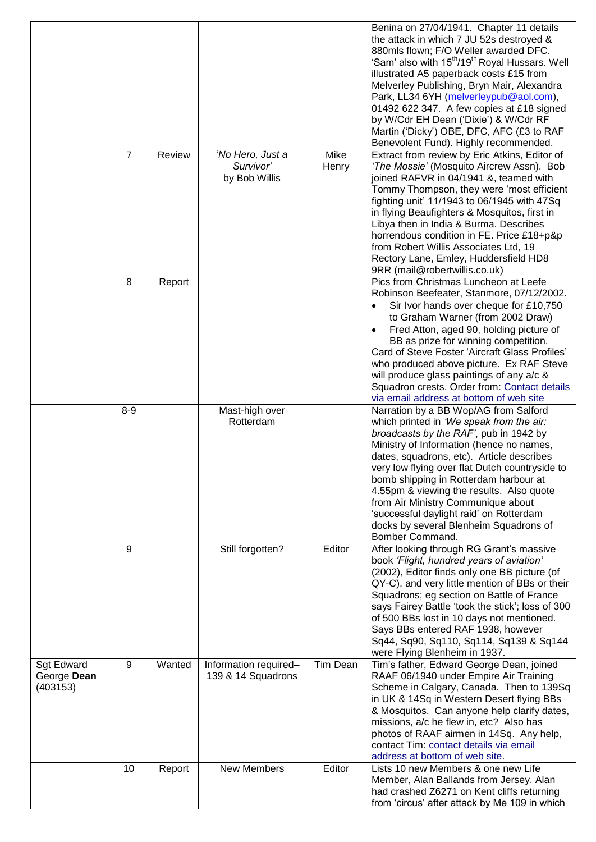|                                              |                |        |                                                |                 | Benina on 27/04/1941. Chapter 11 details<br>the attack in which 7 JU 52s destroyed &<br>880mls flown; F/O Weller awarded DFC.<br>'Sam' also with 15 <sup>th</sup> /19 <sup>th</sup> Royal Hussars. Well<br>illustrated A5 paperback costs £15 from<br>Melverley Publishing, Bryn Mair, Alexandra<br>Park, LL34 6YH (melverleypub@aol.com),<br>01492 622 347. A few copies at £18 signed<br>by W/Cdr EH Dean ('Dixie') & W/Cdr RF<br>Martin ('Dicky') OBE, DFC, AFC (£3 to RAF<br>Benevolent Fund). Highly recommended. |
|----------------------------------------------|----------------|--------|------------------------------------------------|-----------------|------------------------------------------------------------------------------------------------------------------------------------------------------------------------------------------------------------------------------------------------------------------------------------------------------------------------------------------------------------------------------------------------------------------------------------------------------------------------------------------------------------------------|
|                                              | $\overline{7}$ | Review | 'No Hero, Just a<br>Survivor'<br>by Bob Willis | Mike<br>Henry   | Extract from review by Eric Atkins, Editor of<br>'The Mossie' (Mosquito Aircrew Assn). Bob<br>joined RAFVR in 04/1941 &, teamed with<br>Tommy Thompson, they were 'most efficient<br>fighting unit' 11/1943 to 06/1945 with 47Sq<br>in flying Beaufighters & Mosquitos, first in<br>Libya then in India & Burma. Describes<br>horrendous condition in FE. Price £18+p&p<br>from Robert Willis Associates Ltd, 19<br>Rectory Lane, Emley, Huddersfield HD8<br>9RR (mail@robertwillis.co.uk)                             |
|                                              | 8              | Report |                                                |                 | Pics from Christmas Luncheon at Leefe<br>Robinson Beefeater, Stanmore, 07/12/2002.<br>Sir Ivor hands over cheque for £10,750<br>to Graham Warner (from 2002 Draw)<br>Fred Atton, aged 90, holding picture of<br>BB as prize for winning competition.<br>Card of Steve Foster 'Aircraft Glass Profiles'<br>who produced above picture. Ex RAF Steve<br>will produce glass paintings of any a/c &<br>Squadron crests. Order from: Contact details<br>via email address at bottom of web site                             |
|                                              | $8 - 9$        |        | Mast-high over<br>Rotterdam                    |                 | Narration by a BB Wop/AG from Salford<br>which printed in 'We speak from the air:<br>broadcasts by the RAF', pub in 1942 by<br>Ministry of Information (hence no names,<br>dates, squadrons, etc). Article describes<br>very low flying over flat Dutch countryside to<br>bomb shipping in Rotterdam harbour at<br>4.55pm & viewing the results. Also quote<br>from Air Ministry Communique about<br>'successful daylight raid' on Rotterdam<br>docks by several Blenheim Squadrons of<br>Bomber Command.              |
|                                              | 9              |        | Still forgotten?                               | Editor          | After looking through RG Grant's massive<br>book 'Flight, hundred years of aviation'<br>(2002), Editor finds only one BB picture (of<br>QY-C), and very little mention of BBs or their<br>Squadrons; eg section on Battle of France<br>says Fairey Battle 'took the stick'; loss of 300<br>of 500 BBs lost in 10 days not mentioned.<br>Says BBs entered RAF 1938, however<br>Sq44, Sq90, Sq110, Sq114, Sq139 & Sq144<br>were Flying Blenheim in 1937.                                                                 |
| <b>Sgt Edward</b><br>George Dean<br>(403153) | 9              | Wanted | Information required-<br>139 & 14 Squadrons    | <b>Tim Dean</b> | Tim's father, Edward George Dean, joined<br>RAAF 06/1940 under Empire Air Training<br>Scheme in Calgary, Canada. Then to 139Sq<br>in UK & 14Sq in Western Desert flying BBs<br>& Mosquitos. Can anyone help clarify dates,<br>missions, a/c he flew in, etc? Also has<br>photos of RAAF airmen in 14Sq. Any help,<br>contact Tim: contact details via email<br>address at bottom of web site.                                                                                                                          |
|                                              | 10             | Report | <b>New Members</b>                             | Editor          | Lists 10 new Members & one new Life<br>Member, Alan Ballands from Jersey. Alan<br>had crashed Z6271 on Kent cliffs returning<br>from 'circus' after attack by Me 109 in which                                                                                                                                                                                                                                                                                                                                          |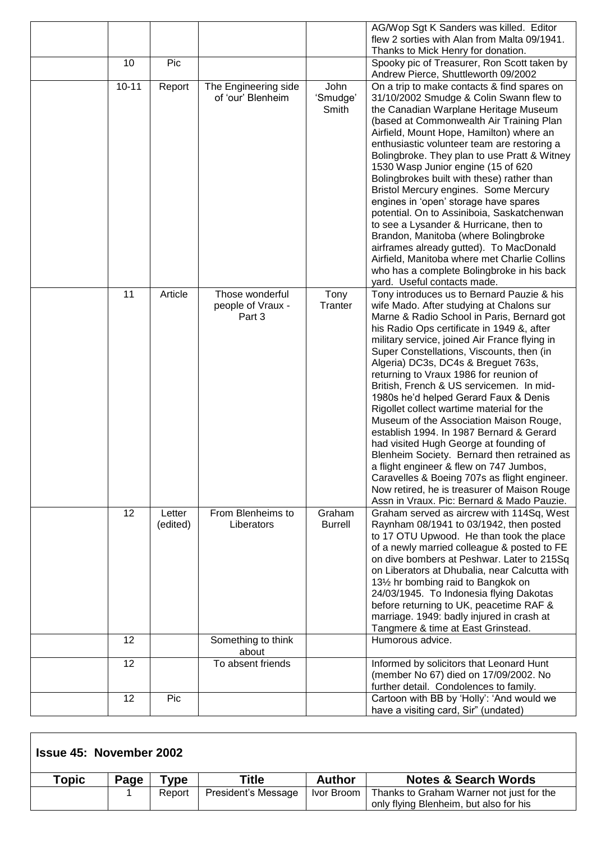|           |                    |                                                |                           | AG/Wop Sgt K Sanders was killed. Editor<br>flew 2 sorties with Alan from Malta 09/1941.<br>Thanks to Mick Henry for donation.                                                                                                                                                                                                                                                                                                                                                                                                                                                                                                                                                                                                                                                                                                                                                |
|-----------|--------------------|------------------------------------------------|---------------------------|------------------------------------------------------------------------------------------------------------------------------------------------------------------------------------------------------------------------------------------------------------------------------------------------------------------------------------------------------------------------------------------------------------------------------------------------------------------------------------------------------------------------------------------------------------------------------------------------------------------------------------------------------------------------------------------------------------------------------------------------------------------------------------------------------------------------------------------------------------------------------|
| 10        | Pic                |                                                |                           | Spooky pic of Treasurer, Ron Scott taken by<br>Andrew Pierce, Shuttleworth 09/2002                                                                                                                                                                                                                                                                                                                                                                                                                                                                                                                                                                                                                                                                                                                                                                                           |
| $10 - 11$ | Report             | The Engineering side<br>of 'our' Blenheim      | John<br>'Smudge'<br>Smith | On a trip to make contacts & find spares on<br>31/10/2002 Smudge & Colin Swann flew to<br>the Canadian Warplane Heritage Museum<br>(based at Commonwealth Air Training Plan<br>Airfield, Mount Hope, Hamilton) where an<br>enthusiastic volunteer team are restoring a<br>Bolingbroke. They plan to use Pratt & Witney<br>1530 Wasp Junior engine (15 of 620<br>Bolingbrokes built with these) rather than<br>Bristol Mercury engines. Some Mercury<br>engines in 'open' storage have spares<br>potential. On to Assiniboia, Saskatchenwan<br>to see a Lysander & Hurricane, then to<br>Brandon, Manitoba (where Bolingbroke<br>airframes already gutted). To MacDonald<br>Airfield, Manitoba where met Charlie Collins<br>who has a complete Bolingbroke in his back<br>yard. Useful contacts made.                                                                         |
| 11        | Article            | Those wonderful<br>people of Vraux -<br>Part 3 | Tony<br>Tranter           | Tony introduces us to Bernard Pauzie & his<br>wife Mado. After studying at Chalons sur<br>Marne & Radio School in Paris, Bernard got<br>his Radio Ops certificate in 1949 &, after<br>military service, joined Air France flying in<br>Super Constellations, Viscounts, then (in<br>Algeria) DC3s, DC4s & Breguet 763s,<br>returning to Vraux 1986 for reunion of<br>British, French & US servicemen. In mid-<br>1980s he'd helped Gerard Faux & Denis<br>Rigollet collect wartime material for the<br>Museum of the Association Maison Rouge,<br>establish 1994. In 1987 Bernard & Gerard<br>had visited Hugh George at founding of<br>Blenheim Society. Bernard then retrained as<br>a flight engineer & flew on 747 Jumbos,<br>Caravelles & Boeing 707s as flight engineer.<br>Now retired, he is treasurer of Maison Rouge<br>Assn in Vraux. Pic: Bernard & Mado Pauzie. |
| 12        | Letter<br>(edited) | From Blenheims to<br>Liberators                | Graham<br><b>Burrell</b>  | Graham served as aircrew with 114Sq, West<br>Raynham 08/1941 to 03/1942, then posted<br>to 17 OTU Upwood. He than took the place<br>of a newly married colleague & posted to FE<br>on dive bombers at Peshwar. Later to 215Sq<br>on Liberators at Dhubalia, near Calcutta with<br>131/2 hr bombing raid to Bangkok on<br>24/03/1945. To Indonesia flying Dakotas<br>before returning to UK, peacetime RAF &<br>marriage. 1949: badly injured in crash at<br>Tangmere & time at East Grinstead.                                                                                                                                                                                                                                                                                                                                                                               |
| 12        |                    | Something to think<br>about                    |                           | Humorous advice.                                                                                                                                                                                                                                                                                                                                                                                                                                                                                                                                                                                                                                                                                                                                                                                                                                                             |
| 12        |                    | To absent friends                              |                           | Informed by solicitors that Leonard Hunt<br>(member No 67) died on 17/09/2002. No<br>further detail. Condolences to family.                                                                                                                                                                                                                                                                                                                                                                                                                                                                                                                                                                                                                                                                                                                                                  |
| 12        | Pic                |                                                |                           | Cartoon with BB by 'Holly': 'And would we<br>have a visiting card, Sir" (undated)                                                                                                                                                                                                                                                                                                                                                                                                                                                                                                                                                                                                                                                                                                                                                                                            |

| <b>Issue 45: November 2002</b> |      |        |                     |            |                                                                                    |  |
|--------------------------------|------|--------|---------------------|------------|------------------------------------------------------------------------------------|--|
| Topic                          | Page | vpe:   | Title               | Author     | <b>Notes &amp; Search Words</b>                                                    |  |
|                                |      | Report | President's Message | Ivor Broom | Thanks to Graham Warner not just for the<br>only flying Blenheim, but also for his |  |

٦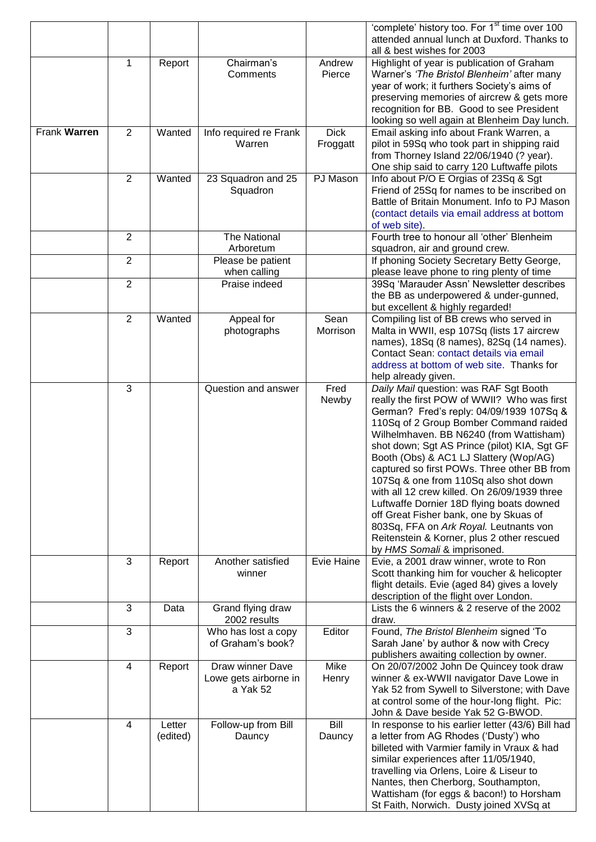|              |                |                    |                                                       |                         | 'complete' history too. For 1 <sup>st</sup> time over 100<br>attended annual lunch at Duxford. Thanks to                                                                                                                                                                                                                                                                                                                                                                                                                                                                                                                                                               |
|--------------|----------------|--------------------|-------------------------------------------------------|-------------------------|------------------------------------------------------------------------------------------------------------------------------------------------------------------------------------------------------------------------------------------------------------------------------------------------------------------------------------------------------------------------------------------------------------------------------------------------------------------------------------------------------------------------------------------------------------------------------------------------------------------------------------------------------------------------|
|              |                |                    |                                                       |                         | all & best wishes for 2003                                                                                                                                                                                                                                                                                                                                                                                                                                                                                                                                                                                                                                             |
|              | 1              | Report             | Chairman's<br>Comments                                | Andrew<br>Pierce        | Highlight of year is publication of Graham<br>Warner's 'The Bristol Blenheim' after many<br>year of work; it furthers Society's aims of<br>preserving memories of aircrew & gets more<br>recognition for BB. Good to see President<br>looking so well again at Blenheim Day lunch.                                                                                                                                                                                                                                                                                                                                                                                     |
| Frank Warren | $\overline{2}$ | Wanted             | Info required re Frank<br>Warren                      | <b>Dick</b><br>Froggatt | Email asking info about Frank Warren, a<br>pilot in 59Sq who took part in shipping raid<br>from Thorney Island 22/06/1940 (? year).<br>One ship said to carry 120 Luftwaffe pilots                                                                                                                                                                                                                                                                                                                                                                                                                                                                                     |
|              | $\overline{2}$ | Wanted             | 23 Squadron and 25<br>Squadron                        | PJ Mason                | Info about P/O E Orgias of 23Sq & Sgt<br>Friend of 25Sq for names to be inscribed on<br>Battle of Britain Monument. Info to PJ Mason<br>(contact details via email address at bottom<br>of web site).                                                                                                                                                                                                                                                                                                                                                                                                                                                                  |
|              | 2              |                    | The National<br>Arboretum                             |                         | Fourth tree to honour all 'other' Blenheim<br>squadron, air and ground crew.                                                                                                                                                                                                                                                                                                                                                                                                                                                                                                                                                                                           |
|              | $\overline{2}$ |                    | Please be patient<br>when calling                     |                         | If phoning Society Secretary Betty George,<br>please leave phone to ring plenty of time                                                                                                                                                                                                                                                                                                                                                                                                                                                                                                                                                                                |
|              | $\overline{2}$ |                    | Praise indeed                                         |                         | 39Sq 'Marauder Assn' Newsletter describes<br>the BB as underpowered & under-gunned,<br>but excellent & highly regarded!                                                                                                                                                                                                                                                                                                                                                                                                                                                                                                                                                |
|              | $\overline{2}$ | Wanted             | Appeal for<br>photographs                             | Sean<br>Morrison        | Compiling list of BB crews who served in<br>Malta in WWII, esp 107Sq (lists 17 aircrew<br>names), 18Sq (8 names), 82Sq (14 names).<br>Contact Sean: contact details via email<br>address at bottom of web site. Thanks for<br>help already given.                                                                                                                                                                                                                                                                                                                                                                                                                      |
|              | 3              |                    | Question and answer                                   | Fred<br>Newby           | Daily Mail question: was RAF Sgt Booth<br>really the first POW of WWII? Who was first<br>German? Fred's reply: 04/09/1939 107Sq &<br>110Sq of 2 Group Bomber Command raided<br>Wilhelmhaven. BB N6240 (from Wattisham)<br>shot down; Sgt AS Prince (pilot) KIA, Sgt GF<br>Booth (Obs) & AC1 LJ Slattery (Wop/AG)<br>captured so first POWs. Three other BB from<br>107Sq & one from 110Sq also shot down<br>with all 12 crew killed. On 26/09/1939 three<br>Luftwaffe Dornier 18D flying boats downed<br>off Great Fisher bank, one by Skuas of<br>803Sq, FFA on Ark Royal. Leutnants von<br>Reitenstein & Korner, plus 2 other rescued<br>by HMS Somali & imprisoned. |
|              | 3              | Report             | Another satisfied<br>winner                           | Evie Haine              | Evie, a 2001 draw winner, wrote to Ron<br>Scott thanking him for voucher & helicopter<br>flight details. Evie (aged 84) gives a lovely<br>description of the flight over London.                                                                                                                                                                                                                                                                                                                                                                                                                                                                                       |
|              | 3              | Data               | Grand flying draw<br>2002 results                     |                         | Lists the 6 winners & 2 reserve of the 2002<br>draw.                                                                                                                                                                                                                                                                                                                                                                                                                                                                                                                                                                                                                   |
|              | 3              |                    | Who has lost a copy<br>of Graham's book?              | Editor                  | Found, The Bristol Blenheim signed 'To<br>Sarah Jane' by author & now with Crecy<br>publishers awaiting collection by owner.                                                                                                                                                                                                                                                                                                                                                                                                                                                                                                                                           |
|              | 4              | Report             | Draw winner Dave<br>Lowe gets airborne in<br>a Yak 52 | Mike<br>Henry           | On 20/07/2002 John De Quincey took draw<br>winner & ex-WWII navigator Dave Lowe in<br>Yak 52 from Sywell to Silverstone; with Dave<br>at control some of the hour-long flight. Pic:<br>John & Dave beside Yak 52 G-BWOD.                                                                                                                                                                                                                                                                                                                                                                                                                                               |
|              | 4              | Letter<br>(edited) | Follow-up from Bill<br>Dauncy                         | Bill<br>Dauncy          | In response to his earlier letter (43/6) Bill had<br>a letter from AG Rhodes ('Dusty') who<br>billeted with Varmier family in Vraux & had<br>similar experiences after 11/05/1940,<br>travelling via Orlens, Loire & Liseur to<br>Nantes, then Cherborg, Southampton,<br>Wattisham (for eggs & bacon!) to Horsham<br>St Faith, Norwich. Dusty joined XVSq at                                                                                                                                                                                                                                                                                                           |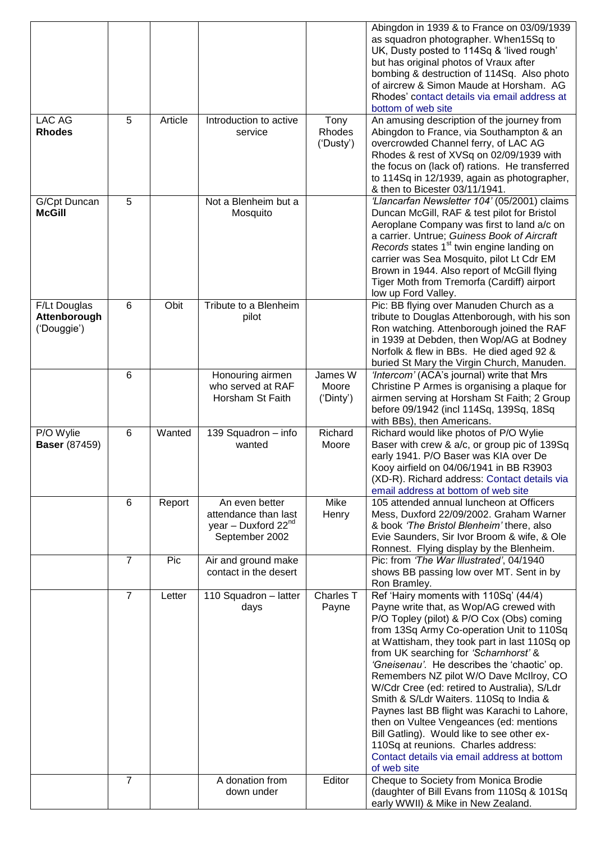|                                             |                |         |                                                                                             |                               | Abingdon in 1939 & to France on 03/09/1939<br>as squadron photographer. When15Sq to<br>UK, Dusty posted to 114Sq & 'lived rough'<br>but has original photos of Vraux after<br>bombing & destruction of 114Sq. Also photo<br>of aircrew & Simon Maude at Horsham. AG<br>Rhodes' contact details via email address at<br>bottom of web site                                                                                                                                                                                                                                                                                                                                                               |
|---------------------------------------------|----------------|---------|---------------------------------------------------------------------------------------------|-------------------------------|---------------------------------------------------------------------------------------------------------------------------------------------------------------------------------------------------------------------------------------------------------------------------------------------------------------------------------------------------------------------------------------------------------------------------------------------------------------------------------------------------------------------------------------------------------------------------------------------------------------------------------------------------------------------------------------------------------|
| LAC AG<br><b>Rhodes</b>                     | 5              | Article | Introduction to active<br>service                                                           | Tony<br>Rhodes<br>('Dusty')   | An amusing description of the journey from<br>Abingdon to France, via Southampton & an<br>overcrowded Channel ferry, of LAC AG<br>Rhodes & rest of XVSq on 02/09/1939 with<br>the focus on (lack of) rations. He transferred<br>to 114Sq in 12/1939, again as photographer,<br>& then to Bicester 03/11/1941.                                                                                                                                                                                                                                                                                                                                                                                           |
| G/Cpt Duncan<br><b>McGill</b>               | 5              |         | Not a Blenheim but a<br>Mosquito                                                            |                               | 'Llancarfan Newsletter 104' (05/2001) claims<br>Duncan McGill, RAF & test pilot for Bristol<br>Aeroplane Company was first to land a/c on<br>a carrier. Untrue; Guiness Book of Aircraft<br>Records states 1 <sup>st</sup> twin engine landing on<br>carrier was Sea Mosquito, pilot Lt Cdr EM<br>Brown in 1944. Also report of McGill flying<br>Tiger Moth from Tremorfa (Cardiff) airport<br>low up Ford Valley.                                                                                                                                                                                                                                                                                      |
| F/Lt Douglas<br>Attenborough<br>('Douggie') | 6              | Obit    | Tribute to a Blenheim<br>pilot                                                              |                               | Pic: BB flying over Manuden Church as a<br>tribute to Douglas Attenborough, with his son<br>Ron watching. Attenborough joined the RAF<br>in 1939 at Debden, then Wop/AG at Bodney<br>Norfolk & flew in BBs. He died aged 92 &<br>buried St Mary the Virgin Church, Manuden.                                                                                                                                                                                                                                                                                                                                                                                                                             |
|                                             | 6              |         | Honouring airmen<br>who served at RAF<br>Horsham St Faith                                   | James W<br>Moore<br>('Dinty') | 'Intercom' (ACA's journal) write that Mrs<br>Christine P Armes is organising a plaque for<br>airmen serving at Horsham St Faith; 2 Group<br>before 09/1942 (incl 114Sq, 139Sq, 18Sq<br>with BBs), then Americans.                                                                                                                                                                                                                                                                                                                                                                                                                                                                                       |
| P/O Wylie<br><b>Baser</b> (87459)           | 6              | Wanted  | 139 Squadron - info<br>wanted                                                               | Richard<br>Moore              | Richard would like photos of P/O Wylie<br>Baser with crew & a/c, or group pic of 139Sq<br>early 1941. P/O Baser was KIA over De<br>Kooy airfield on 04/06/1941 in BB R3903<br>(XD-R). Richard address: Contact details via<br>email address at bottom of web site                                                                                                                                                                                                                                                                                                                                                                                                                                       |
|                                             | 6              | Report  | An even better<br>attendance than last<br>year - Duxford 22 <sup>nd</sup><br>September 2002 | Mike<br>Henry                 | 105 attended annual luncheon at Officers<br>Mess, Duxford 22/09/2002. Graham Warner<br>& book 'The Bristol Blenheim' there, also<br>Evie Saunders, Sir Ivor Broom & wife, & Ole<br>Ronnest. Flying display by the Blenheim.                                                                                                                                                                                                                                                                                                                                                                                                                                                                             |
|                                             | $\overline{7}$ | Pic     | Air and ground make<br>contact in the desert                                                |                               | Pic: from 'The War Illustrated', 04/1940<br>shows BB passing low over MT. Sent in by<br>Ron Bramley.                                                                                                                                                                                                                                                                                                                                                                                                                                                                                                                                                                                                    |
|                                             | $\overline{7}$ | Letter  | 110 Squadron - latter<br>days                                                               | Charles <sub>T</sub><br>Payne | Ref 'Hairy moments with 110Sq' (44/4)<br>Payne write that, as Wop/AG crewed with<br>P/O Topley (pilot) & P/O Cox (Obs) coming<br>from 13Sq Army Co-operation Unit to 110Sq<br>at Wattisham, they took part in last 110Sq op<br>from UK searching for 'Scharnhorst' &<br>'Gneisenau'. He describes the 'chaotic' op.<br>Remembers NZ pilot W/O Dave McIlroy, CO<br>W/Cdr Cree (ed: retired to Australia), S/Ldr<br>Smith & S/Ldr Waiters. 110Sq to India &<br>Paynes last BB flight was Karachi to Lahore,<br>then on Vultee Vengeances (ed: mentions<br>Bill Gatling). Would like to see other ex-<br>110Sq at reunions. Charles address:<br>Contact details via email address at bottom<br>of web site |
|                                             | $\overline{7}$ |         | A donation from<br>down under                                                               | Editor                        | Cheque to Society from Monica Brodie<br>(daughter of Bill Evans from 110Sq & 101Sq<br>early WWII) & Mike in New Zealand.                                                                                                                                                                                                                                                                                                                                                                                                                                                                                                                                                                                |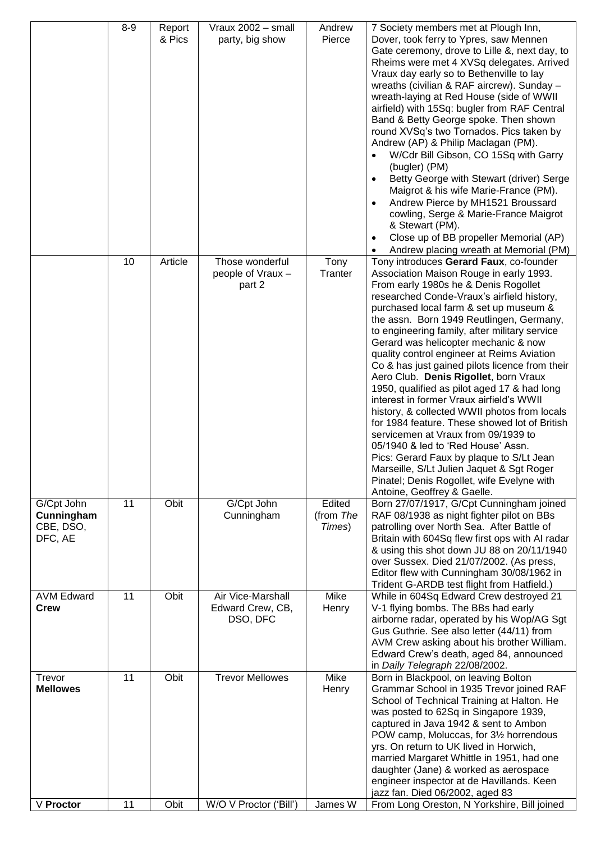|                                                  | $8 - 9$ | Report<br>& Pics | Vraux 2002 - small<br>party, big show             | Andrew<br>Pierce              | 7 Society members met at Plough Inn,<br>Dover, took ferry to Ypres, saw Mennen<br>Gate ceremony, drove to Lille &, next day, to<br>Rheims were met 4 XVSq delegates. Arrived<br>Vraux day early so to Bethenville to lay<br>wreaths (civilian & RAF aircrew). Sunday -<br>wreath-laying at Red House (side of WWII<br>airfield) with 15Sq: bugler from RAF Central<br>Band & Betty George spoke. Then shown<br>round XVSq's two Tornados. Pics taken by<br>Andrew (AP) & Philip Maclagan (PM).<br>W/Cdr Bill Gibson, CO 15Sq with Garry<br>(bugler) (PM)<br>Betty George with Stewart (driver) Serge<br>Maigrot & his wife Marie-France (PM).<br>Andrew Pierce by MH1521 Broussard<br>cowling, Serge & Marie-France Maigrot<br>& Stewart (PM).<br>Close up of BB propeller Memorial (AP)<br>Andrew placing wreath at Memorial (PM)                                                                                                              |
|--------------------------------------------------|---------|------------------|---------------------------------------------------|-------------------------------|-------------------------------------------------------------------------------------------------------------------------------------------------------------------------------------------------------------------------------------------------------------------------------------------------------------------------------------------------------------------------------------------------------------------------------------------------------------------------------------------------------------------------------------------------------------------------------------------------------------------------------------------------------------------------------------------------------------------------------------------------------------------------------------------------------------------------------------------------------------------------------------------------------------------------------------------------|
|                                                  | 10      | Article          | Those wonderful<br>people of Vraux -<br>part 2    | Tony<br>Tranter               | Tony introduces Gerard Faux, co-founder<br>Association Maison Rouge in early 1993.<br>From early 1980s he & Denis Rogollet<br>researched Conde-Vraux's airfield history,<br>purchased local farm & set up museum &<br>the assn. Born 1949 Reutlingen, Germany,<br>to engineering family, after military service<br>Gerard was helicopter mechanic & now<br>quality control engineer at Reims Aviation<br>Co & has just gained pilots licence from their<br>Aero Club. Denis Rigollet, born Vraux<br>1950, qualified as pilot aged 17 & had long<br>interest in former Vraux airfield's WWII<br>history, & collected WWII photos from locals<br>for 1984 feature. These showed lot of British<br>servicemen at Vraux from 09/1939 to<br>05/1940 & led to 'Red House' Assn.<br>Pics: Gerard Faux by plaque to S/Lt Jean<br>Marseille, S/Lt Julien Jaquet & Sgt Roger<br>Pinatel; Denis Rogollet, wife Evelyne with<br>Antoine, Geoffrey & Gaelle. |
| G/Cpt John<br>Cunningham<br>CBE, DSO,<br>DFC, AE | 11      | Obit             | G/Cpt John<br>Cunningham                          | Edited<br>(from The<br>Times) | Born 27/07/1917, G/Cpt Cunningham joined<br>RAF 08/1938 as night fighter pilot on BBs<br>patrolling over North Sea. After Battle of<br>Britain with 604Sq flew first ops with AI radar<br>& using this shot down JU 88 on 20/11/1940<br>over Sussex. Died 21/07/2002. (As press,<br>Editor flew with Cunningham 30/08/1962 in<br>Trident G-ARDB test flight from Hatfield.)                                                                                                                                                                                                                                                                                                                                                                                                                                                                                                                                                                     |
| <b>AVM Edward</b><br><b>Crew</b>                 | 11      | Obit             | Air Vice-Marshall<br>Edward Crew, CB,<br>DSO, DFC | Mike<br>Henry                 | While in 604Sq Edward Crew destroyed 21<br>V-1 flying bombs. The BBs had early<br>airborne radar, operated by his Wop/AG Sgt<br>Gus Guthrie. See also letter (44/11) from<br>AVM Crew asking about his brother William.<br>Edward Crew's death, aged 84, announced<br>in Daily Telegraph 22/08/2002.                                                                                                                                                                                                                                                                                                                                                                                                                                                                                                                                                                                                                                            |
| Trevor<br><b>Mellowes</b>                        | 11      | Obit             | <b>Trevor Mellowes</b>                            | Mike<br>Henry                 | Born in Blackpool, on leaving Bolton<br>Grammar School in 1935 Trevor joined RAF<br>School of Technical Training at Halton. He<br>was posted to 62Sq in Singapore 1939,<br>captured in Java 1942 & sent to Ambon<br>POW camp, Moluccas, for 31/2 horrendous<br>yrs. On return to UK lived in Horwich,<br>married Margaret Whittle in 1951, had one<br>daughter (Jane) & worked as aerospace<br>engineer inspector at de Havillands. Keen<br>jazz fan. Died 06/2002, aged 83                                                                                                                                                                                                                                                                                                                                                                                                                                                                     |
| V Proctor                                        | 11      | Obit             | W/O V Proctor ('Bill')                            | James W                       | From Long Oreston, N Yorkshire, Bill joined                                                                                                                                                                                                                                                                                                                                                                                                                                                                                                                                                                                                                                                                                                                                                                                                                                                                                                     |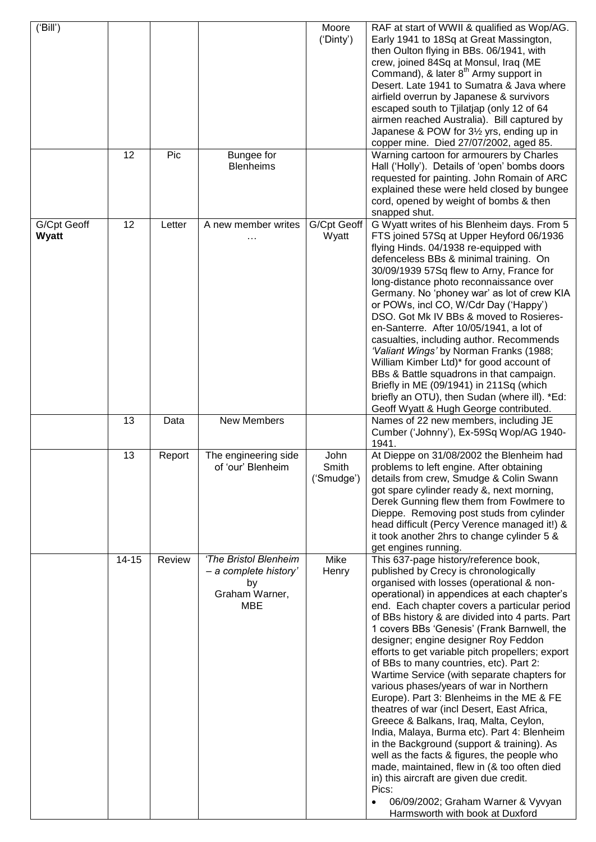| ('Bill')             |           |                |                                                                               | Moore<br>('Dinty')          | RAF at start of WWII & qualified as Wop/AG.<br>Early 1941 to 18Sq at Great Massington,<br>then Oulton flying in BBs. 06/1941, with<br>crew, joined 84Sq at Monsul, Iraq (ME<br>Command), & later 8 <sup>th</sup> Army support in<br>Desert. Late 1941 to Sumatra & Java where                                                                                                                                                                                                                                                                                                                                                                                                                                                                                                                                                                                                                                                                                                                                                            |
|----------------------|-----------|----------------|-------------------------------------------------------------------------------|-----------------------------|------------------------------------------------------------------------------------------------------------------------------------------------------------------------------------------------------------------------------------------------------------------------------------------------------------------------------------------------------------------------------------------------------------------------------------------------------------------------------------------------------------------------------------------------------------------------------------------------------------------------------------------------------------------------------------------------------------------------------------------------------------------------------------------------------------------------------------------------------------------------------------------------------------------------------------------------------------------------------------------------------------------------------------------|
|                      |           |                |                                                                               |                             | airfield overrun by Japanese & survivors<br>escaped south to Tjilatjap (only 12 of 64<br>airmen reached Australia). Bill captured by<br>Japanese & POW for 31/2 yrs, ending up in<br>copper mine. Died 27/07/2002, aged 85.                                                                                                                                                                                                                                                                                                                                                                                                                                                                                                                                                                                                                                                                                                                                                                                                              |
|                      | 12        | Pic            | Bungee for<br><b>Blenheims</b>                                                |                             | Warning cartoon for armourers by Charles<br>Hall ('Holly'). Details of 'open' bombs doors<br>requested for painting. John Romain of ARC<br>explained these were held closed by bungee<br>cord, opened by weight of bombs & then<br>snapped shut.                                                                                                                                                                                                                                                                                                                                                                                                                                                                                                                                                                                                                                                                                                                                                                                         |
| G/Cpt Geoff<br>Wyatt | 12<br>13  | Letter<br>Data | A new member writes<br>.<br>New Members                                       | G/Cpt Geoff<br>Wyatt        | G Wyatt writes of his Blenheim days. From 5<br>FTS joined 57Sq at Upper Heyford 06/1936<br>flying Hinds. 04/1938 re-equipped with<br>defenceless BBs & minimal training. On<br>30/09/1939 57Sq flew to Arny, France for<br>long-distance photo reconnaissance over<br>Germany. No 'phoney war' as lot of crew KIA<br>or POWs, incl CO, W/Cdr Day ('Happy')<br>DSO. Got Mk IV BBs & moved to Rosieres-<br>en-Santerre. After 10/05/1941, a lot of<br>casualties, including author. Recommends<br>'Valiant Wings' by Norman Franks (1988;<br>William Kimber Ltd)* for good account of<br>BBs & Battle squadrons in that campaign.<br>Briefly in ME (09/1941) in 211Sq (which<br>briefly an OTU), then Sudan (where ill). *Ed:<br>Geoff Wyatt & Hugh George contributed.<br>Names of 22 new members, including JE                                                                                                                                                                                                                           |
|                      |           |                |                                                                               |                             | Cumber ('Johnny'), Ex-59Sq Wop/AG 1940-<br>1941.                                                                                                                                                                                                                                                                                                                                                                                                                                                                                                                                                                                                                                                                                                                                                                                                                                                                                                                                                                                         |
|                      | 13        | Report         | The engineering side<br>of 'our' Blenheim                                     | John<br>Smith<br>('Smudge') | At Dieppe on 31/08/2002 the Blenheim had<br>problems to left engine. After obtaining<br>details from crew, Smudge & Colin Swann<br>got spare cylinder ready &, next morning,<br>Derek Gunning flew them from Fowlmere to<br>Dieppe. Removing post studs from cylinder<br>head difficult (Percy Verence managed it!) &<br>it took another 2hrs to change cylinder 5 &<br>get engines running.                                                                                                                                                                                                                                                                                                                                                                                                                                                                                                                                                                                                                                             |
|                      | $14 - 15$ | Review         | 'The Bristol Blenheim<br>- a complete history'<br>by<br>Graham Warner,<br>MBE | Mike<br>Henry               | This 637-page history/reference book,<br>published by Crecy is chronologically<br>organised with losses (operational & non-<br>operational) in appendices at each chapter's<br>end. Each chapter covers a particular period<br>of BBs history & are divided into 4 parts. Part<br>1 covers BBs 'Genesis' (Frank Barnwell, the<br>designer; engine designer Roy Feddon<br>efforts to get variable pitch propellers; export<br>of BBs to many countries, etc). Part 2:<br>Wartime Service (with separate chapters for<br>various phases/years of war in Northern<br>Europe). Part 3: Blenheims in the ME & FE<br>theatres of war (incl Desert, East Africa,<br>Greece & Balkans, Iraq, Malta, Ceylon,<br>India, Malaya, Burma etc). Part 4: Blenheim<br>in the Background (support & training). As<br>well as the facts & figures, the people who<br>made, maintained, flew in (& too often died<br>in) this aircraft are given due credit.<br>Pics:<br>06/09/2002; Graham Warner & Vyvyan<br>$\bullet$<br>Harmsworth with book at Duxford |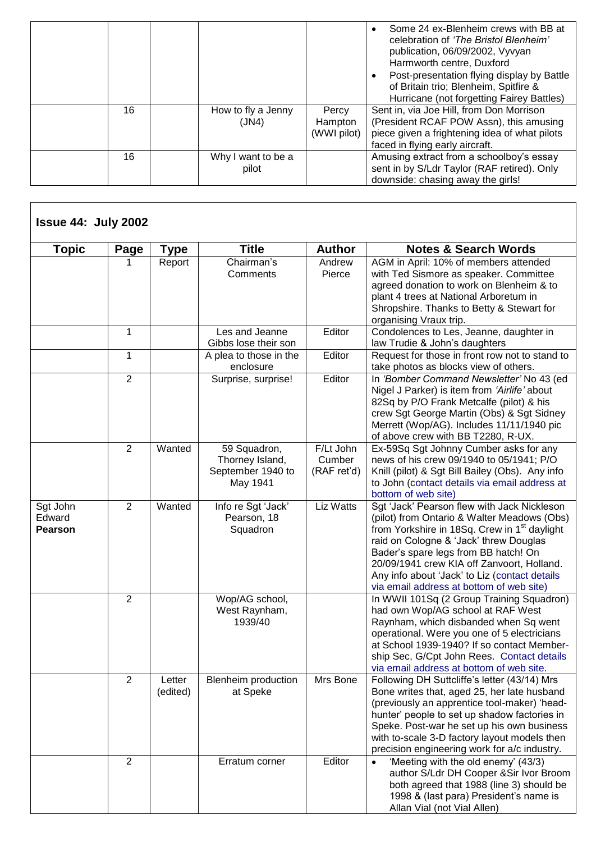|    |                             |                                 | Some 24 ex-Blenheim crews with BB at<br>celebration of 'The Bristol Blenheim'<br>publication, 06/09/2002, Vyvyan<br>Harmworth centre, Duxford<br>Post-presentation flying display by Battle<br>of Britain trio; Blenheim, Spitfire &<br>Hurricane (not forgetting Fairey Battles) |
|----|-----------------------------|---------------------------------|-----------------------------------------------------------------------------------------------------------------------------------------------------------------------------------------------------------------------------------------------------------------------------------|
| 16 | How to fly a Jenny<br>(JN4) | Percy<br>Hampton<br>(WWI pilot) | Sent in, via Joe Hill, from Don Morrison<br>(President RCAF POW Assn), this amusing<br>piece given a frightening idea of what pilots<br>faced in flying early aircraft.                                                                                                           |
| 16 | Why I want to be a<br>pilot |                                 | Amusing extract from a schoolboy's essay<br>sent in by S/Ldr Taylor (RAF retired). Only<br>downside: chasing away the girls!                                                                                                                                                      |

| <b>Issue 44: July 2002</b>           |                |                    |                                                                  |                                    |                                                                                                                                                                                                                                                                                                                                                                                     |
|--------------------------------------|----------------|--------------------|------------------------------------------------------------------|------------------------------------|-------------------------------------------------------------------------------------------------------------------------------------------------------------------------------------------------------------------------------------------------------------------------------------------------------------------------------------------------------------------------------------|
| <b>Topic</b>                         | Page           | <b>Type</b>        | <b>Title</b>                                                     | <b>Author</b>                      | <b>Notes &amp; Search Words</b>                                                                                                                                                                                                                                                                                                                                                     |
|                                      | 1              | Report             | Chairman's<br>Comments                                           | Andrew<br>Pierce                   | AGM in April: 10% of members attended<br>with Ted Sismore as speaker. Committee<br>agreed donation to work on Blenheim & to<br>plant 4 trees at National Arboretum in<br>Shropshire. Thanks to Betty & Stewart for<br>organising Vraux trip.                                                                                                                                        |
|                                      | 1              |                    | Les and Jeanne<br>Gibbs lose their son                           | Editor                             | Condolences to Les, Jeanne, daughter in<br>law Trudie & John's daughters                                                                                                                                                                                                                                                                                                            |
|                                      | 1              |                    | A plea to those in the<br>enclosure                              | Editor                             | Request for those in front row not to stand to<br>take photos as blocks view of others.                                                                                                                                                                                                                                                                                             |
|                                      | $\overline{2}$ |                    | Surprise, surprise!                                              | Editor                             | In 'Bomber Command Newsletter' No 43 (ed<br>Nigel J Parker) is item from 'Airlife' about<br>82Sq by P/O Frank Metcalfe (pilot) & his<br>crew Sgt George Martin (Obs) & Sgt Sidney<br>Merrett (Wop/AG). Includes 11/11/1940 pic<br>of above crew with BB T2280, R-UX.                                                                                                                |
|                                      | $\overline{2}$ | Wanted             | 59 Squadron,<br>Thorney Island,<br>September 1940 to<br>May 1941 | F/Lt John<br>Cumber<br>(RAF ret'd) | Ex-59Sq Sgt Johnny Cumber asks for any<br>news of his crew 09/1940 to 05/1941; P/O<br>Knill (pilot) & Sgt Bill Bailey (Obs). Any info<br>to John (contact details via email address at<br>bottom of web site)                                                                                                                                                                       |
| Sgt John<br>Edward<br><b>Pearson</b> | $\overline{2}$ | Wanted             | Info re Sgt 'Jack'<br>Pearson, 18<br>Squadron                    | Liz Watts                          | Sgt 'Jack' Pearson flew with Jack Nickleson<br>(pilot) from Ontario & Walter Meadows (Obs)<br>from Yorkshire in 18Sq. Crew in 1 <sup>st</sup> daylight<br>raid on Cologne & 'Jack' threw Douglas<br>Bader's spare legs from BB hatch! On<br>20/09/1941 crew KIA off Zanvoort, Holland.<br>Any info about 'Jack' to Liz (contact details<br>via email address at bottom of web site) |
|                                      | $\overline{2}$ |                    | Wop/AG school,<br>West Raynham,<br>1939/40                       |                                    | In WWII 101Sq (2 Group Training Squadron)<br>had own Wop/AG school at RAF West<br>Raynham, which disbanded when Sq went<br>operational. Were you one of 5 electricians<br>at School 1939-1940? If so contact Member-<br>ship Sec, G/Cpt John Rees. Contact details<br>via email address at bottom of web site.                                                                      |
|                                      | 2              | Letter<br>(edited) | Blenheim production<br>at Speke                                  | Mrs Bone                           | Following DH Suttcliffe's letter (43/14) Mrs<br>Bone writes that, aged 25, her late husband<br>(previously an apprentice tool-maker) 'head-<br>hunter' people to set up shadow factories in<br>Speke. Post-war he set up his own business<br>with to-scale 3-D factory layout models then<br>precision engineering work for a/c industry.                                           |
|                                      | 2              |                    | Erratum corner                                                   | Editor                             | 'Meeting with the old enemy' (43/3)<br>author S/Ldr DH Cooper & Sir Ivor Broom<br>both agreed that 1988 (line 3) should be<br>1998 & (last para) President's name is<br>Allan Vial (not Vial Allen)                                                                                                                                                                                 |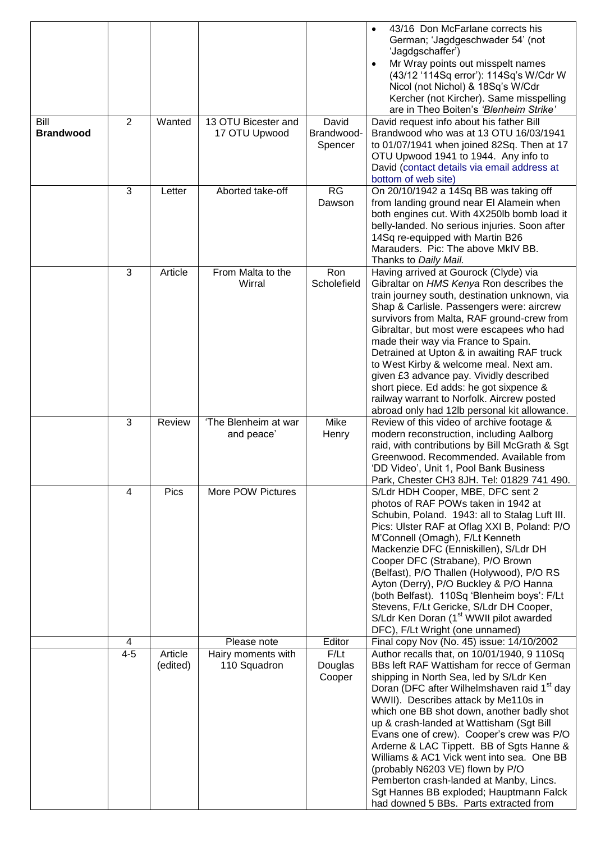|                          |         |          |                                      |                                | 43/16 Don McFarlane corrects his<br>German; 'Jagdgeschwader 54' (not<br>'Jagdgschaffer')<br>Mr Wray points out misspelt names<br>$\bullet$<br>(43/12 '114Sq error'): 114Sq's W/Cdr W<br>Nicol (not Nichol) & 18Sq's W/Cdr<br>Kercher (not Kircher). Same misspelling<br>are in Theo Boiten's 'Blenheim Strike'                                                                                                                                                                                                                                                                                |
|--------------------------|---------|----------|--------------------------------------|--------------------------------|-----------------------------------------------------------------------------------------------------------------------------------------------------------------------------------------------------------------------------------------------------------------------------------------------------------------------------------------------------------------------------------------------------------------------------------------------------------------------------------------------------------------------------------------------------------------------------------------------|
| Bill<br><b>Brandwood</b> | 2       | Wanted   | 13 OTU Bicester and<br>17 OTU Upwood | David<br>Brandwood-<br>Spencer | David request info about his father Bill<br>Brandwood who was at 13 OTU 16/03/1941<br>to 01/07/1941 when joined 82Sq. Then at 17<br>OTU Upwood 1941 to 1944. Any info to<br>David (contact details via email address at<br>bottom of web site)                                                                                                                                                                                                                                                                                                                                                |
|                          | 3       | Letter   | Aborted take-off                     | RG<br>Dawson                   | On 20/10/1942 a 14Sq BB was taking off<br>from landing ground near El Alamein when<br>both engines cut. With 4X250lb bomb load it<br>belly-landed. No serious injuries. Soon after<br>14Sq re-equipped with Martin B26<br>Marauders. Pic: The above MkIV BB.<br>Thanks to Daily Mail.                                                                                                                                                                                                                                                                                                         |
|                          | 3       | Article  | From Malta to the<br>Wirral          | Ron<br>Scholefield             | Having arrived at Gourock (Clyde) via<br>Gibraltar on HMS Kenya Ron describes the<br>train journey south, destination unknown, via<br>Shap & Carlisle. Passengers were: aircrew<br>survivors from Malta, RAF ground-crew from<br>Gibraltar, but most were escapees who had<br>made their way via France to Spain.<br>Detrained at Upton & in awaiting RAF truck<br>to West Kirby & welcome meal. Next am.<br>given £3 advance pay. Vividly described<br>short piece. Ed adds: he got sixpence &<br>railway warrant to Norfolk. Aircrew posted<br>abroad only had 12lb personal kit allowance. |
|                          | 3       | Review   | 'The Blenheim at war<br>and peace'   | Mike<br>Henry                  | Review of this video of archive footage &<br>modern reconstruction, including Aalborg<br>raid, with contributions by Bill McGrath & Sqt<br>Greenwood. Recommended. Available from<br>'DD Video', Unit 1, Pool Bank Business<br>Park, Chester CH3 8JH. Tel: 01829 741 490.                                                                                                                                                                                                                                                                                                                     |
|                          | 4       | Pics     | More POW Pictures                    |                                | S/Ldr HDH Cooper, MBE, DFC sent 2<br>photos of RAF POWs taken in 1942 at<br>Schubin, Poland. 1943: all to Stalag Luft III.<br>Pics: Ulster RAF at Oflag XXI B, Poland: P/O<br>M'Connell (Omagh), F/Lt Kenneth<br>Mackenzie DFC (Enniskillen), S/Ldr DH<br>Cooper DFC (Strabane), P/O Brown<br>(Belfast), P/O Thallen (Holywood), P/O RS<br>Ayton (Derry), P/O Buckley & P/O Hanna<br>(both Belfast). 110Sq 'Blenheim boys': F/Lt<br>Stevens, F/Lt Gericke, S/Ldr DH Cooper,<br>S/Ldr Ken Doran (1 <sup>st</sup> WWII pilot awarded<br>DFC), F/Lt Wright (one unnamed)                         |
|                          | 4       |          | Please note                          | Editor                         | Final copy Nov (No. 45) issue: 14/10/2002                                                                                                                                                                                                                                                                                                                                                                                                                                                                                                                                                     |
|                          | $4 - 5$ | Article  | Hairy moments with                   | F/Lt                           | Author recalls that, on 10/01/1940, 9 110Sq                                                                                                                                                                                                                                                                                                                                                                                                                                                                                                                                                   |
|                          |         | (edited) | 110 Squadron                         | Douglas<br>Cooper              | BBs left RAF Wattisham for recce of German<br>shipping in North Sea, led by S/Ldr Ken<br>Doran (DFC after Wilhelmshaven raid 1 <sup>st</sup> day<br>WWII). Describes attack by Me110s in<br>which one BB shot down, another badly shot<br>up & crash-landed at Wattisham (Sgt Bill<br>Evans one of crew). Cooper's crew was P/O<br>Arderne & LAC Tippett. BB of Sgts Hanne &<br>Williams & AC1 Vick went into sea. One BB<br>(probably N6203 VE) flown by P/O<br>Pemberton crash-landed at Manby, Lincs.<br>Sgt Hannes BB exploded; Hauptmann Falck<br>had downed 5 BBs. Parts extracted from |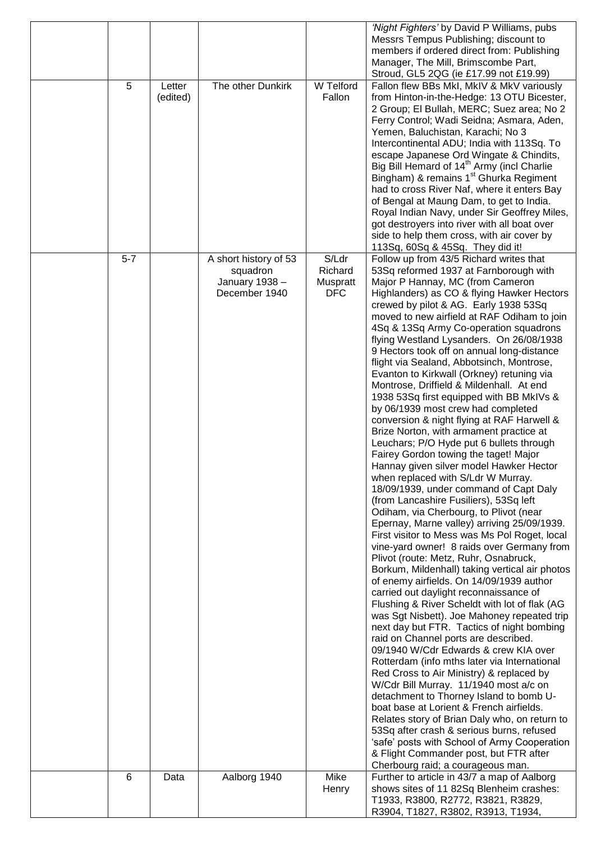|         |          |                       |                  | 'Night Fighters' by David P Williams, pubs                                                        |
|---------|----------|-----------------------|------------------|---------------------------------------------------------------------------------------------------|
|         |          |                       |                  | Messrs Tempus Publishing; discount to                                                             |
|         |          |                       |                  | members if ordered direct from: Publishing                                                        |
|         |          |                       |                  | Manager, The Mill, Brimscombe Part,                                                               |
|         |          |                       |                  | Stroud, GL5 2QG (ie £17.99 not £19.99)                                                            |
| 5       | Letter   | The other Dunkirk     | <b>W</b> Telford | Fallon flew BBs MkI, MkIV & MkV variously                                                         |
|         | (edited) |                       | Fallon           | from Hinton-in-the-Hedge: 13 OTU Bicester,                                                        |
|         |          |                       |                  | 2 Group; El Bullah, MERC; Suez area; No 2                                                         |
|         |          |                       |                  | Ferry Control; Wadi Seidna; Asmara, Aden,                                                         |
|         |          |                       |                  | Yemen, Baluchistan, Karachi; No 3                                                                 |
|         |          |                       |                  | Intercontinental ADU; India with 113Sq. To                                                        |
|         |          |                       |                  |                                                                                                   |
|         |          |                       |                  | escape Japanese Ord Wingate & Chindits,<br>Big Bill Hemard of 14 <sup>th</sup> Army (incl Charlie |
|         |          |                       |                  | Bingham) & remains 1 <sup>st</sup> Ghurka Regiment                                                |
|         |          |                       |                  |                                                                                                   |
|         |          |                       |                  | had to cross River Naf, where it enters Bay                                                       |
|         |          |                       |                  | of Bengal at Maung Dam, to get to India.                                                          |
|         |          |                       |                  | Royal Indian Navy, under Sir Geoffrey Miles,                                                      |
|         |          |                       |                  | got destroyers into river with all boat over                                                      |
|         |          |                       |                  | side to help them cross, with air cover by                                                        |
|         |          |                       |                  | 113Sq, 60Sq & 45Sq. They did it!                                                                  |
| $5 - 7$ |          | A short history of 53 | S/Ldr            | Follow up from 43/5 Richard writes that                                                           |
|         |          | squadron              | Richard          | 53Sq reformed 1937 at Farnborough with                                                            |
|         |          | January 1938 -        | Muspratt         | Major P Hannay, MC (from Cameron                                                                  |
|         |          | December 1940         | <b>DFC</b>       | Highlanders) as CO & flying Hawker Hectors                                                        |
|         |          |                       |                  | crewed by pilot & AG. Early 1938 53Sq                                                             |
|         |          |                       |                  | moved to new airfield at RAF Odiham to join                                                       |
|         |          |                       |                  | 4Sq & 13Sq Army Co-operation squadrons                                                            |
|         |          |                       |                  | flying Westland Lysanders. On 26/08/1938                                                          |
|         |          |                       |                  | 9 Hectors took off on annual long-distance                                                        |
|         |          |                       |                  | flight via Sealand, Abbotsinch, Montrose,                                                         |
|         |          |                       |                  | Evanton to Kirkwall (Orkney) retuning via                                                         |
|         |          |                       |                  | Montrose, Driffield & Mildenhall. At end                                                          |
|         |          |                       |                  | 1938 53Sq first equipped with BB MkIVs &                                                          |
|         |          |                       |                  | by 06/1939 most crew had completed                                                                |
|         |          |                       |                  | conversion & night flying at RAF Harwell &                                                        |
|         |          |                       |                  | Brize Norton, with armament practice at                                                           |
|         |          |                       |                  | Leuchars; P/O Hyde put 6 bullets through                                                          |
|         |          |                       |                  | Fairey Gordon towing the taget! Major                                                             |
|         |          |                       |                  | Hannay given silver model Hawker Hector                                                           |
|         |          |                       |                  | when replaced with S/Ldr W Murray.                                                                |
|         |          |                       |                  | 18/09/1939, under command of Capt Daly                                                            |
|         |          |                       |                  | (from Lancashire Fusiliers), 53Sq left                                                            |
|         |          |                       |                  | Odiham, via Cherbourg, to Plivot (near                                                            |
|         |          |                       |                  | Epernay, Marne valley) arriving 25/09/1939.<br>First visitor to Mess was Ms Pol Roget, local      |
|         |          |                       |                  |                                                                                                   |
|         |          |                       |                  | vine-yard owner! 8 raids over Germany from                                                        |
|         |          |                       |                  | Plivot (route: Metz, Ruhr, Osnabruck,<br>Borkum, Mildenhall) taking vertical air photos           |
|         |          |                       |                  | of enemy airfields. On 14/09/1939 author                                                          |
|         |          |                       |                  | carried out daylight reconnaissance of                                                            |
|         |          |                       |                  | Flushing & River Scheldt with lot of flak (AG                                                     |
|         |          |                       |                  | was Sgt Nisbett). Joe Mahoney repeated trip                                                       |
|         |          |                       |                  | next day but FTR. Tactics of night bombing                                                        |
|         |          |                       |                  | raid on Channel ports are described.                                                              |
|         |          |                       |                  | 09/1940 W/Cdr Edwards & crew KIA over                                                             |
|         |          |                       |                  | Rotterdam (info mths later via International                                                      |
|         |          |                       |                  | Red Cross to Air Ministry) & replaced by                                                          |
|         |          |                       |                  | W/Cdr Bill Murray. 11/1940 most a/c on                                                            |
|         |          |                       |                  | detachment to Thorney Island to bomb U-                                                           |
|         |          |                       |                  | boat base at Lorient & French airfields.                                                          |
|         |          |                       |                  | Relates story of Brian Daly who, on return to                                                     |
|         |          |                       |                  | 53Sq after crash & serious burns, refused                                                         |
|         |          |                       |                  | 'safe' posts with School of Army Cooperation                                                      |
|         |          |                       |                  | & Flight Commander post, but FTR after                                                            |
|         |          |                       |                  | Cherbourg raid; a courageous man.                                                                 |
| 6       | Data     | Aalborg 1940          | Mike             | Further to article in 43/7 a map of Aalborg                                                       |
|         |          |                       | Henry            | shows sites of 11 82Sq Blenheim crashes:                                                          |
|         |          |                       |                  | T1933, R3800, R2772, R3821, R3829,                                                                |
|         |          |                       |                  | R3904, T1827, R3802, R3913, T1934,                                                                |
|         |          |                       |                  |                                                                                                   |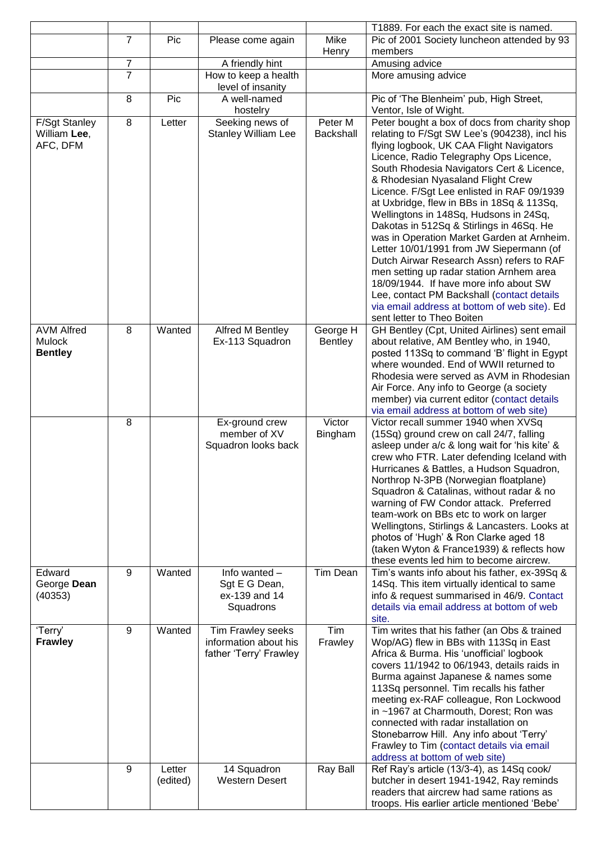|                                                  |                |                    |                                                                      |                            | T1889. For each the exact site is named.                                                                                                                                                                                                                                                                                                                                                                                                                                                                                                                                                                                                                                                                                                                                                                        |
|--------------------------------------------------|----------------|--------------------|----------------------------------------------------------------------|----------------------------|-----------------------------------------------------------------------------------------------------------------------------------------------------------------------------------------------------------------------------------------------------------------------------------------------------------------------------------------------------------------------------------------------------------------------------------------------------------------------------------------------------------------------------------------------------------------------------------------------------------------------------------------------------------------------------------------------------------------------------------------------------------------------------------------------------------------|
|                                                  | $\overline{7}$ | Pic                | Please come again                                                    | Mike                       | Pic of 2001 Society luncheon attended by 93                                                                                                                                                                                                                                                                                                                                                                                                                                                                                                                                                                                                                                                                                                                                                                     |
|                                                  | $\overline{7}$ |                    |                                                                      | Henry                      | members<br>Amusing advice                                                                                                                                                                                                                                                                                                                                                                                                                                                                                                                                                                                                                                                                                                                                                                                       |
|                                                  | $\overline{7}$ |                    | A friendly hint<br>How to keep a health                              |                            | More amusing advice                                                                                                                                                                                                                                                                                                                                                                                                                                                                                                                                                                                                                                                                                                                                                                                             |
|                                                  |                |                    | level of insanity                                                    |                            |                                                                                                                                                                                                                                                                                                                                                                                                                                                                                                                                                                                                                                                                                                                                                                                                                 |
|                                                  | 8              | Pic                | A well-named<br>hostelry                                             |                            | Pic of 'The Blenheim' pub, High Street,<br>Ventor, Isle of Wight.                                                                                                                                                                                                                                                                                                                                                                                                                                                                                                                                                                                                                                                                                                                                               |
| <b>F/Sgt Stanley</b><br>William Lee,<br>AFC, DFM | 8              | Letter             | Seeking news of<br><b>Stanley William Lee</b>                        | Peter M<br>Backshall       | Peter bought a box of docs from charity shop<br>relating to F/Sgt SW Lee's (904238), incl his<br>flying logbook, UK CAA Flight Navigators<br>Licence, Radio Telegraphy Ops Licence,<br>South Rhodesia Navigators Cert & Licence,<br>& Rhodesian Nyasaland Flight Crew<br>Licence. F/Sgt Lee enlisted in RAF 09/1939<br>at Uxbridge, flew in BBs in 18Sq & 113Sq,<br>Wellingtons in 148Sq, Hudsons in 24Sq,<br>Dakotas in 512Sq & Stirlings in 46Sq. He<br>was in Operation Market Garden at Arnheim.<br>Letter 10/01/1991 from JW Siepermann (of<br>Dutch Airwar Research Assn) refers to RAF<br>men setting up radar station Arnhem area<br>18/09/1944. If have more info about SW<br>Lee, contact PM Backshall (contact details<br>via email address at bottom of web site). Ed<br>sent letter to Theo Boiten |
| <b>AVM Alfred</b><br>Mulock<br><b>Bentley</b>    | 8              | Wanted             | Alfred M Bentley<br>Ex-113 Squadron                                  | George H<br><b>Bentley</b> | GH Bentley (Cpt, United Airlines) sent email<br>about relative, AM Bentley who, in 1940,<br>posted 113Sq to command 'B' flight in Egypt<br>where wounded. End of WWII returned to<br>Rhodesia were served as AVM in Rhodesian<br>Air Force. Any info to George (a society<br>member) via current editor (contact details<br>via email address at bottom of web site)                                                                                                                                                                                                                                                                                                                                                                                                                                            |
|                                                  | 8              |                    | Ex-ground crew<br>member of XV<br>Squadron looks back                | Victor<br>Bingham          | Victor recall summer 1940 when XVSq<br>(15Sq) ground crew on call 24/7, falling<br>asleep under a/c & long wait for 'his kite' &<br>crew who FTR. Later defending Iceland with<br>Hurricanes & Battles, a Hudson Squadron,<br>Northrop N-3PB (Norwegian floatplane)<br>Squadron & Catalinas, without radar & no<br>warning of FW Condor attack. Preferred<br>team-work on BBs etc to work on larger<br>Wellingtons, Stirlings & Lancasters. Looks at<br>photos of 'Hugh' & Ron Clarke aged 18<br>(taken Wyton & France 1939) & reflects how<br>these events led him to become aircrew.                                                                                                                                                                                                                          |
| Edward<br>George Dean<br>(40353)                 | 9              | Wanted             | Info wanted -<br>Sgt E G Dean,<br>ex-139 and 14<br>Squadrons         | Tim Dean                   | Tim's wants info about his father, ex-39Sq &<br>14Sq. This item virtually identical to same<br>info & request summarised in 46/9. Contact<br>details via email address at bottom of web<br>site.                                                                                                                                                                                                                                                                                                                                                                                                                                                                                                                                                                                                                |
| 'Terry'<br><b>Frawley</b>                        | 9              | Wanted             | Tim Frawley seeks<br>information about his<br>father 'Terry' Frawley | Tim<br>Frawley             | Tim writes that his father (an Obs & trained<br>Wop/AG) flew in BBs with 113Sq in East<br>Africa & Burma. His 'unofficial' logbook<br>covers 11/1942 to 06/1943, details raids in<br>Burma against Japanese & names some<br>113Sq personnel. Tim recalls his father<br>meeting ex-RAF colleague, Ron Lockwood<br>in ~1967 at Charmouth, Dorest; Ron was<br>connected with radar installation on<br>Stonebarrow Hill. Any info about 'Terry'<br>Frawley to Tim (contact details via email<br>address at bottom of web site)                                                                                                                                                                                                                                                                                      |
|                                                  | 9              | Letter<br>(edited) | 14 Squadron<br><b>Western Desert</b>                                 | Ray Ball                   | Ref Ray's article (13/3-4), as 14Sq cook/<br>butcher in desert 1941-1942, Ray reminds<br>readers that aircrew had same rations as<br>troops. His earlier article mentioned 'Bebe'                                                                                                                                                                                                                                                                                                                                                                                                                                                                                                                                                                                                                               |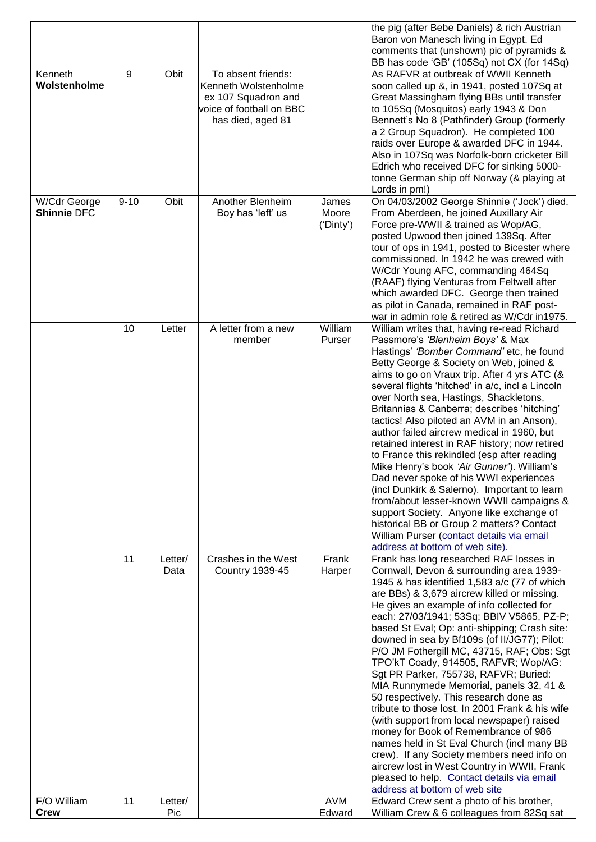|                                    |          |         |                                                 |                | the pig (after Bebe Daniels) & rich Austrian<br>Baron von Manesch living in Egypt. Ed      |
|------------------------------------|----------|---------|-------------------------------------------------|----------------|--------------------------------------------------------------------------------------------|
|                                    |          |         |                                                 |                | comments that (unshown) pic of pyramids &                                                  |
|                                    |          |         |                                                 |                | BB has code 'GB' (105Sq) not CX (for 14Sq)                                                 |
| Kenneth                            | 9        | Obit    | To absent friends:                              |                | As RAFVR at outbreak of WWII Kenneth                                                       |
| Wolstenholme                       |          |         | Kenneth Wolstenholme                            |                | soon called up &, in 1941, posted 107Sq at                                                 |
|                                    |          |         | ex 107 Squadron and<br>voice of football on BBC |                | Great Massingham flying BBs until transfer<br>to 105Sq (Mosquitos) early 1943 & Don        |
|                                    |          |         | has died, aged 81                               |                | Bennett's No 8 (Pathfinder) Group (formerly                                                |
|                                    |          |         |                                                 |                | a 2 Group Squadron). He completed 100                                                      |
|                                    |          |         |                                                 |                | raids over Europe & awarded DFC in 1944.                                                   |
|                                    |          |         |                                                 |                | Also in 107Sq was Norfolk-born cricketer Bill                                              |
|                                    |          |         |                                                 |                | Edrich who received DFC for sinking 5000-                                                  |
|                                    |          |         |                                                 |                | tonne German ship off Norway (& playing at                                                 |
|                                    | $9 - 10$ | Obit    | Another Blenheim                                |                | Lords in pm!)                                                                              |
| W/Cdr George<br><b>Shinnie DFC</b> |          |         | Boy has 'left' us                               | James<br>Moore | On 04/03/2002 George Shinnie ('Jock') died.<br>From Aberdeen, he joined Auxillary Air      |
|                                    |          |         |                                                 | ('Dinty')      | Force pre-WWII & trained as Wop/AG,                                                        |
|                                    |          |         |                                                 |                | posted Upwood then joined 139Sq. After                                                     |
|                                    |          |         |                                                 |                | tour of ops in 1941, posted to Bicester where                                              |
|                                    |          |         |                                                 |                | commissioned. In 1942 he was crewed with                                                   |
|                                    |          |         |                                                 |                | W/Cdr Young AFC, commanding 464Sq                                                          |
|                                    |          |         |                                                 |                | (RAAF) flying Venturas from Feltwell after                                                 |
|                                    |          |         |                                                 |                | which awarded DFC. George then trained<br>as pilot in Canada, remained in RAF post-        |
|                                    |          |         |                                                 |                | war in admin role & retired as W/Cdr in 1975.                                              |
|                                    | 10       | Letter  | A letter from a new                             | William        | William writes that, having re-read Richard                                                |
|                                    |          |         | member                                          | Purser         | Passmore's 'Blenheim Boys' & Max                                                           |
|                                    |          |         |                                                 |                | Hastings' 'Bomber Command' etc, he found                                                   |
|                                    |          |         |                                                 |                | Betty George & Society on Web, joined &                                                    |
|                                    |          |         |                                                 |                | aims to go on Vraux trip. After 4 yrs ATC (&                                               |
|                                    |          |         |                                                 |                | several flights 'hitched' in a/c, incl a Lincoln<br>over North sea, Hastings, Shackletons, |
|                                    |          |         |                                                 |                | Britannias & Canberra; describes 'hitching'                                                |
|                                    |          |         |                                                 |                | tactics! Also piloted an AVM in an Anson),                                                 |
|                                    |          |         |                                                 |                | author failed aircrew medical in 1960, but                                                 |
|                                    |          |         |                                                 |                | retained interest in RAF history; now retired                                              |
|                                    |          |         |                                                 |                | to France this rekindled (esp after reading                                                |
|                                    |          |         |                                                 |                | Mike Henry's book 'Air Gunner'). William's                                                 |
|                                    |          |         |                                                 |                | Dad never spoke of his WWI experiences<br>(incl Dunkirk & Salerno). Important to learn     |
|                                    |          |         |                                                 |                | from/about lesser-known WWII campaigns &                                                   |
|                                    |          |         |                                                 |                | support Society. Anyone like exchange of                                                   |
|                                    |          |         |                                                 |                | historical BB or Group 2 matters? Contact                                                  |
|                                    |          |         |                                                 |                | William Purser (contact details via email                                                  |
|                                    |          |         |                                                 |                | address at bottom of web site).                                                            |
|                                    | 11       | Letter/ | Crashes in the West                             | Frank          | Frank has long researched RAF losses in                                                    |
|                                    |          | Data    | <b>Country 1939-45</b>                          | Harper         | Cornwall, Devon & surrounding area 1939-<br>1945 & has identified 1,583 a/c (77 of which   |
|                                    |          |         |                                                 |                | are BBs) & 3,679 aircrew killed or missing.                                                |
|                                    |          |         |                                                 |                | He gives an example of info collected for                                                  |
|                                    |          |         |                                                 |                | each: 27/03/1941; 53Sq; BBIV V5865, PZ-P;                                                  |
|                                    |          |         |                                                 |                | based St Eval; Op: anti-shipping; Crash site:                                              |
|                                    |          |         |                                                 |                | downed in sea by Bf109s (of II/JG77); Pilot:                                               |
|                                    |          |         |                                                 |                | P/O JM Fothergill MC, 43715, RAF; Obs: Sgt                                                 |
|                                    |          |         |                                                 |                | TPO'kT Coady, 914505, RAFVR; Wop/AG:<br>Sgt PR Parker, 755738, RAFVR; Buried:              |
|                                    |          |         |                                                 |                | MIA Runnymede Memorial, panels 32, 41 &                                                    |
|                                    |          |         |                                                 |                | 50 respectively. This research done as                                                     |
|                                    |          |         |                                                 |                | tribute to those lost. In 2001 Frank & his wife                                            |
|                                    |          |         |                                                 |                | (with support from local newspaper) raised                                                 |
|                                    |          |         |                                                 |                | money for Book of Remembrance of 986                                                       |
|                                    |          |         |                                                 |                | names held in St Eval Church (incl many BB                                                 |
|                                    |          |         |                                                 |                | crew). If any Society members need info on<br>aircrew lost in West Country in WWII, Frank  |
|                                    |          |         |                                                 |                | pleased to help. Contact details via email                                                 |
|                                    |          |         |                                                 |                | address at bottom of web site                                                              |
| F/O William                        | 11       | Letter/ |                                                 | <b>AVM</b>     | Edward Crew sent a photo of his brother,                                                   |
| <b>Crew</b>                        |          | Pic     |                                                 | Edward         | William Crew & 6 colleagues from 82Sq sat                                                  |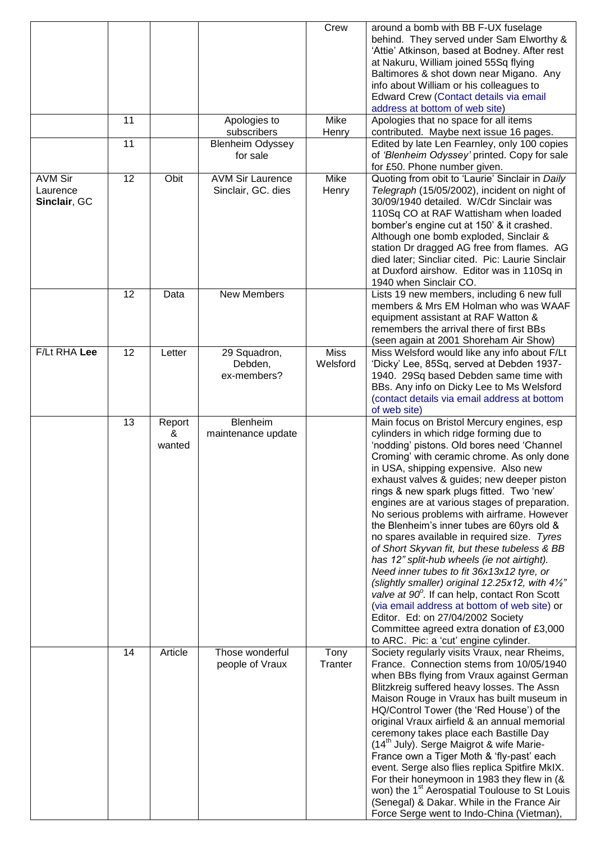|                                            |    |                       |                                               | Crew                    | around a bomb with BB F-UX fuselage<br>behind. They served under Sam Elworthy &<br>'Attie' Atkinson, based at Bodney. After rest<br>at Nakuru, William joined 55Sq flying<br>Baltimores & shot down near Migano. Any<br>info about William or his colleagues to<br>Edward Crew (Contact details via email<br>address at bottom of web site)                                                                                                                                                                                                                                                                                                                                                                                                                                                                                                                                                                                                            |
|--------------------------------------------|----|-----------------------|-----------------------------------------------|-------------------------|--------------------------------------------------------------------------------------------------------------------------------------------------------------------------------------------------------------------------------------------------------------------------------------------------------------------------------------------------------------------------------------------------------------------------------------------------------------------------------------------------------------------------------------------------------------------------------------------------------------------------------------------------------------------------------------------------------------------------------------------------------------------------------------------------------------------------------------------------------------------------------------------------------------------------------------------------------|
|                                            | 11 |                       | Apologies to<br>subscribers                   | Mike<br>Henry           | Apologies that no space for all items<br>contributed. Maybe next issue 16 pages.                                                                                                                                                                                                                                                                                                                                                                                                                                                                                                                                                                                                                                                                                                                                                                                                                                                                       |
|                                            | 11 |                       | <b>Blenheim Odyssey</b><br>for sale           |                         | Edited by late Len Fearnley, only 100 copies<br>of 'Blenheim Odyssey' printed. Copy for sale<br>for £50. Phone number given.                                                                                                                                                                                                                                                                                                                                                                                                                                                                                                                                                                                                                                                                                                                                                                                                                           |
| <b>AVM Sir</b><br>Laurence<br>Sinclair, GC | 12 | Obit                  | <b>AVM Sir Laurence</b><br>Sinclair, GC. dies | Mike<br>Henry           | Quoting from obit to 'Laurie' Sinclair in Daily<br>Telegraph (15/05/2002), incident on night of<br>30/09/1940 detailed. W/Cdr Sinclair was<br>110Sq CO at RAF Wattisham when loaded<br>bomber's engine cut at 150' & it crashed.<br>Although one bomb exploded, Sinclair &<br>station Dr dragged AG free from flames. AG<br>died later; Sincliar cited. Pic: Laurie Sinclair<br>at Duxford airshow. Editor was in 110Sq in<br>1940 when Sinclair CO.                                                                                                                                                                                                                                                                                                                                                                                                                                                                                                   |
|                                            | 12 | Data                  | <b>New Members</b>                            |                         | Lists 19 new members, including 6 new full<br>members & Mrs EM Holman who was WAAF<br>equipment assistant at RAF Watton &<br>remembers the arrival there of first BBs<br>(seen again at 2001 Shoreham Air Show)                                                                                                                                                                                                                                                                                                                                                                                                                                                                                                                                                                                                                                                                                                                                        |
| F/Lt RHA Lee                               | 12 | Letter                | 29 Squadron,<br>Debden,<br>ex-members?        | <b>Miss</b><br>Welsford | Miss Welsford would like any info about F/Lt<br>'Dicky' Lee, 85Sq, served at Debden 1937-<br>1940. 29Sq based Debden same time with<br>BBs. Any info on Dicky Lee to Ms Welsford<br>(contact details via email address at bottom<br>of web site)                                                                                                                                                                                                                                                                                                                                                                                                                                                                                                                                                                                                                                                                                                       |
|                                            | 13 | Report<br>&<br>wanted | Blenheim<br>maintenance update                |                         | Main focus on Bristol Mercury engines, esp<br>cylinders in which ridge forming due to<br>'nodding' pistons. Old bores need 'Channel<br>Croming' with ceramic chrome. As only done<br>in USA, shipping expensive. Also new<br>exhaust valves & guides; new deeper piston<br>rings & new spark plugs fitted. Two 'new'<br>engines are at various stages of preparation.<br>No serious problems with airframe. However<br>the Blenheim's inner tubes are 60yrs old &<br>no spares available in required size. Tyres<br>of Short Skyvan fit, but these tubeless & BB<br>has 12" split-hub wheels (ie not airtight).<br>Need inner tubes to fit 36x13x12 tyre, or<br>(slightly smaller) original 12.25x12, with $4\frac{1}{2}$ "<br>valve at 90°. If can help, contact Ron Scott<br>(via email address at bottom of web site) or<br>Editor. Ed: on 27/04/2002 Society<br>Committee agreed extra donation of £3,000<br>to ARC. Pic: a 'cut' engine cylinder. |
|                                            | 14 | Article               | Those wonderful<br>people of Vraux            | Tony<br>Tranter         | Society regularly visits Vraux, near Rheims,<br>France. Connection stems from 10/05/1940<br>when BBs flying from Vraux against German<br>Blitzkreig suffered heavy losses. The Assn<br>Maison Rouge in Vraux has built museum in<br>HQ/Control Tower (the 'Red House') of the<br>original Vraux airfield & an annual memorial<br>ceremony takes place each Bastille Day<br>(14 <sup>th</sup> July). Serge Maigrot & wife Marie-<br>France own a Tiger Moth & 'fly-past' each<br>event. Serge also flies replica Spitfire MkIX.<br>For their honeymoon in 1983 they flew in (&<br>won) the 1 <sup>st</sup> Aerospatial Toulouse to St Louis<br>(Senegal) & Dakar. While in the France Air<br>Force Serge went to Indo-China (Vietman),                                                                                                                                                                                                                  |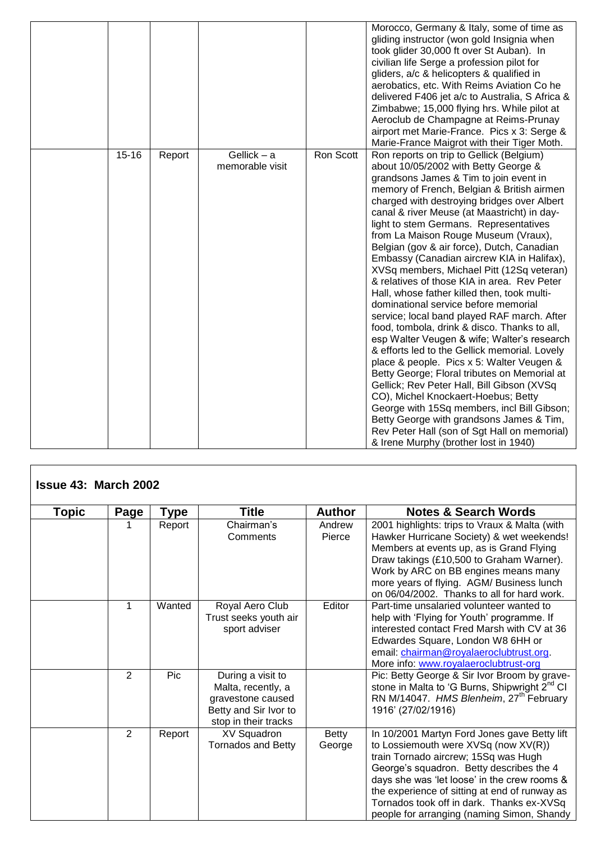|           |        |                                  |           | Morocco, Germany & Italy, some of time as<br>gliding instructor (won gold Insignia when<br>took glider 30,000 ft over St Auban). In<br>civilian life Serge a profession pilot for<br>gliders, a/c & helicopters & qualified in<br>aerobatics, etc. With Reims Aviation Co he<br>delivered F406 jet a/c to Australia, S Africa &<br>Zimbabwe; 15,000 flying hrs. While pilot at<br>Aeroclub de Champagne at Reims-Prunay<br>airport met Marie-France. Pics x 3: Serge &<br>Marie-France Maigrot with their Tiger Moth.                                                                                                                                                                                                                                                                                                                                                                                                                                                                                                                                                                                                                                                                                        |
|-----------|--------|----------------------------------|-----------|--------------------------------------------------------------------------------------------------------------------------------------------------------------------------------------------------------------------------------------------------------------------------------------------------------------------------------------------------------------------------------------------------------------------------------------------------------------------------------------------------------------------------------------------------------------------------------------------------------------------------------------------------------------------------------------------------------------------------------------------------------------------------------------------------------------------------------------------------------------------------------------------------------------------------------------------------------------------------------------------------------------------------------------------------------------------------------------------------------------------------------------------------------------------------------------------------------------|
| $15 - 16$ | Report | Gellick $-$ a<br>memorable visit | Ron Scott | Ron reports on trip to Gellick (Belgium)<br>about 10/05/2002 with Betty George &<br>grandsons James & Tim to join event in<br>memory of French, Belgian & British airmen<br>charged with destroying bridges over Albert<br>canal & river Meuse (at Maastricht) in day-<br>light to stem Germans. Representatives<br>from La Maison Rouge Museum (Vraux),<br>Belgian (gov & air force), Dutch, Canadian<br>Embassy (Canadian aircrew KIA in Halifax),<br>XVSq members, Michael Pitt (12Sq veteran)<br>& relatives of those KIA in area. Rev Peter<br>Hall, whose father killed then, took multi-<br>dominational service before memorial<br>service; local band played RAF march. After<br>food, tombola, drink & disco. Thanks to all,<br>esp Walter Veugen & wife; Walter's research<br>& efforts led to the Gellick memorial. Lovely<br>place & people. Pics x 5: Walter Veugen &<br>Betty George; Floral tributes on Memorial at<br>Gellick; Rev Peter Hall, Bill Gibson (XVSq<br>CO), Michel Knockaert-Hoebus; Betty<br>George with 15Sq members, incl Bill Gibson;<br>Betty George with grandsons James & Tim,<br>Rev Peter Hall (son of Sgt Hall on memorial)<br>& Irene Murphy (brother lost in 1940) |

| <b>Topic</b> | Page | Type   | <b>Title</b>                                                                                                  | <b>Author</b>    | <b>Notes &amp; Search Words</b>                                                                                                                                                                                                                                                                                                                                      |
|--------------|------|--------|---------------------------------------------------------------------------------------------------------------|------------------|----------------------------------------------------------------------------------------------------------------------------------------------------------------------------------------------------------------------------------------------------------------------------------------------------------------------------------------------------------------------|
|              |      | Report | Chairman's<br>Comments                                                                                        | Andrew<br>Pierce | 2001 highlights: trips to Vraux & Malta (with<br>Hawker Hurricane Society) & wet weekends!<br>Members at events up, as is Grand Flying<br>Draw takings (£10,500 to Graham Warner).<br>Work by ARC on BB engines means many<br>more years of flying. AGM/ Business lunch<br>on 06/04/2002. Thanks to all for hard work.                                               |
|              | 1    | Wanted | Royal Aero Club<br>Trust seeks youth air<br>sport adviser                                                     | Editor           | Part-time unsalaried volunteer wanted to<br>help with 'Flying for Youth' programme. If<br>interested contact Fred Marsh with CV at 36<br>Edwardes Square, London W8 6HH or<br>email: chairman@royalaeroclubtrust.org.<br>More info: www.royalaeroclubtrust-org                                                                                                       |
|              | 2    | Pic    | During a visit to<br>Malta, recently, a<br>gravestone caused<br>Betty and Sir Ivor to<br>stop in their tracks |                  | Pic: Betty George & Sir Ivor Broom by grave-<br>stone in Malta to 'G Burns, Shipwright 2 <sup>nd</sup> CI<br>RN M/14047. HMS Blenheim, 27 <sup>th</sup> February<br>1916' (27/02/1916)                                                                                                                                                                               |
|              | 2    | Report | <b>XV Squadron</b><br><b>Tornados and Betty</b>                                                               | Betty<br>George  | In 10/2001 Martyn Ford Jones gave Betty lift<br>to Lossiemouth were XVSq (now XV(R))<br>train Tornado aircrew; 15Sq was Hugh<br>George's squadron. Betty describes the 4<br>days she was 'let loose' in the crew rooms &<br>the experience of sitting at end of runway as<br>Tornados took off in dark. Thanks ex-XVSq<br>people for arranging (naming Simon, Shandy |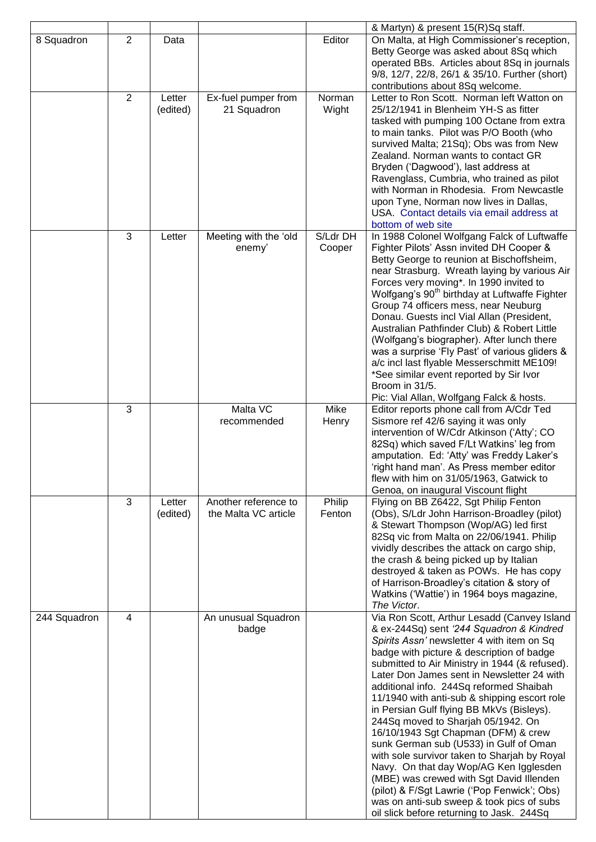|              |                |                    |                                              |                    | & Martyn) & present 15(R)Sq staff.                                                                                                                                                                                                                                                                                                                                                                                                                                                                                                                                                                                                                                                                                                                                                                                               |
|--------------|----------------|--------------------|----------------------------------------------|--------------------|----------------------------------------------------------------------------------------------------------------------------------------------------------------------------------------------------------------------------------------------------------------------------------------------------------------------------------------------------------------------------------------------------------------------------------------------------------------------------------------------------------------------------------------------------------------------------------------------------------------------------------------------------------------------------------------------------------------------------------------------------------------------------------------------------------------------------------|
| 8 Squadron   | $\overline{2}$ | Data               |                                              | Editor             | On Malta, at High Commissioner's reception,<br>Betty George was asked about 8Sq which<br>operated BBs. Articles about 8Sq in journals<br>9/8, 12/7, 22/8, 26/1 & 35/10. Further (short)<br>contributions about 8Sq welcome.                                                                                                                                                                                                                                                                                                                                                                                                                                                                                                                                                                                                      |
|              | 2              | Letter<br>(edited) | Ex-fuel pumper from<br>21 Squadron           | Norman<br>Wight    | Letter to Ron Scott. Norman left Watton on<br>25/12/1941 in Blenheim YH-S as fitter<br>tasked with pumping 100 Octane from extra<br>to main tanks. Pilot was P/O Booth (who<br>survived Malta; 21Sq); Obs was from New<br>Zealand. Norman wants to contact GR<br>Bryden ('Dagwood'), last address at<br>Ravenglass, Cumbria, who trained as pilot<br>with Norman in Rhodesia. From Newcastle<br>upon Tyne, Norman now lives in Dallas,<br>USA. Contact details via email address at<br>bottom of web site                                                                                                                                                                                                                                                                                                                        |
|              | 3              | Letter             | Meeting with the 'old<br>enemy'              | S/Ldr DH<br>Cooper | In 1988 Colonel Wolfgang Falck of Luftwaffe<br>Fighter Pilots' Assn invited DH Cooper &<br>Betty George to reunion at Bischoffsheim,<br>near Strasburg. Wreath laying by various Air<br>Forces very moving*. In 1990 invited to<br>Wolfgang's 90 <sup>th</sup> birthday at Luftwaffe Fighter<br>Group 74 officers mess, near Neuburg<br>Donau. Guests incl Vial Allan (President,<br>Australian Pathfinder Club) & Robert Little<br>(Wolfgang's biographer). After lunch there<br>was a surprise 'Fly Past' of various gliders &<br>a/c incl last flyable Messerschmitt ME109!<br>*See similar event reported by Sir Ivor<br>Broom in 31/5.<br>Pic: Vial Allan, Wolfgang Falck & hosts.                                                                                                                                          |
|              | 3              |                    | Malta VC<br>recommended                      | Mike<br>Henry      | Editor reports phone call from A/Cdr Ted<br>Sismore ref 42/6 saying it was only<br>intervention of W/Cdr Atkinson ('Atty'; CO<br>82Sq) which saved F/Lt Watkins' leg from<br>amputation. Ed: 'Atty' was Freddy Laker's<br>'right hand man'. As Press member editor<br>flew with him on 31/05/1963, Gatwick to<br>Genoa, on inaugural Viscount flight                                                                                                                                                                                                                                                                                                                                                                                                                                                                             |
|              | 3              | Letter<br>(edited) | Another reference to<br>the Malta VC article | Philip<br>Fenton   | Flying on BB Z6422, Sgt Philip Fenton<br>(Obs), S/Ldr John Harrison-Broadley (pilot)<br>& Stewart Thompson (Wop/AG) led first<br>82Sq vic from Malta on 22/06/1941. Philip<br>vividly describes the attack on cargo ship,<br>the crash & being picked up by Italian<br>destroyed & taken as POWs. He has copy<br>of Harrison-Broadley's citation & story of<br>Watkins ('Wattie') in 1964 boys magazine,<br>The Victor.                                                                                                                                                                                                                                                                                                                                                                                                          |
| 244 Squadron | $\overline{4}$ |                    | An unusual Squadron<br>badge                 |                    | Via Ron Scott, Arthur Lesadd (Canvey Island<br>& ex-244Sq) sent '244 Squadron & Kindred<br>Spirits Assn' newsletter 4 with item on Sq<br>badge with picture & description of badge<br>submitted to Air Ministry in 1944 (& refused).<br>Later Don James sent in Newsletter 24 with<br>additional info. 244Sq reformed Shaibah<br>11/1940 with anti-sub & shipping escort role<br>in Persian Gulf flying BB MkVs (Bisleys).<br>244Sq moved to Sharjah 05/1942. On<br>16/10/1943 Sgt Chapman (DFM) & crew<br>sunk German sub (U533) in Gulf of Oman<br>with sole survivor taken to Sharjah by Royal<br>Navy. On that day Wop/AG Ken Igglesden<br>(MBE) was crewed with Sgt David Illenden<br>(pilot) & F/Sgt Lawrie ('Pop Fenwick'; Obs)<br>was on anti-sub sweep & took pics of subs<br>oil slick before returning to Jask. 244Sq |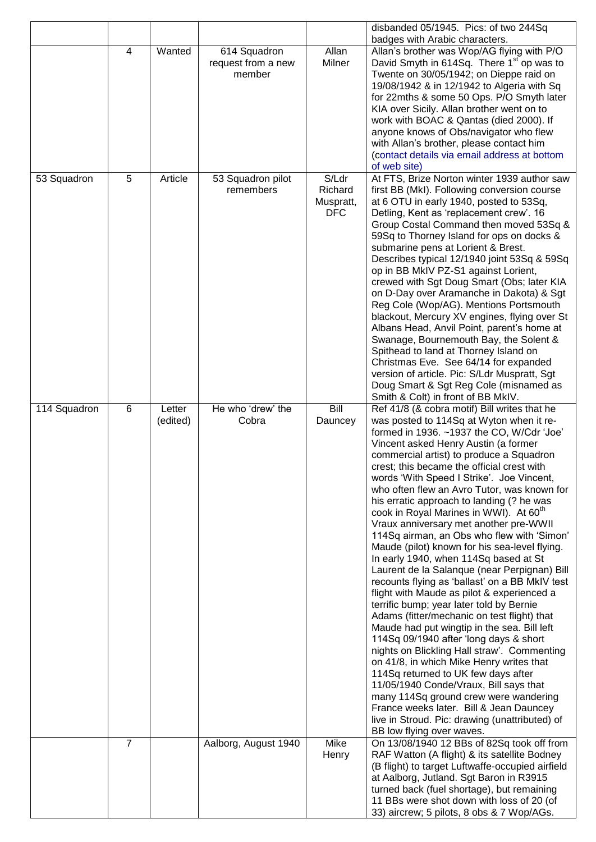|              |   |          |                                    |            | disbanded 05/1945. Pics: of two 244Sq                                                       |
|--------------|---|----------|------------------------------------|------------|---------------------------------------------------------------------------------------------|
|              | 4 | Wanted   |                                    | Allan      | badges with Arabic characters.<br>Allan's brother was Wop/AG flying with P/O                |
|              |   |          | 614 Squadron<br>request from a new | Milner     | David Smyth in 614Sq. There 1 <sup>st</sup> op was to                                       |
|              |   |          | member                             |            | Twente on 30/05/1942; on Dieppe raid on                                                     |
|              |   |          |                                    |            | 19/08/1942 & in 12/1942 to Algeria with Sq                                                  |
|              |   |          |                                    |            | for 22mths & some 50 Ops. P/O Smyth later                                                   |
|              |   |          |                                    |            | KIA over Sicily. Allan brother went on to                                                   |
|              |   |          |                                    |            | work with BOAC & Qantas (died 2000). If                                                     |
|              |   |          |                                    |            | anyone knows of Obs/navigator who flew                                                      |
|              |   |          |                                    |            | with Allan's brother, please contact him                                                    |
|              |   |          |                                    |            | (contact details via email address at bottom                                                |
|              |   |          |                                    |            | of web site)                                                                                |
| 53 Squadron  | 5 | Article  | 53 Squadron pilot                  | S/Ldr      | At FTS, Brize Norton winter 1939 author saw                                                 |
|              |   |          | remembers                          | Richard    | first BB (MkI). Following conversion course                                                 |
|              |   |          |                                    | Muspratt,  | at 6 OTU in early 1940, posted to 53Sq,                                                     |
|              |   |          |                                    | <b>DFC</b> | Detling, Kent as 'replacement crew'. 16                                                     |
|              |   |          |                                    |            | Group Costal Command then moved 53Sq &<br>59Sq to Thorney Island for ops on docks &         |
|              |   |          |                                    |            | submarine pens at Lorient & Brest.                                                          |
|              |   |          |                                    |            | Describes typical 12/1940 joint 53Sq & 59Sq                                                 |
|              |   |          |                                    |            | op in BB MkIV PZ-S1 against Lorient,                                                        |
|              |   |          |                                    |            | crewed with Sgt Doug Smart (Obs; later KIA                                                  |
|              |   |          |                                    |            | on D-Day over Aramanche in Dakota) & Sgt                                                    |
|              |   |          |                                    |            | Reg Cole (Wop/AG). Mentions Portsmouth                                                      |
|              |   |          |                                    |            | blackout, Mercury XV engines, flying over St                                                |
|              |   |          |                                    |            | Albans Head, Anvil Point, parent's home at                                                  |
|              |   |          |                                    |            | Swanage, Bournemouth Bay, the Solent &                                                      |
|              |   |          |                                    |            | Spithead to land at Thorney Island on                                                       |
|              |   |          |                                    |            | Christmas Eve. See 64/14 for expanded                                                       |
|              |   |          |                                    |            | version of article. Pic: S/Ldr Muspratt, Sgt                                                |
|              |   |          |                                    |            | Doug Smart & Sgt Reg Cole (misnamed as<br>Smith & Colt) in front of BB MkIV.                |
| 114 Squadron | 6 | Letter   | He who 'drew' the                  | Bill       | Ref 41/8 (& cobra motif) Bill writes that he                                                |
|              |   | (edited) | Cobra                              | Dauncey    | was posted to 114Sq at Wyton when it re-                                                    |
|              |   |          |                                    |            | formed in 1936. ~1937 the CO, W/Cdr 'Joe'                                                   |
|              |   |          |                                    |            | Vincent asked Henry Austin (a former                                                        |
|              |   |          |                                    |            | commercial artist) to produce a Squadron                                                    |
|              |   |          |                                    |            | crest; this became the official crest with                                                  |
|              |   |          |                                    |            | words 'With Speed I Strike'. Joe Vincent,                                                   |
|              |   |          |                                    |            | who often flew an Avro Tutor, was known for                                                 |
|              |   |          |                                    |            | his erratic approach to landing (? he was                                                   |
|              |   |          |                                    |            | cook in Royal Marines in WWI). At 60 <sup>th</sup>                                          |
|              |   |          |                                    |            | Vraux anniversary met another pre-WWII                                                      |
|              |   |          |                                    |            | 114Sq airman, an Obs who flew with 'Simon'<br>Maude (pilot) known for his sea-level flying. |
|              |   |          |                                    |            | In early 1940, when 114Sq based at St                                                       |
|              |   |          |                                    |            | Laurent de la Salanque (near Perpignan) Bill                                                |
|              |   |          |                                    |            | recounts flying as 'ballast' on a BB MkIV test                                              |
|              |   |          |                                    |            | flight with Maude as pilot & experienced a                                                  |
|              |   |          |                                    |            | terrific bump; year later told by Bernie                                                    |
|              |   |          |                                    |            | Adams (fitter/mechanic on test flight) that                                                 |
|              |   |          |                                    |            | Maude had put wingtip in the sea. Bill left                                                 |
|              |   |          |                                    |            | 114Sq 09/1940 after 'long days & short                                                      |
|              |   |          |                                    |            | nights on Blickling Hall straw'. Commenting                                                 |
|              |   |          |                                    |            | on 41/8, in which Mike Henry writes that                                                    |
|              |   |          |                                    |            | 114Sq returned to UK few days after                                                         |
|              |   |          |                                    |            | 11/05/1940 Conde/Vraux, Bill says that                                                      |
|              |   |          |                                    |            | many 114Sq ground crew were wandering<br>France weeks later. Bill & Jean Dauncey            |
|              |   |          |                                    |            | live in Stroud. Pic: drawing (unattributed) of                                              |
|              |   |          |                                    |            | BB low flying over waves.                                                                   |
|              | 7 |          | Aalborg, August 1940               | Mike       | On 13/08/1940 12 BBs of 82Sq took off from                                                  |
|              |   |          |                                    | Henry      | RAF Watton (A flight) & its satellite Bodney                                                |
|              |   |          |                                    |            | (B flight) to target Luftwaffe-occupied airfield                                            |
|              |   |          |                                    |            | at Aalborg, Jutland. Sgt Baron in R3915                                                     |
|              |   |          |                                    |            | turned back (fuel shortage), but remaining                                                  |
|              |   |          |                                    |            |                                                                                             |
|              |   |          |                                    |            | 11 BBs were shot down with loss of 20 (of<br>33) aircrew; 5 pilots, 8 obs & 7 Wop/AGs.      |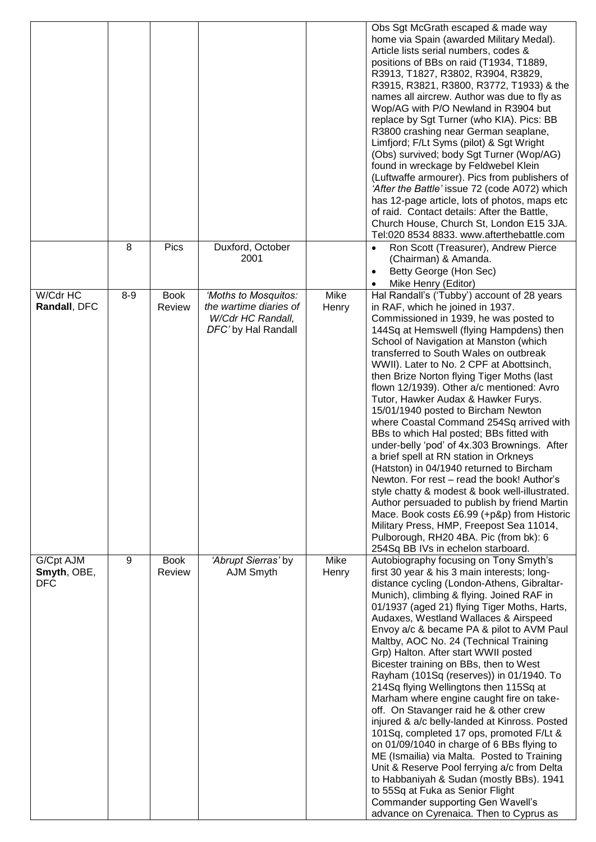|              |         |             |                        |       | Obs Sgt McGrath escaped & made way                                                      |
|--------------|---------|-------------|------------------------|-------|-----------------------------------------------------------------------------------------|
|              |         |             |                        |       | home via Spain (awarded Military Medal).                                                |
|              |         |             |                        |       | Article lists serial numbers, codes &                                                   |
|              |         |             |                        |       | positions of BBs on raid (T1934, T1889,                                                 |
|              |         |             |                        |       | R3913, T1827, R3802, R3904, R3829,                                                      |
|              |         |             |                        |       | R3915, R3821, R3800, R3772, T1933) & the                                                |
|              |         |             |                        |       | names all aircrew. Author was due to fly as                                             |
|              |         |             |                        |       | Wop/AG with P/O Newland in R3904 but                                                    |
|              |         |             |                        |       | replace by Sgt Turner (who KIA). Pics: BB                                               |
|              |         |             |                        |       | R3800 crashing near German seaplane,                                                    |
|              |         |             |                        |       | Limfjord; F/Lt Syms (pilot) & Sgt Wright                                                |
|              |         |             |                        |       | (Obs) survived; body Sgt Turner (Wop/AG)                                                |
|              |         |             |                        |       | found in wreckage by Feldwebel Klein                                                    |
|              |         |             |                        |       | (Luftwaffe armourer). Pics from publishers of                                           |
|              |         |             |                        |       | 'After the Battle' issue 72 (code A072) which                                           |
|              |         |             |                        |       | has 12-page article, lots of photos, maps etc                                           |
|              |         |             |                        |       | of raid. Contact details: After the Battle,                                             |
|              |         |             |                        |       | Church House, Church St, London E15 3JA.                                                |
|              |         |             |                        |       | Tel:020 8534 8833. www.afterthebattle.com                                               |
|              | 8       | Pics        | Duxford, October       |       | Ron Scott (Treasurer), Andrew Pierce<br>$\bullet$                                       |
|              |         |             | 2001                   |       | (Chairman) & Amanda.                                                                    |
|              |         |             |                        |       | Betty George (Hon Sec)                                                                  |
|              |         |             |                        |       | Mike Henry (Editor)                                                                     |
| W/Cdr HC     | $8 - 9$ | <b>Book</b> | 'Moths to Mosquitos:   | Mike  | Hal Randall's ('Tubby') account of 28 years                                             |
| Randall, DFC |         | Review      | the wartime diaries of | Henry | in RAF, which he joined in 1937.                                                        |
|              |         |             | W/Cdr HC Randall,      |       | Commissioned in 1939, he was posted to                                                  |
|              |         |             | DFC' by Hal Randall    |       | 144Sq at Hemswell (flying Hampdens) then                                                |
|              |         |             |                        |       | School of Navigation at Manston (which                                                  |
|              |         |             |                        |       | transferred to South Wales on outbreak                                                  |
|              |         |             |                        |       | WWII). Later to No. 2 CPF at Abottsinch,                                                |
|              |         |             |                        |       | then Brize Norton flying Tiger Moths (last<br>flown 12/1939). Other a/c mentioned: Avro |
|              |         |             |                        |       | Tutor, Hawker Audax & Hawker Furys.                                                     |
|              |         |             |                        |       | 15/01/1940 posted to Bircham Newton                                                     |
|              |         |             |                        |       | where Coastal Command 254Sq arrived with                                                |
|              |         |             |                        |       | BBs to which Hal posted; BBs fitted with                                                |
|              |         |             |                        |       | under-belly 'pod' of 4x.303 Brownings. After                                            |
|              |         |             |                        |       | a brief spell at RN station in Orkneys                                                  |
|              |         |             |                        |       | (Hatston) in 04/1940 returned to Bircham                                                |
|              |         |             |                        |       | Newton. For rest - read the book! Author's                                              |
|              |         |             |                        |       | style chatty & modest & book well-illustrated.                                          |
|              |         |             |                        |       | Author persuaded to publish by friend Martin                                            |
|              |         |             |                        |       | Mace. Book costs £6.99 (+p&p) from Historic                                             |
|              |         |             |                        |       | Military Press, HMP, Freepost Sea 11014,                                                |
|              |         |             |                        |       | Pulborough, RH20 4BA. Pic (from bk): 6                                                  |
|              |         |             |                        |       | 254Sq BB IVs in echelon starboard.                                                      |
| G/Cpt AJM    | 9       | <b>Book</b> | 'Abrupt Sierras' by    | Mike  | Autobiography focusing on Tony Smyth's                                                  |
| Smyth, OBE,  |         | Review      | AJM Smyth              | Henry | first 30 year & his 3 main interests; long-                                             |
| DFC          |         |             |                        |       | distance cycling (London-Athens, Gibraltar-                                             |
|              |         |             |                        |       | Munich), climbing & flying. Joined RAF in                                               |
|              |         |             |                        |       | 01/1937 (aged 21) flying Tiger Moths, Harts,                                            |
|              |         |             |                        |       | Audaxes, Westland Wallaces & Airspeed                                                   |
|              |         |             |                        |       | Envoy a/c & became PA & pilot to AVM Paul                                               |
|              |         |             |                        |       | Maltby, AOC No. 24 (Technical Training                                                  |
|              |         |             |                        |       | Grp) Halton. After start WWII posted<br>Bicester training on BBs, then to West          |
|              |         |             |                        |       | Rayham (101Sq (reserves)) in 01/1940. To                                                |
|              |         |             |                        |       | 214Sq flying Wellingtons then 115Sq at                                                  |
|              |         |             |                        |       | Marham where engine caught fire on take-                                                |
|              |         |             |                        |       | off. On Stavanger raid he & other crew                                                  |
|              |         |             |                        |       | injured & a/c belly-landed at Kinross. Posted                                           |
|              |         |             |                        |       | 101Sq, completed 17 ops, promoted F/Lt &                                                |
|              |         |             |                        |       | on 01/09/1040 in charge of 6 BBs flying to                                              |
|              |         |             |                        |       | ME (Ismailia) via Malta. Posted to Training                                             |
|              |         |             |                        |       | Unit & Reserve Pool ferrying a/c from Delta                                             |
|              |         |             |                        |       | to Habbaniyah & Sudan (mostly BBs). 1941                                                |
|              |         |             |                        |       | to 55Sq at Fuka as Senior Flight                                                        |
|              |         |             |                        |       | Commander supporting Gen Wavell's                                                       |
|              |         |             |                        |       | advance on Cyrenaica. Then to Cyprus as                                                 |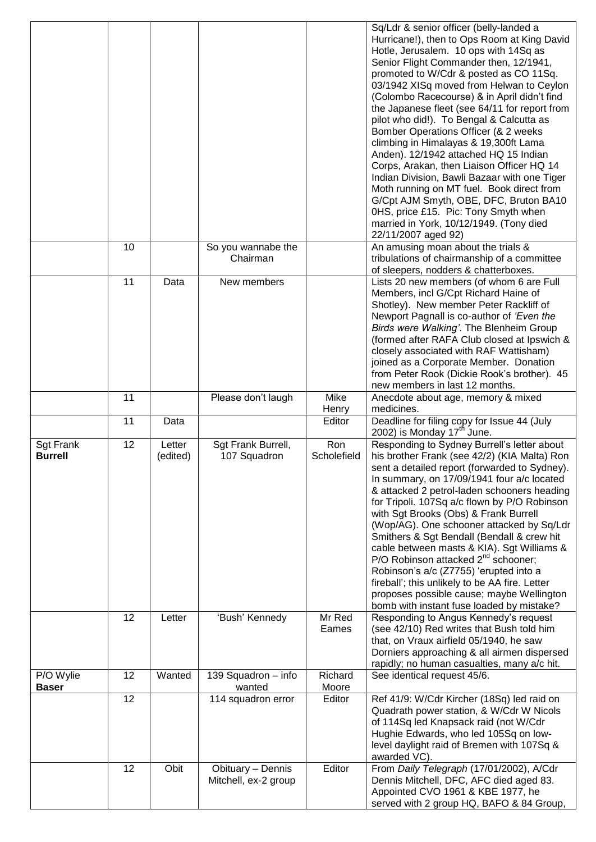|                                    |    |                    |                                           |                    | Sq/Ldr & senior officer (belly-landed a<br>Hurricane!), then to Ops Room at King David<br>Hotle, Jerusalem. 10 ops with 14Sq as<br>Senior Flight Commander then, 12/1941,<br>promoted to W/Cdr & posted as CO 11Sq.<br>03/1942 XISq moved from Helwan to Ceylon<br>(Colombo Racecourse) & in April didn't find<br>the Japanese fleet (see 64/11 for report from<br>pilot who did!). To Bengal & Calcutta as<br>Bomber Operations Officer (& 2 weeks<br>climbing in Himalayas & 19,300ft Lama<br>Anden). 12/1942 attached HQ 15 Indian<br>Corps, Arakan, then Liaison Officer HQ 14<br>Indian Division, Bawli Bazaar with one Tiger<br>Moth running on MT fuel. Book direct from<br>G/Cpt AJM Smyth, OBE, DFC, Bruton BA10<br>0HS, price £15. Pic: Tony Smyth when<br>married in York, 10/12/1949. (Tony died<br>22/11/2007 aged 92) |
|------------------------------------|----|--------------------|-------------------------------------------|--------------------|-------------------------------------------------------------------------------------------------------------------------------------------------------------------------------------------------------------------------------------------------------------------------------------------------------------------------------------------------------------------------------------------------------------------------------------------------------------------------------------------------------------------------------------------------------------------------------------------------------------------------------------------------------------------------------------------------------------------------------------------------------------------------------------------------------------------------------------|
|                                    | 10 |                    | So you wannabe the<br>Chairman            |                    | An amusing moan about the trials &<br>tribulations of chairmanship of a committee<br>of sleepers, nodders & chatterboxes.                                                                                                                                                                                                                                                                                                                                                                                                                                                                                                                                                                                                                                                                                                           |
|                                    | 11 | Data               | New members                               |                    | Lists 20 new members (of whom 6 are Full<br>Members, incl G/Cpt Richard Haine of<br>Shotley). New member Peter Rackliff of<br>Newport Pagnall is co-author of 'Even the<br>Birds were Walking'. The Blenheim Group<br>(formed after RAFA Club closed at Ipswich &<br>closely associated with RAF Wattisham)<br>joined as a Corporate Member. Donation<br>from Peter Rook (Dickie Rook's brother). 45<br>new members in last 12 months.                                                                                                                                                                                                                                                                                                                                                                                              |
|                                    | 11 |                    | Please don't laugh                        | Mike<br>Henry      | Anecdote about age, memory & mixed<br>medicines.                                                                                                                                                                                                                                                                                                                                                                                                                                                                                                                                                                                                                                                                                                                                                                                    |
|                                    | 11 | Data               |                                           | Editor             | Deadline for filing copy for Issue 44 (July<br>2002) is Monday $17th$ June.                                                                                                                                                                                                                                                                                                                                                                                                                                                                                                                                                                                                                                                                                                                                                         |
| <b>Sgt Frank</b><br><b>Burrell</b> | 12 | Letter<br>(edited) | Sgt Frank Burrell,<br>107 Squadron        | Ron<br>Scholefield | Responding to Sydney Burrell's letter about<br>his brother Frank (see 42/2) (KIA Malta) Ron<br>sent a detailed report (forwarded to Sydney).<br>In summary, on 17/09/1941 four a/c located<br>& attacked 2 petrol-laden schooners heading<br>for Tripoli. 107Sq a/c flown by P/O Robinson<br>with Sgt Brooks (Obs) & Frank Burrell<br>(Wop/AG). One schooner attacked by Sq/Ldr<br>Smithers & Sgt Bendall (Bendall & crew hit<br>cable between masts & KIA). Sgt Williams &<br>P/O Robinson attacked $2^{nd}$ schooner;<br>Robinson's a/c (Z7755) 'erupted into a<br>fireball'; this unlikely to be AA fire. Letter<br>proposes possible cause; maybe Wellington<br>bomb with instant fuse loaded by mistake?                                                                                                                       |
|                                    | 12 | Letter             | 'Bush' Kennedy                            | Mr Red<br>Eames    | Responding to Angus Kennedy's request<br>(see 42/10) Red writes that Bush told him<br>that, on Vraux airfield 05/1940, he saw<br>Dorniers approaching & all airmen dispersed<br>rapidly; no human casualties, many a/c hit.                                                                                                                                                                                                                                                                                                                                                                                                                                                                                                                                                                                                         |
| P/O Wylie<br><b>Baser</b>          | 12 | Wanted             | 139 Squadron - info<br>wanted             | Richard<br>Moore   | See identical request 45/6.                                                                                                                                                                                                                                                                                                                                                                                                                                                                                                                                                                                                                                                                                                                                                                                                         |
|                                    | 12 |                    | 114 squadron error                        | Editor             | Ref 41/9: W/Cdr Kircher (18Sq) led raid on<br>Quadrath power station, & W/Cdr W Nicols<br>of 114Sq led Knapsack raid (not W/Cdr<br>Hughie Edwards, who led 105Sq on low-<br>level daylight raid of Bremen with 107Sq &<br>awarded VC).                                                                                                                                                                                                                                                                                                                                                                                                                                                                                                                                                                                              |
|                                    | 12 | Obit               | Obituary - Dennis<br>Mitchell, ex-2 group | Editor             | From Daily Telegraph (17/01/2002), A/Cdr<br>Dennis Mitchell, DFC, AFC died aged 83.<br>Appointed CVO 1961 & KBE 1977, he<br>served with 2 group HQ, BAFO & 84 Group,                                                                                                                                                                                                                                                                                                                                                                                                                                                                                                                                                                                                                                                                |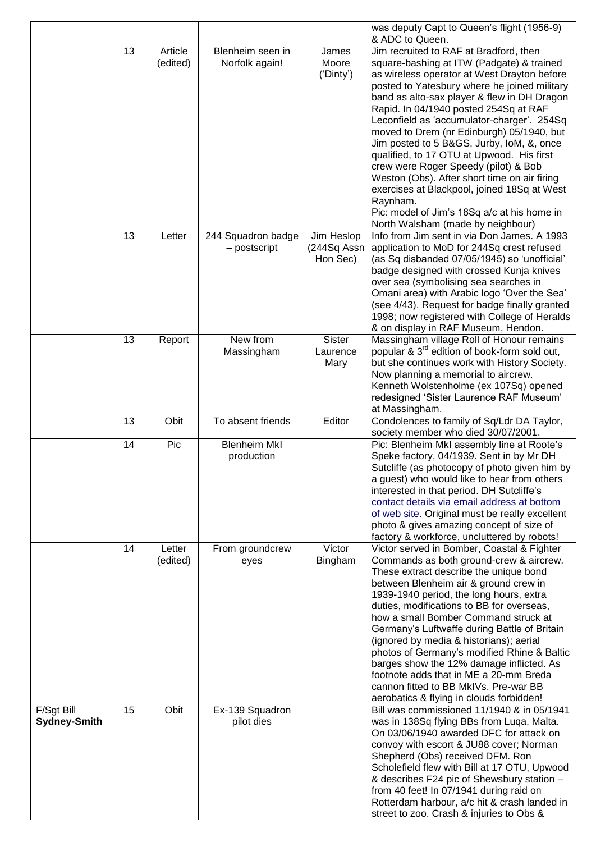|                                   |    |                     |                                    |                                       | was deputy Capt to Queen's flight (1956-9)<br>& ADC to Queen.                                                                                                                                                                                                                                                                                                                                                                                                                                                                                                                                                                                                                                          |
|-----------------------------------|----|---------------------|------------------------------------|---------------------------------------|--------------------------------------------------------------------------------------------------------------------------------------------------------------------------------------------------------------------------------------------------------------------------------------------------------------------------------------------------------------------------------------------------------------------------------------------------------------------------------------------------------------------------------------------------------------------------------------------------------------------------------------------------------------------------------------------------------|
|                                   | 13 | Article<br>(edited) | Blenheim seen in<br>Norfolk again! | James<br>Moore<br>('Dinty')           | Jim recruited to RAF at Bradford, then<br>square-bashing at ITW (Padgate) & trained<br>as wireless operator at West Drayton before<br>posted to Yatesbury where he joined military<br>band as alto-sax player & flew in DH Dragon<br>Rapid. In 04/1940 posted 254Sq at RAF<br>Leconfield as 'accumulator-charger'. 254Sq<br>moved to Drem (nr Edinburgh) 05/1940, but<br>Jim posted to 5 B&GS, Jurby, IoM, &, once<br>qualified, to 17 OTU at Upwood. His first<br>crew were Roger Speedy (pilot) & Bob<br>Weston (Obs). After short time on air firing<br>exercises at Blackpool, joined 18Sq at West<br>Raynham.<br>Pic: model of Jim's 18Sq a/c at his home in<br>North Walsham (made by neighbour) |
|                                   | 13 | Letter              | 244 Squadron badge<br>- postscript | Jim Heslop<br>(244Sq Assn<br>Hon Sec) | Info from Jim sent in via Don James. A 1993<br>application to MoD for 244Sq crest refused<br>(as Sq disbanded 07/05/1945) so 'unofficial'<br>badge designed with crossed Kunja knives<br>over sea (symbolising sea searches in<br>Omani area) with Arabic logo 'Over the Sea'<br>(see 4/43). Request for badge finally granted<br>1998; now registered with College of Heralds<br>& on display in RAF Museum, Hendon.                                                                                                                                                                                                                                                                                  |
|                                   | 13 | Report              | New from<br>Massingham             | Sister<br>Laurence<br>Mary            | Massingham village Roll of Honour remains<br>popular & 3 <sup>rd</sup> edition of book-form sold out,<br>but she continues work with History Society.<br>Now planning a memorial to aircrew.<br>Kenneth Wolstenholme (ex 107Sq) opened<br>redesigned 'Sister Laurence RAF Museum'<br>at Massingham.                                                                                                                                                                                                                                                                                                                                                                                                    |
|                                   | 13 | Obit                | To absent friends                  | Editor                                | Condolences to family of Sq/Ldr DA Taylor,<br>society member who died 30/07/2001.                                                                                                                                                                                                                                                                                                                                                                                                                                                                                                                                                                                                                      |
|                                   | 14 | Pic                 | <b>Blenheim Mkl</b><br>production  |                                       | Pic: Blenheim MkI assembly line at Roote's<br>Speke factory, 04/1939. Sent in by Mr DH<br>Sutcliffe (as photocopy of photo given him by<br>a guest) who would like to hear from others<br>interested in that period. DH Sutcliffe's<br>contact details via email address at bottom<br>of web site. Original must be really excellent<br>photo & gives amazing concept of size of<br>factory & workforce, uncluttered by robots!                                                                                                                                                                                                                                                                        |
|                                   | 14 | Letter<br>(edited)  | From groundcrew<br>eyes            | Victor<br>Bingham                     | Victor served in Bomber, Coastal & Fighter<br>Commands as both ground-crew & aircrew.<br>These extract describe the unique bond<br>between Blenheim air & ground crew in<br>1939-1940 period, the long hours, extra<br>duties, modifications to BB for overseas,<br>how a small Bomber Command struck at<br>Germany's Luftwaffe during Battle of Britain<br>(ignored by media & historians); aerial<br>photos of Germany's modified Rhine & Baltic<br>barges show the 12% damage inflicted. As<br>footnote adds that in ME a 20-mm Breda<br>cannon fitted to BB MkIVs. Pre-war BB<br>aerobatics & flying in clouds forbidden!                                                                          |
| F/Sgt Bill<br><b>Sydney-Smith</b> | 15 | Obit                | Ex-139 Squadron<br>pilot dies      |                                       | Bill was commissioned 11/1940 & in 05/1941<br>was in 138Sq flying BBs from Luqa, Malta.<br>On 03/06/1940 awarded DFC for attack on<br>convoy with escort & JU88 cover; Norman<br>Shepherd (Obs) received DFM. Ron<br>Scholefield flew with Bill at 17 OTU, Upwood<br>& describes F24 pic of Shewsbury station -<br>from 40 feet! In 07/1941 during raid on<br>Rotterdam harbour, a/c hit & crash landed in<br>street to zoo. Crash & injuries to Obs &                                                                                                                                                                                                                                                 |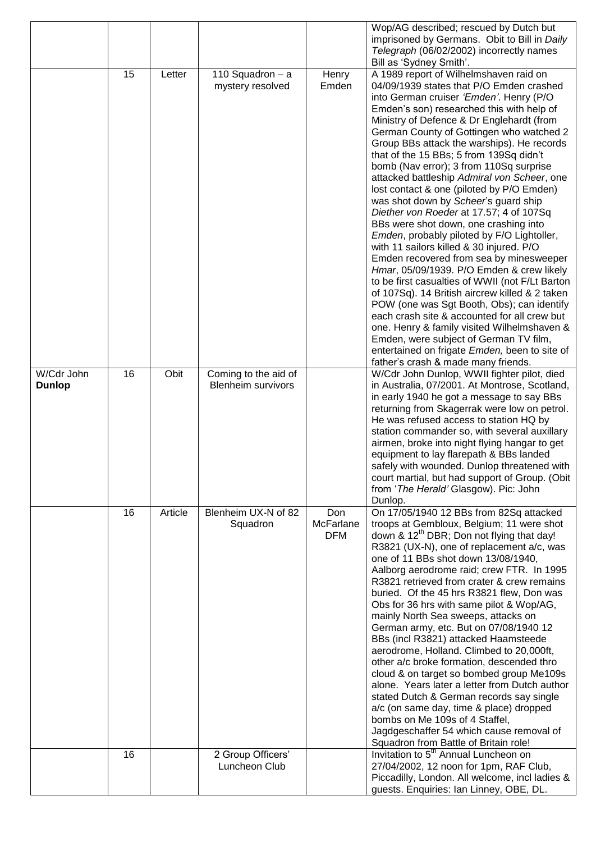|               |    |         |                                      |                | Wop/AG described; rescued by Dutch but                                                             |
|---------------|----|---------|--------------------------------------|----------------|----------------------------------------------------------------------------------------------------|
|               |    |         |                                      |                | imprisoned by Germans. Obit to Bill in Daily<br>Telegraph (06/02/2002) incorrectly names           |
|               |    |         |                                      |                | Bill as 'Sydney Smith'.                                                                            |
|               | 15 | Letter  | 110 Squadron - a<br>mystery resolved | Henry<br>Emden | A 1989 report of Wilhelmshaven raid on<br>04/09/1939 states that P/O Emden crashed                 |
|               |    |         |                                      |                | into German cruiser 'Emden'. Henry (P/O                                                            |
|               |    |         |                                      |                | Emden's son) researched this with help of                                                          |
|               |    |         |                                      |                | Ministry of Defence & Dr Englehardt (from                                                          |
|               |    |         |                                      |                | German County of Gottingen who watched 2                                                           |
|               |    |         |                                      |                | Group BBs attack the warships). He records<br>that of the 15 BBs; 5 from 139Sq didn't              |
|               |    |         |                                      |                | bomb (Nav error); 3 from 110Sq surprise                                                            |
|               |    |         |                                      |                | attacked battleship Admiral von Scheer, one                                                        |
|               |    |         |                                      |                | lost contact & one (piloted by P/O Emden)                                                          |
|               |    |         |                                      |                | was shot down by Scheer's guard ship                                                               |
|               |    |         |                                      |                | Diether von Roeder at 17.57; 4 of 107Sq                                                            |
|               |    |         |                                      |                | BBs were shot down, one crashing into<br>Emden, probably piloted by F/O Lightoller,                |
|               |    |         |                                      |                | with 11 sailors killed & 30 injured. P/O                                                           |
|               |    |         |                                      |                | Emden recovered from sea by minesweeper                                                            |
|               |    |         |                                      |                | Hmar, 05/09/1939. P/O Emden & crew likely                                                          |
|               |    |         |                                      |                | to be first casualties of WWII (not F/Lt Barton                                                    |
|               |    |         |                                      |                | of 107Sq). 14 British aircrew killed & 2 taken<br>POW (one was Sgt Booth, Obs); can identify       |
|               |    |         |                                      |                | each crash site & accounted for all crew but                                                       |
|               |    |         |                                      |                | one. Henry & family visited Wilhelmshaven &                                                        |
|               |    |         |                                      |                | Emden, were subject of German TV film,                                                             |
|               |    |         |                                      |                | entertained on frigate Emden, been to site of<br>father's crash & made many friends.               |
| W/Cdr John    | 16 | Obit    | Coming to the aid of                 |                | W/Cdr John Dunlop, WWII fighter pilot, died                                                        |
| <b>Dunlop</b> |    |         | <b>Blenheim survivors</b>            |                | in Australia, 07/2001. At Montrose, Scotland,                                                      |
|               |    |         |                                      |                | in early 1940 he got a message to say BBs                                                          |
|               |    |         |                                      |                | returning from Skagerrak were low on petrol.<br>He was refused access to station HQ by             |
|               |    |         |                                      |                | station commander so, with several auxillary                                                       |
|               |    |         |                                      |                | airmen, broke into night flying hangar to get                                                      |
|               |    |         |                                      |                | equipment to lay flarepath & BBs landed                                                            |
|               |    |         |                                      |                | safely with wounded. Dunlop threatened with                                                        |
|               |    |         |                                      |                | court martial, but had support of Group. (Obit<br>from 'The Herald' Glasgow). Pic: John            |
|               |    |         |                                      |                | Dunlop.                                                                                            |
|               | 16 | Article | Blenheim UX-N of 82                  | Don            | On 17/05/1940 12 BBs from 82Sq attacked                                                            |
|               |    |         | Squadron                             | McFarlane      | troops at Gembloux, Belgium; 11 were shot                                                          |
|               |    |         |                                      | <b>DFM</b>     | down & 12 <sup>th</sup> DBR; Don not flying that day!<br>R3821 (UX-N), one of replacement a/c, was |
|               |    |         |                                      |                | one of 11 BBs shot down 13/08/1940,                                                                |
|               |    |         |                                      |                | Aalborg aerodrome raid; crew FTR. In 1995                                                          |
|               |    |         |                                      |                | R3821 retrieved from crater & crew remains                                                         |
|               |    |         |                                      |                | buried. Of the 45 hrs R3821 flew, Don was                                                          |
|               |    |         |                                      |                | Obs for 36 hrs with same pilot & Wop/AG,<br>mainly North Sea sweeps, attacks on                    |
|               |    |         |                                      |                | German army, etc. But on 07/08/1940 12                                                             |
|               |    |         |                                      |                | BBs (incl R3821) attacked Haamsteede                                                               |
|               |    |         |                                      |                | aerodrome, Holland. Climbed to 20,000ft,                                                           |
|               |    |         |                                      |                | other a/c broke formation, descended thro<br>cloud & on target so bombed group Me109s              |
|               |    |         |                                      |                | alone. Years later a letter from Dutch author                                                      |
|               |    |         |                                      |                | stated Dutch & German records say single                                                           |
|               |    |         |                                      |                | a/c (on same day, time & place) dropped                                                            |
|               |    |         |                                      |                | bombs on Me 109s of 4 Staffel,<br>Jagdgeschaffer 54 which cause removal of                         |
|               |    |         |                                      |                | Squadron from Battle of Britain role!                                                              |
|               | 16 |         | 2 Group Officers'                    |                | Invitation to 5 <sup>th</sup> Annual Luncheon on                                                   |
|               |    |         | Luncheon Club                        |                | 27/04/2002, 12 noon for 1pm, RAF Club,                                                             |
|               |    |         |                                      |                | Piccadilly, London. All welcome, incl ladies &                                                     |
|               |    |         |                                      |                | guests. Enquiries: Ian Linney, OBE, DL.                                                            |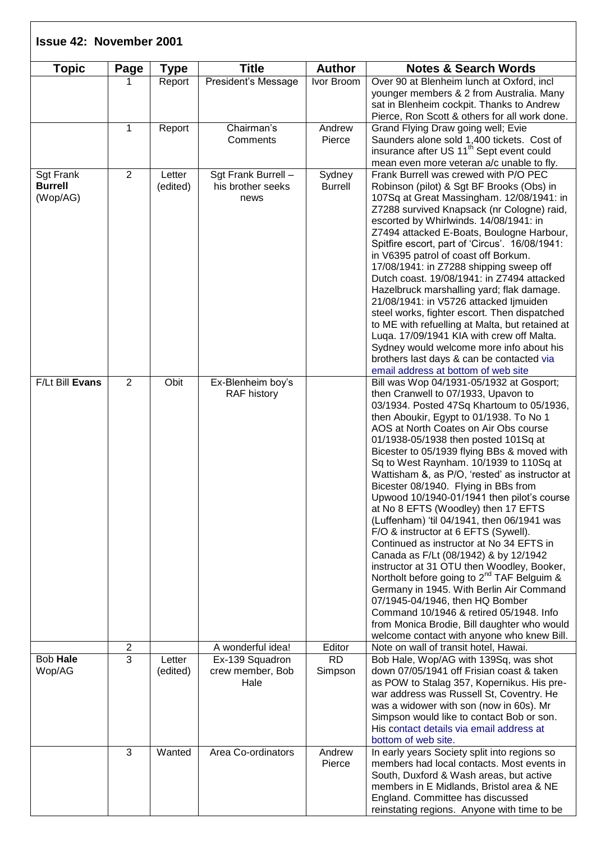| <b>Topic</b>                                   | Page           | <b>Type</b>        | <b>Title</b>                                     | <b>Author</b>            | <b>Notes &amp; Search Words</b>                                                                                                                                                                                                                                                                                                                                                                                                                                                                                                                                                                                                                                                                                                                                                                                                                                                                                                                                                                                                             |
|------------------------------------------------|----------------|--------------------|--------------------------------------------------|--------------------------|---------------------------------------------------------------------------------------------------------------------------------------------------------------------------------------------------------------------------------------------------------------------------------------------------------------------------------------------------------------------------------------------------------------------------------------------------------------------------------------------------------------------------------------------------------------------------------------------------------------------------------------------------------------------------------------------------------------------------------------------------------------------------------------------------------------------------------------------------------------------------------------------------------------------------------------------------------------------------------------------------------------------------------------------|
|                                                |                | Report             | President's Message                              | Ivor Broom               | Over 90 at Blenheim lunch at Oxford, incl<br>younger members & 2 from Australia. Many<br>sat in Blenheim cockpit. Thanks to Andrew<br>Pierce, Ron Scott & others for all work done.                                                                                                                                                                                                                                                                                                                                                                                                                                                                                                                                                                                                                                                                                                                                                                                                                                                         |
|                                                | 1              | Report             | Chairman's<br>Comments                           | Andrew<br>Pierce         | Grand Flying Draw going well; Evie<br>Saunders alone sold 1,400 tickets. Cost of<br>insurance after US 11 <sup>th</sup> Sept event could<br>mean even more veteran a/c unable to fly.                                                                                                                                                                                                                                                                                                                                                                                                                                                                                                                                                                                                                                                                                                                                                                                                                                                       |
| <b>Sgt Frank</b><br><b>Burrell</b><br>(Wop/AG) | 2              | Letter<br>(edited) | Sgt Frank Burrell -<br>his brother seeks<br>news | Sydney<br><b>Burrell</b> | Frank Burrell was crewed with P/O PEC<br>Robinson (pilot) & Sgt BF Brooks (Obs) in<br>107Sq at Great Massingham. 12/08/1941: in<br>Z7288 survived Knapsack (nr Cologne) raid,<br>escorted by Whirlwinds. 14/08/1941: in<br>Z7494 attacked E-Boats, Boulogne Harbour,<br>Spitfire escort, part of 'Circus'. 16/08/1941:<br>in V6395 patrol of coast off Borkum.<br>17/08/1941: in Z7288 shipping sweep off<br>Dutch coast. 19/08/1941: in Z7494 attacked<br>Hazelbruck marshalling yard; flak damage.<br>21/08/1941: in V5726 attacked limuiden<br>steel works, fighter escort. Then dispatched<br>to ME with refuelling at Malta, but retained at<br>Luqa. 17/09/1941 KIA with crew off Malta.<br>Sydney would welcome more info about his<br>brothers last days & can be contacted via<br>email address at bottom of web site                                                                                                                                                                                                              |
| F/Lt Bill Evans                                | 2              | Obit               | Ex-Blenheim boy's<br><b>RAF history</b>          |                          | Bill was Wop 04/1931-05/1932 at Gosport;<br>then Cranwell to 07/1933, Upavon to<br>03/1934. Posted 47Sq Khartoum to 05/1936,<br>then Aboukir, Egypt to 01/1938. To No 1<br>AOS at North Coates on Air Obs course<br>01/1938-05/1938 then posted 101Sq at<br>Bicester to 05/1939 flying BBs & moved with<br>Sq to West Raynham. 10/1939 to 110Sq at<br>Wattisham &, as P/O, 'rested' as instructor at<br>Bicester 08/1940. Flying in BBs from<br>Upwood 10/1940-01/1941 then pilot's course<br>at No 8 EFTS (Woodley) then 17 EFTS<br>(Luffenham) 'til 04/1941, then 06/1941 was<br>F/O & instructor at 6 EFTS (Sywell).<br>Continued as instructor at No 34 EFTS in<br>Canada as F/Lt (08/1942) & by 12/1942<br>instructor at 31 OTU then Woodley, Booker,<br>Northolt before going to 2 <sup>nd</sup> TAF Belguim &<br>Germany in 1945. With Berlin Air Command<br>07/1945-04/1946, then HQ Bomber<br>Command 10/1946 & retired 05/1948. Info<br>from Monica Brodie, Bill daughter who would<br>welcome contact with anyone who knew Bill. |
|                                                | $\overline{2}$ |                    | A wonderful idea!                                | Editor                   | Note on wall of transit hotel, Hawai.                                                                                                                                                                                                                                                                                                                                                                                                                                                                                                                                                                                                                                                                                                                                                                                                                                                                                                                                                                                                       |
| Bob Hale<br>Wop/AG                             | $\overline{3}$ | Letter<br>(edited) | Ex-139 Squadron<br>crew member, Bob<br>Hale      | <b>RD</b><br>Simpson     | Bob Hale, Wop/AG with 139Sq, was shot<br>down 07/05/1941 off Frisian coast & taken<br>as POW to Stalag 357, Kopernikus. His pre-<br>war address was Russell St, Coventry. He<br>was a widower with son (now in 60s). Mr<br>Simpson would like to contact Bob or son.<br>His contact details via email address at<br>bottom of web site.                                                                                                                                                                                                                                                                                                                                                                                                                                                                                                                                                                                                                                                                                                     |
|                                                | 3              | Wanted             | Area Co-ordinators                               | Andrew<br>Pierce         | In early years Society split into regions so<br>members had local contacts. Most events in<br>South, Duxford & Wash areas, but active<br>members in E Midlands, Bristol area & NE<br>England. Committee has discussed<br>reinstating regions. Anyone with time to be                                                                                                                                                                                                                                                                                                                                                                                                                                                                                                                                                                                                                                                                                                                                                                        |

 $\sqrt{ }$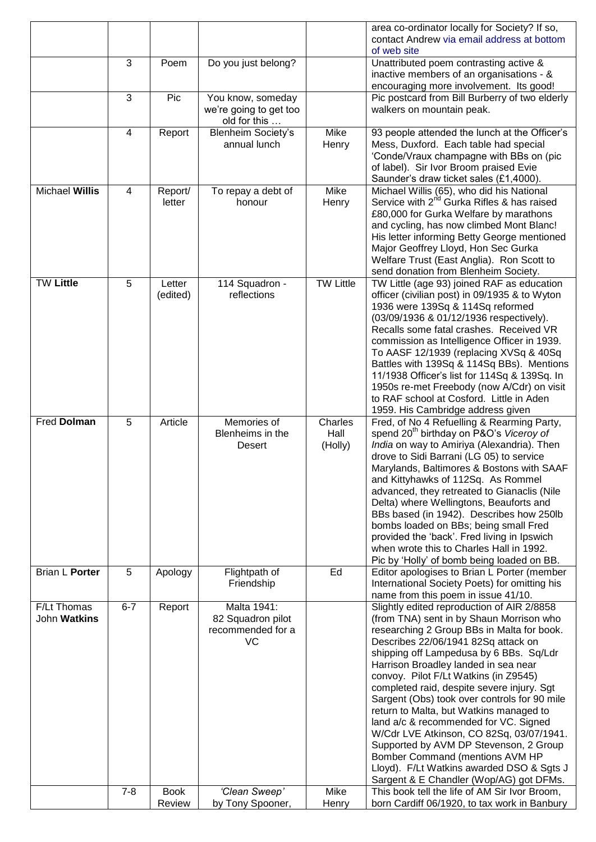|                             |                |                       |                                                             |                            | area co-ordinator locally for Society? If so,<br>contact Andrew via email address at bottom<br>of web site                                                                                                                                                                                                                                                                                                                                                                                                                                                                                                                                                                                                 |
|-----------------------------|----------------|-----------------------|-------------------------------------------------------------|----------------------------|------------------------------------------------------------------------------------------------------------------------------------------------------------------------------------------------------------------------------------------------------------------------------------------------------------------------------------------------------------------------------------------------------------------------------------------------------------------------------------------------------------------------------------------------------------------------------------------------------------------------------------------------------------------------------------------------------------|
|                             | 3              | Poem                  | Do you just belong?                                         |                            | Unattributed poem contrasting active &<br>inactive members of an organisations - &<br>encouraging more involvement. Its good!                                                                                                                                                                                                                                                                                                                                                                                                                                                                                                                                                                              |
|                             | 3              | Pic                   | You know, someday<br>we're going to get too<br>old for this |                            | Pic postcard from Bill Burberry of two elderly<br>walkers on mountain peak.                                                                                                                                                                                                                                                                                                                                                                                                                                                                                                                                                                                                                                |
|                             | $\overline{4}$ | Report                | <b>Blenheim Society's</b><br>annual lunch                   | Mike<br>Henry              | 93 people attended the lunch at the Officer's<br>Mess, Duxford. Each table had special<br>'Conde/Vraux champagne with BBs on (pic<br>of label). Sir Ivor Broom praised Evie<br>Saunder's draw ticket sales (£1,4000).                                                                                                                                                                                                                                                                                                                                                                                                                                                                                      |
| <b>Michael Willis</b>       | 4              | Report/<br>letter     | To repay a debt of<br>honour                                | Mike<br>Henry              | Michael Willis (65), who did his National<br>Service with 2 <sup>nd</sup> Gurka Rifles & has raised<br>£80,000 for Gurka Welfare by marathons<br>and cycling, has now climbed Mont Blanc!<br>His letter informing Betty George mentioned<br>Major Geoffrey Lloyd, Hon Sec Gurka<br>Welfare Trust (East Anglia). Ron Scott to<br>send donation from Blenheim Society.                                                                                                                                                                                                                                                                                                                                       |
| <b>TW Little</b>            | 5              | Letter<br>(edited)    | 114 Squadron -<br>reflections                               | <b>TW Little</b>           | TW Little (age 93) joined RAF as education<br>officer (civilian post) in 09/1935 & to Wyton<br>1936 were 139Sq & 114Sq reformed<br>(03/09/1936 & 01/12/1936 respectively).<br>Recalls some fatal crashes. Received VR<br>commission as Intelligence Officer in 1939.<br>To AASF 12/1939 (replacing XVSq & 40Sq<br>Battles with 139Sq & 114Sq BBs). Mentions<br>11/1938 Officer's list for 114Sq & 139Sq. In<br>1950s re-met Freebody (now A/Cdr) on visit<br>to RAF school at Cosford. Little in Aden<br>1959. His Cambridge address given                                                                                                                                                                 |
| Fred Dolman                 | 5              | Article               | Memories of<br>Blenheims in the<br><b>Desert</b>            | Charles<br>Hall<br>(Holly) | Fred, of No 4 Refuelling & Rearming Party,<br>spend 20 <sup>th</sup> birthday on P&O's Viceroy of<br>India on way to Amiriya (Alexandria). Then<br>drove to Sidi Barrani (LG 05) to service<br>Marylands, Baltimores & Bostons with SAAF<br>and Kittyhawks of 112Sq. As Rommel<br>advanced, they retreated to Gianaclis (Nile<br>Delta) where Wellingtons, Beauforts and<br>BBs based (in 1942). Describes how 250lb<br>bombs loaded on BBs; being small Fred<br>provided the 'back'. Fred living in Ipswich<br>when wrote this to Charles Hall in 1992.<br>Pic by 'Holly' of bomb being loaded on BB.                                                                                                     |
| Brian L Porter              | 5              | Apology               | Flightpath of<br>Friendship                                 | Ed                         | Editor apologises to Brian L Porter (member<br>International Society Poets) for omitting his<br>name from this poem in issue 41/10.                                                                                                                                                                                                                                                                                                                                                                                                                                                                                                                                                                        |
| F/Lt Thomas<br>John Watkins | $6 - 7$        | Report                | Malta 1941:<br>82 Squadron pilot<br>recommended for a<br>VC |                            | Slightly edited reproduction of AIR 2/8858<br>(from TNA) sent in by Shaun Morrison who<br>researching 2 Group BBs in Malta for book.<br>Describes 22/06/1941 82Sq attack on<br>shipping off Lampedusa by 6 BBs. Sq/Ldr<br>Harrison Broadley landed in sea near<br>convoy. Pilot F/Lt Watkins (in Z9545)<br>completed raid, despite severe injury. Sgt<br>Sargent (Obs) took over controls for 90 mile<br>return to Malta, but Watkins managed to<br>land a/c & recommended for VC. Signed<br>W/Cdr LVE Atkinson, CO 82Sq, 03/07/1941.<br>Supported by AVM DP Stevenson, 2 Group<br>Bomber Command (mentions AVM HP<br>Lloyd). F/Lt Watkins awarded DSO & Sgts J<br>Sargent & E Chandler (Wop/AG) got DFMs. |
|                             | $7 - 8$        | <b>Book</b><br>Review | 'Clean Sweep'<br>by Tony Spooner,                           | Mike<br>Henry              | This book tell the life of AM Sir Ivor Broom,<br>born Cardiff 06/1920, to tax work in Banbury                                                                                                                                                                                                                                                                                                                                                                                                                                                                                                                                                                                                              |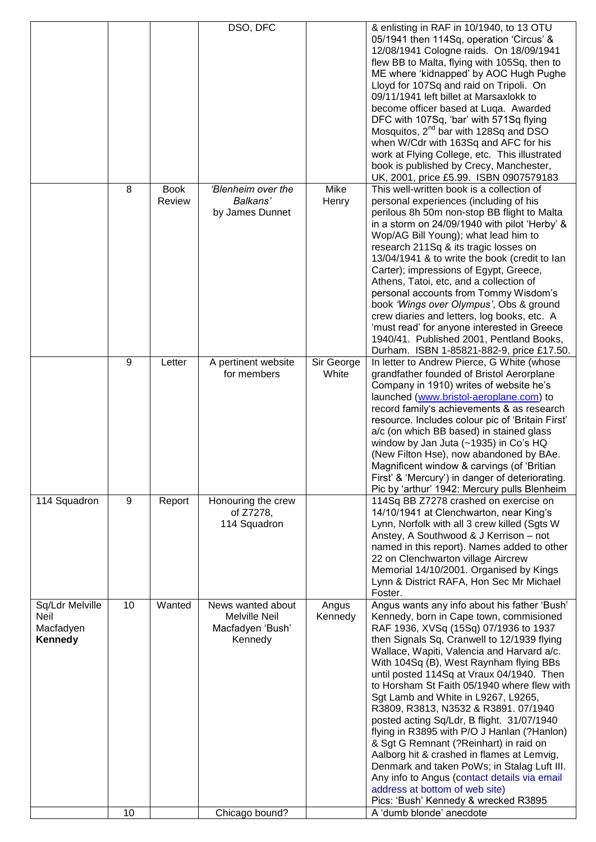|                                                 |          |                       | DSO, DFC                                                                                   |                     | & enlisting in RAF in 10/1940, to 13 OTU<br>05/1941 then 114Sq, operation 'Circus' &<br>12/08/1941 Cologne raids. On 18/09/1941<br>flew BB to Malta, flying with 105Sq, then to<br>ME where 'kidnapped' by AOC Hugh Pughe<br>Lloyd for 107Sq and raid on Tripoli. On<br>09/11/1941 left billet at Marsaxlokk to<br>become officer based at Luqa. Awarded<br>DFC with 107Sq, 'bar' with 571Sq flying<br>Mosquitos, 2 <sup>nd</sup> bar with 128Sq and DSO<br>when W/Cdr with 163Sq and AFC for his<br>work at Flying College, etc. This illustrated<br>book is published by Crecy, Manchester,<br>UK, 2001, price £5.99. ISBN 0907579183                                                                                                                                                                                                       |
|-------------------------------------------------|----------|-----------------------|--------------------------------------------------------------------------------------------|---------------------|-----------------------------------------------------------------------------------------------------------------------------------------------------------------------------------------------------------------------------------------------------------------------------------------------------------------------------------------------------------------------------------------------------------------------------------------------------------------------------------------------------------------------------------------------------------------------------------------------------------------------------------------------------------------------------------------------------------------------------------------------------------------------------------------------------------------------------------------------|
|                                                 | 8        | <b>Book</b><br>Review | 'Blenheim over the<br>Balkans'<br>by James Dunnet                                          | Mike<br>Henry       | This well-written book is a collection of<br>personal experiences (including of his<br>perilous 8h 50m non-stop BB flight to Malta<br>in a storm on 24/09/1940 with pilot 'Herby' &<br>Wop/AG Bill Young); what lead him to<br>research 211Sq & its tragic losses on<br>13/04/1941 & to write the book (credit to lan<br>Carter); impressions of Egypt, Greece,<br>Athens, Tatoi, etc, and a collection of<br>personal accounts from Tommy Wisdom's<br>book 'Wings over Olympus', Obs & ground<br>crew diaries and letters, log books, etc. A<br>'must read' for anyone interested in Greece<br>1940/41. Published 2001, Pentland Books,<br>Durham. ISBN 1-85821-882-9, price £17.50.                                                                                                                                                         |
|                                                 | 9        | Letter                | A pertinent website<br>for members                                                         | Sir George<br>White | In letter to Andrew Pierce, G White (whose<br>grandfather founded of Bristol Aerorplane<br>Company in 1910) writes of website he's<br>launched (www.bristol-aeroplane.com) to<br>record family's achievements & as research<br>resource. Includes colour pic of 'Britain First'<br>a/c (on which BB based) in stained glass<br>window by Jan Juta (~1935) in Co's HQ<br>(New Filton Hse), now abandoned by BAe.<br>Magnificent window & carvings (of 'Britian<br>First' & 'Mercury') in danger of deteriorating.<br>Pic by 'arthur' 1942: Mercury pulls Blenheim                                                                                                                                                                                                                                                                              |
| 114 Squadron                                    | 9        | Report                | Honouring the crew<br>of Z7278,<br>114 Squadron                                            |                     | 114Sq BB Z7278 crashed on exercise on<br>14/10/1941 at Clenchwarton, near King's<br>Lynn, Norfolk with all 3 crew killed (Sgts W<br>Anstey, A Southwood & J Kerrison - not<br>named in this report). Names added to other<br>22 on Clenchwarton village Aircrew<br>Memorial 14/10/2001. Organised by Kings<br>Lynn & District RAFA, Hon Sec Mr Michael<br>Foster.                                                                                                                                                                                                                                                                                                                                                                                                                                                                             |
| Sq/Ldr Melville<br>Neil<br>Macfadyen<br>Kennedy | 10<br>10 | Wanted                | News wanted about<br><b>Melville Neil</b><br>Macfadyen 'Bush'<br>Kennedy<br>Chicago bound? | Angus<br>Kennedy    | Angus wants any info about his father 'Bush'<br>Kennedy, born in Cape town, commisioned<br>RAF 1936, XVSq (15Sq) 07/1936 to 1937<br>then Signals Sq, Cranwell to 12/1939 flying<br>Wallace, Wapiti, Valencia and Harvard a/c.<br>With 104Sq (B), West Raynham flying BBs<br>until posted 114Sq at Vraux 04/1940. Then<br>to Horsham St Faith 05/1940 where flew with<br>Sgt Lamb and White in L9267, L9265,<br>R3809, R3813, N3532 & R3891. 07/1940<br>posted acting Sq/Ldr, B flight. 31/07/1940<br>flying in R3895 with P/O J Hanlan (?Hanlon)<br>& Sgt G Remnant (?Reinhart) in raid on<br>Aalborg hit & crashed in flames at Lemvig,<br>Denmark and taken PoWs; in Stalag Luft III.<br>Any info to Angus (contact details via email<br>address at bottom of web site)<br>Pics: 'Bush' Kennedy & wrecked R3895<br>A 'dumb blonde' anecdote |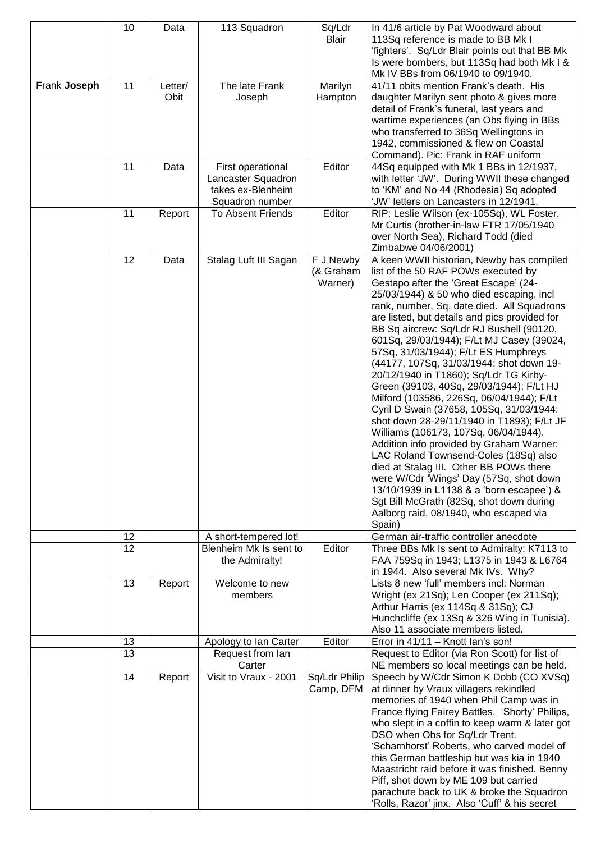|              | 10 | Data            | 113 Squadron                                                                    | Sq/Ldr<br><b>Blair</b>            | In 41/6 article by Pat Woodward about<br>113Sq reference is made to BB Mk I<br>'fighters'. Sq/Ldr Blair points out that BB Mk                                                                                                                                                                                                                                                                                                                                                                                                                                                                                                                                                                                                                                                                                                                                                                                                                                                                                                                   |
|--------------|----|-----------------|---------------------------------------------------------------------------------|-----------------------------------|-------------------------------------------------------------------------------------------------------------------------------------------------------------------------------------------------------------------------------------------------------------------------------------------------------------------------------------------------------------------------------------------------------------------------------------------------------------------------------------------------------------------------------------------------------------------------------------------------------------------------------------------------------------------------------------------------------------------------------------------------------------------------------------------------------------------------------------------------------------------------------------------------------------------------------------------------------------------------------------------------------------------------------------------------|
|              |    |                 |                                                                                 |                                   | Is were bombers, but 113Sq had both Mk I &<br>Mk IV BBs from 06/1940 to 09/1940.                                                                                                                                                                                                                                                                                                                                                                                                                                                                                                                                                                                                                                                                                                                                                                                                                                                                                                                                                                |
| Frank Joseph | 11 | Letter/<br>Obit | The late Frank<br>Joseph                                                        | Marilyn<br>Hampton                | 41/11 obits mention Frank's death. His<br>daughter Marilyn sent photo & gives more<br>detail of Frank's funeral, last years and<br>wartime experiences (an Obs flying in BBs<br>who transferred to 36Sq Wellingtons in<br>1942, commissioned & flew on Coastal<br>Command). Pic: Frank in RAF uniform                                                                                                                                                                                                                                                                                                                                                                                                                                                                                                                                                                                                                                                                                                                                           |
|              | 11 | Data            | First operational<br>Lancaster Squadron<br>takes ex-Blenheim<br>Squadron number | Editor                            | 44Sq equipped with Mk 1 BBs in 12/1937,<br>with letter 'JW'. During WWII these changed<br>to 'KM' and No 44 (Rhodesia) Sq adopted<br>'JW' letters on Lancasters in 12/1941.                                                                                                                                                                                                                                                                                                                                                                                                                                                                                                                                                                                                                                                                                                                                                                                                                                                                     |
|              | 11 | Report          | <b>To Absent Friends</b>                                                        | Editor                            | RIP: Leslie Wilson (ex-105Sq), WL Foster,<br>Mr Curtis (brother-in-law FTR 17/05/1940<br>over North Sea), Richard Todd (died<br>Zimbabwe 04/06/2001)                                                                                                                                                                                                                                                                                                                                                                                                                                                                                                                                                                                                                                                                                                                                                                                                                                                                                            |
|              | 12 | Data            | Stalag Luft III Sagan                                                           | F J Newby<br>(& Graham<br>Warner) | A keen WWII historian, Newby has compiled<br>list of the 50 RAF POWs executed by<br>Gestapo after the 'Great Escape' (24-<br>25/03/1944) & 50 who died escaping, incl<br>rank, number, Sq, date died. All Squadrons<br>are listed, but details and pics provided for<br>BB Sq aircrew: Sq/Ldr RJ Bushell (90120,<br>601Sq, 29/03/1944); F/Lt MJ Casey (39024,<br>57Sq, 31/03/1944); F/Lt ES Humphreys<br>(44177, 107Sq, 31/03/1944: shot down 19-<br>20/12/1940 in T1860); Sq/Ldr TG Kirby-<br>Green (39103, 40Sq, 29/03/1944); F/Lt HJ<br>Milford (103586, 226Sq, 06/04/1944); F/Lt<br>Cyril D Swain (37658, 105Sq, 31/03/1944:<br>shot down 28-29/11/1940 in T1893); F/Lt JF<br>Williams (106173, 107Sq, 06/04/1944).<br>Addition info provided by Graham Warner:<br>LAC Roland Townsend-Coles (18Sq) also<br>died at Stalag III. Other BB POWs there<br>were W/Cdr 'Wings' Day (57Sq, shot down<br>13/10/1939 in L1138 & a 'born escapee') &<br>Sgt Bill McGrath (82Sq, shot down during<br>Aalborg raid, 08/1940, who escaped via<br>Spain) |
|              | 12 |                 | A short-tempered lot!                                                           |                                   | German air-traffic controller anecdote                                                                                                                                                                                                                                                                                                                                                                                                                                                                                                                                                                                                                                                                                                                                                                                                                                                                                                                                                                                                          |
|              | 12 |                 | Blenheim Mk Is sent to<br>the Admiralty!                                        | Editor                            | Three BBs Mk Is sent to Admiralty: K7113 to<br>FAA 759Sq in 1943; L1375 in 1943 & L6764<br>in 1944. Also several Mk IVs. Why?                                                                                                                                                                                                                                                                                                                                                                                                                                                                                                                                                                                                                                                                                                                                                                                                                                                                                                                   |
|              | 13 | Report          | Welcome to new<br>members                                                       |                                   | Lists 8 new 'full' members incl: Norman<br>Wright (ex 21Sq); Len Cooper (ex 211Sq);<br>Arthur Harris (ex 114Sq & 31Sq); CJ<br>Hunchcliffe (ex 13Sq & 326 Wing in Tunisia).<br>Also 11 associate members listed.                                                                                                                                                                                                                                                                                                                                                                                                                                                                                                                                                                                                                                                                                                                                                                                                                                 |
|              | 13 |                 | Apology to Ian Carter                                                           | Editor                            | Error in 41/11 - Knott Ian's son!                                                                                                                                                                                                                                                                                                                                                                                                                                                                                                                                                                                                                                                                                                                                                                                                                                                                                                                                                                                                               |
|              | 13 |                 | Request from lan<br>Carter                                                      |                                   | Request to Editor (via Ron Scott) for list of<br>NE members so local meetings can be held.                                                                                                                                                                                                                                                                                                                                                                                                                                                                                                                                                                                                                                                                                                                                                                                                                                                                                                                                                      |
|              | 14 | Report          | Visit to Vraux - 2001                                                           | Sq/Ldr Philip<br>Camp, DFM        | Speech by W/Cdr Simon K Dobb (CO XVSq)<br>at dinner by Vraux villagers rekindled<br>memories of 1940 when Phil Camp was in<br>France flying Fairey Battles. 'Shorty' Philips,<br>who slept in a coffin to keep warm & later got<br>DSO when Obs for Sq/Ldr Trent.<br>'Scharnhorst' Roberts, who carved model of<br>this German battleship but was kia in 1940<br>Maastricht raid before it was finished. Benny<br>Piff, shot down by ME 109 but carried<br>parachute back to UK & broke the Squadron<br>'Rolls, Razor' jinx. Also 'Cuff' & his secret                                                                                                                                                                                                                                                                                                                                                                                                                                                                                           |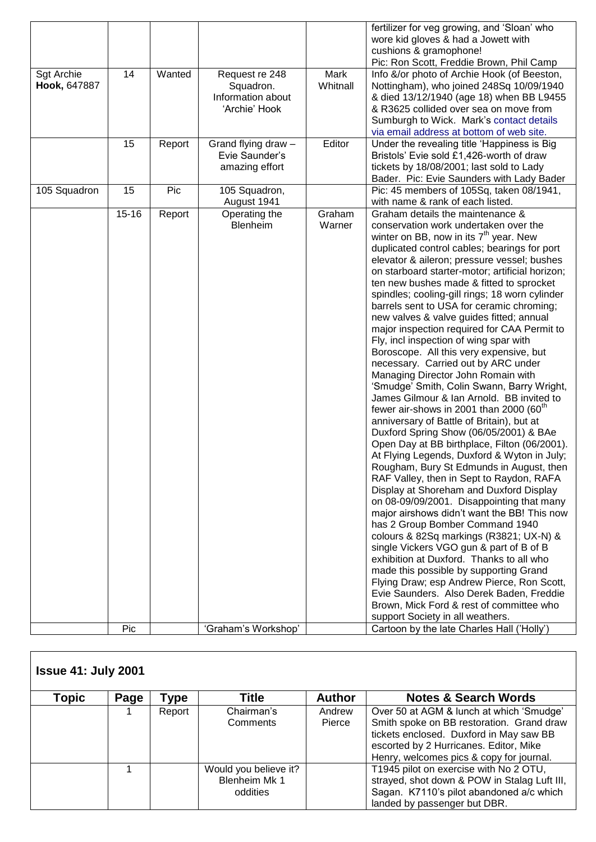|                                   |           |        |                                                                   |                  | fertilizer for veg growing, and 'Sloan' who<br>wore kid gloves & had a Jowett with<br>cushions & gramophone!<br>Pic: Ron Scott, Freddie Brown, Phil Camp                                                                                                                                                                                                                                                                                                                                                                                                                                                                                                                                                                                                                                                                                                                                                                                                                                                                                                                                                                                                                                                                                                                                                                                                                                                                                                                                                                                                                                           |
|-----------------------------------|-----------|--------|-------------------------------------------------------------------|------------------|----------------------------------------------------------------------------------------------------------------------------------------------------------------------------------------------------------------------------------------------------------------------------------------------------------------------------------------------------------------------------------------------------------------------------------------------------------------------------------------------------------------------------------------------------------------------------------------------------------------------------------------------------------------------------------------------------------------------------------------------------------------------------------------------------------------------------------------------------------------------------------------------------------------------------------------------------------------------------------------------------------------------------------------------------------------------------------------------------------------------------------------------------------------------------------------------------------------------------------------------------------------------------------------------------------------------------------------------------------------------------------------------------------------------------------------------------------------------------------------------------------------------------------------------------------------------------------------------------|
| <b>Sgt Archie</b><br>Hook, 647887 | 14        | Wanted | Request re 248<br>Squadron.<br>Information about<br>'Archie' Hook | Mark<br>Whitnall | Info &/or photo of Archie Hook (of Beeston,<br>Nottingham), who joined 248Sq 10/09/1940<br>& died 13/12/1940 (age 18) when BB L9455<br>& R3625 collided over sea on move from<br>Sumburgh to Wick. Mark's contact details<br>via email address at bottom of web site.                                                                                                                                                                                                                                                                                                                                                                                                                                                                                                                                                                                                                                                                                                                                                                                                                                                                                                                                                                                                                                                                                                                                                                                                                                                                                                                              |
|                                   | 15        | Report | Grand flying draw -<br>Evie Saunder's<br>amazing effort           | Editor           | Under the revealing title 'Happiness is Big<br>Bristols' Evie sold £1,426-worth of draw<br>tickets by 18/08/2001; last sold to Lady<br>Bader. Pic: Evie Saunders with Lady Bader                                                                                                                                                                                                                                                                                                                                                                                                                                                                                                                                                                                                                                                                                                                                                                                                                                                                                                                                                                                                                                                                                                                                                                                                                                                                                                                                                                                                                   |
| 105 Squadron                      | 15        | Pic    | 105 Squadron,<br>August 1941                                      |                  | Pic: 45 members of 105Sq, taken 08/1941,<br>with name & rank of each listed.                                                                                                                                                                                                                                                                                                                                                                                                                                                                                                                                                                                                                                                                                                                                                                                                                                                                                                                                                                                                                                                                                                                                                                                                                                                                                                                                                                                                                                                                                                                       |
|                                   | $15 - 16$ | Report | Operating the<br>Blenheim                                         | Graham<br>Warner | Graham details the maintenance &<br>conservation work undertaken over the<br>winter on BB, now in its $7th$ year. New<br>duplicated control cables; bearings for port<br>elevator & aileron; pressure vessel; bushes<br>on starboard starter-motor; artificial horizon;<br>ten new bushes made & fitted to sprocket<br>spindles; cooling-gill rings; 18 worn cylinder<br>barrels sent to USA for ceramic chroming;<br>new valves & valve guides fitted; annual<br>major inspection required for CAA Permit to<br>Fly, incl inspection of wing spar with<br>Boroscope. All this very expensive, but<br>necessary. Carried out by ARC under<br>Managing Director John Romain with<br>'Smudge' Smith, Colin Swann, Barry Wright,<br>James Gilmour & Ian Arnold. BB invited to<br>fewer air-shows in 2001 than 2000 $(60th)$<br>anniversary of Battle of Britain), but at<br>Duxford Spring Show (06/05/2001) & BAe<br>Open Day at BB birthplace, Filton (06/2001).<br>At Flying Legends, Duxford & Wyton in July;<br>Rougham, Bury St Edmunds in August, then<br>RAF Valley, then in Sept to Raydon, RAFA<br>Display at Shoreham and Duxford Display<br>on 08-09/09/2001. Disappointing that many<br>major airshows didn't want the BB! This now<br>has 2 Group Bomber Command 1940<br>colours & 82Sq markings (R3821; UX-N) &<br>single Vickers VGO gun & part of B of B<br>exhibition at Duxford. Thanks to all who<br>made this possible by supporting Grand<br>Flying Draw; esp Andrew Pierce, Ron Scott,<br>Evie Saunders. Also Derek Baden, Freddie<br>Brown, Mick Ford & rest of committee who |
|                                   | Pic       |        | 'Graham's Workshop'                                               |                  | support Society in all weathers.<br>Cartoon by the late Charles Hall ('Holly')                                                                                                                                                                                                                                                                                                                                                                                                                                                                                                                                                                                                                                                                                                                                                                                                                                                                                                                                                                                                                                                                                                                                                                                                                                                                                                                                                                                                                                                                                                                     |
|                                   |           |        |                                                                   |                  |                                                                                                                                                                                                                                                                                                                                                                                                                                                                                                                                                                                                                                                                                                                                                                                                                                                                                                                                                                                                                                                                                                                                                                                                                                                                                                                                                                                                                                                                                                                                                                                                    |

|       | <b>Issue 41: July 2001</b> |        |                                                    |               |                                                                                                                                                                            |  |  |  |  |  |
|-------|----------------------------|--------|----------------------------------------------------|---------------|----------------------------------------------------------------------------------------------------------------------------------------------------------------------------|--|--|--|--|--|
| Topic | Page                       | Type   | Title                                              | <b>Author</b> | <b>Notes &amp; Search Words</b>                                                                                                                                            |  |  |  |  |  |
|       |                            | Report | Chairman's                                         | Andrew        | Over 50 at AGM & lunch at which 'Smudge'                                                                                                                                   |  |  |  |  |  |
|       |                            |        | Comments                                           | Pierce        | Smith spoke on BB restoration. Grand draw<br>tickets enclosed. Duxford in May saw BB<br>escorted by 2 Hurricanes. Editor, Mike<br>Henry, welcomes pics & copy for journal. |  |  |  |  |  |
|       |                            |        | Would you believe it?<br>Blenheim Mk 1<br>oddities |               | T1945 pilot on exercise with No 2 OTU,<br>strayed, shot down & POW in Stalag Luft III,<br>Sagan. K7110's pilot abandoned a/c which<br>landed by passenger but DBR.         |  |  |  |  |  |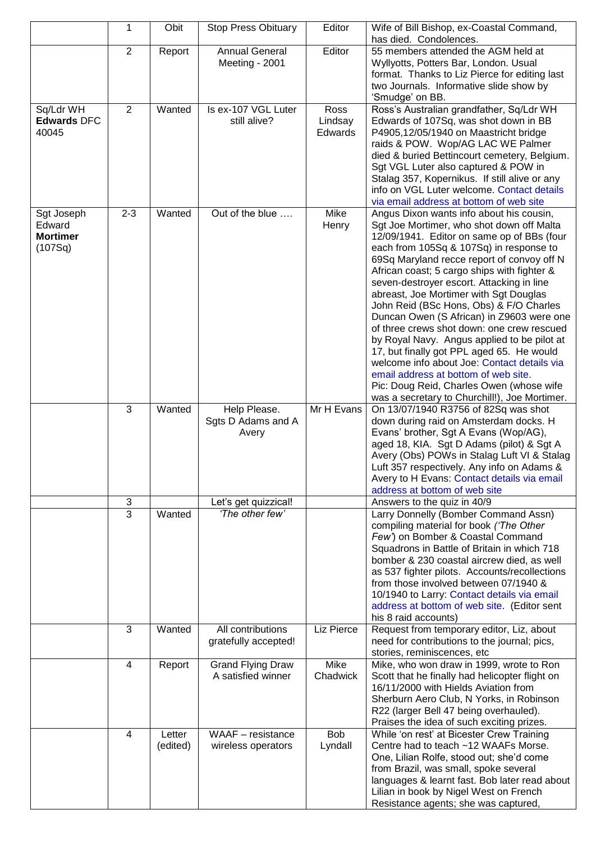|                                                    | 1              | Obit               | <b>Stop Press Obituary</b>                     | Editor                     | Wife of Bill Bishop, ex-Coastal Command,<br>has died. Condolences.                                                                                                                                                                                                                                                                                                                                                                                                                                                                                                                                                                                                                                                                                                                       |
|----------------------------------------------------|----------------|--------------------|------------------------------------------------|----------------------------|------------------------------------------------------------------------------------------------------------------------------------------------------------------------------------------------------------------------------------------------------------------------------------------------------------------------------------------------------------------------------------------------------------------------------------------------------------------------------------------------------------------------------------------------------------------------------------------------------------------------------------------------------------------------------------------------------------------------------------------------------------------------------------------|
|                                                    | 2              | Report             | <b>Annual General</b><br>Meeting - 2001        | Editor                     | 55 members attended the AGM held at<br>Wyllyotts, Potters Bar, London. Usual<br>format. Thanks to Liz Pierce for editing last<br>two Journals. Informative slide show by<br>'Smudge' on BB.                                                                                                                                                                                                                                                                                                                                                                                                                                                                                                                                                                                              |
| Sq/Ldr WH<br><b>Edwards DFC</b><br>40045           | 2              | Wanted             | Is ex-107 VGL Luter<br>still alive?            | Ross<br>Lindsay<br>Edwards | Ross's Australian grandfather, Sq/Ldr WH<br>Edwards of 107Sq, was shot down in BB<br>P4905,12/05/1940 on Maastricht bridge<br>raids & POW. Wop/AG LAC WE Palmer<br>died & buried Bettincourt cemetery, Belgium.<br>Sgt VGL Luter also captured & POW in<br>Stalag 357, Kopernikus. If still alive or any<br>info on VGL Luter welcome. Contact details<br>via email address at bottom of web site                                                                                                                                                                                                                                                                                                                                                                                        |
| Sgt Joseph<br>Edward<br><b>Mortimer</b><br>(107Sq) | $2 - 3$        | Wanted             | Out of the blue                                | Mike<br>Henry              | Angus Dixon wants info about his cousin,<br>Sgt Joe Mortimer, who shot down off Malta<br>12/09/1941. Editor on same op of BBs (four<br>each from 105Sq & 107Sq) in response to<br>69Sq Maryland recce report of convoy off N<br>African coast; 5 cargo ships with fighter &<br>seven-destroyer escort. Attacking in line<br>abreast, Joe Mortimer with Sgt Douglas<br>John Reid (BSc Hons, Obs) & F/O Charles<br>Duncan Owen (S African) in Z9603 were one<br>of three crews shot down: one crew rescued<br>by Royal Navy. Angus applied to be pilot at<br>17, but finally got PPL aged 65. He would<br>welcome info about Joe: Contact details via<br>email address at bottom of web site.<br>Pic: Doug Reid, Charles Owen (whose wife<br>was a secretary to Churchill!), Joe Mortimer. |
|                                                    | 3              | Wanted             | Help Please.<br>Sgts D Adams and A<br>Avery    | Mr H Evans                 | On 13/07/1940 R3756 of 82Sq was shot<br>down during raid on Amsterdam docks. H<br>Evans' brother, Sgt A Evans (Wop/AG),<br>aged 18, KIA. Sgt D Adams (pilot) & Sgt A<br>Avery (Obs) POWs in Stalag Luft VI & Stalag<br>Luft 357 respectively. Any info on Adams &<br>Avery to H Evans: Contact details via email<br>address at bottom of web site                                                                                                                                                                                                                                                                                                                                                                                                                                        |
|                                                    | $\mathfrak{S}$ |                    | Let's get quizzical!                           |                            | Answers to the quiz in 40/9                                                                                                                                                                                                                                                                                                                                                                                                                                                                                                                                                                                                                                                                                                                                                              |
|                                                    | $\overline{3}$ | Wanted             | 'The other few'                                |                            | Larry Donnelly (Bomber Command Assn)<br>compiling material for book ('The Other<br>Few') on Bomber & Coastal Command<br>Squadrons in Battle of Britain in which 718<br>bomber & 230 coastal aircrew died, as well<br>as 537 fighter pilots. Accounts/recollections<br>from those involved between 07/1940 &<br>10/1940 to Larry: Contact details via email<br>address at bottom of web site. (Editor sent<br>his 8 raid accounts)                                                                                                                                                                                                                                                                                                                                                        |
|                                                    | 3              | Wanted             | All contributions<br>gratefully accepted!      | Liz Pierce                 | Request from temporary editor, Liz, about<br>need for contributions to the journal; pics,<br>stories, reminiscences, etc                                                                                                                                                                                                                                                                                                                                                                                                                                                                                                                                                                                                                                                                 |
|                                                    | 4              | Report             | Grand Flying Draw<br>A satisfied winner        | Mike<br>Chadwick           | Mike, who won draw in 1999, wrote to Ron<br>Scott that he finally had helicopter flight on<br>16/11/2000 with Hields Aviation from<br>Sherburn Aero Club, N Yorks, in Robinson<br>R22 (larger Bell 47 being overhauled).<br>Praises the idea of such exciting prizes.                                                                                                                                                                                                                                                                                                                                                                                                                                                                                                                    |
|                                                    | 4              | Letter<br>(edited) | <b>WAAF</b> – resistance<br>wireless operators | <b>Bob</b><br>Lyndall      | While 'on rest' at Bicester Crew Training<br>Centre had to teach ~12 WAAFs Morse.<br>One, Lilian Rolfe, stood out; she'd come<br>from Brazil, was small, spoke several<br>languages & learnt fast. Bob later read about<br>Lilian in book by Nigel West on French<br>Resistance agents; she was captured,                                                                                                                                                                                                                                                                                                                                                                                                                                                                                |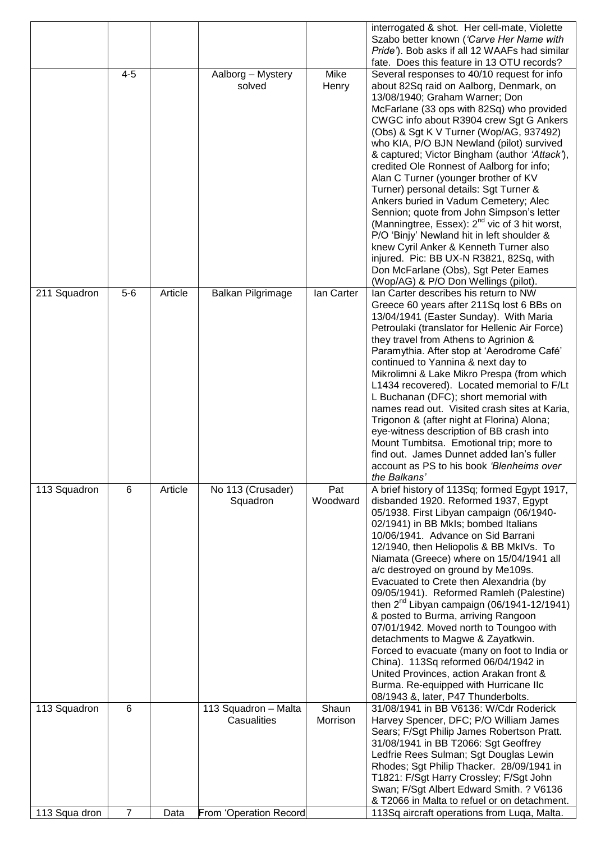|               |                |         |                        |            | interrogated & shot. Her cell-mate, Violette              |
|---------------|----------------|---------|------------------------|------------|-----------------------------------------------------------|
|               |                |         |                        |            | Szabo better known ('Carve Her Name with                  |
|               |                |         |                        |            | Pride'). Bob asks if all 12 WAAFs had similar             |
|               |                |         |                        |            | fate. Does this feature in 13 OTU records?                |
|               | $4 - 5$        |         | Aalborg - Mystery      | Mike       | Several responses to 40/10 request for info               |
|               |                |         | solved                 | Henry      | about 82Sq raid on Aalborg, Denmark, on                   |
|               |                |         |                        |            | 13/08/1940; Graham Warner; Don                            |
|               |                |         |                        |            | McFarlane (33 ops with 82Sq) who provided                 |
|               |                |         |                        |            | CWGC info about R3904 crew Sgt G Ankers                   |
|               |                |         |                        |            | (Obs) & Sgt K V Turner (Wop/AG, 937492)                   |
|               |                |         |                        |            | who KIA, P/O BJN Newland (pilot) survived                 |
|               |                |         |                        |            | & captured; Victor Bingham (author 'Attack'),             |
|               |                |         |                        |            | credited Ole Ronnest of Aalborg for info;                 |
|               |                |         |                        |            | Alan C Turner (younger brother of KV                      |
|               |                |         |                        |            | Turner) personal details: Sgt Turner &                    |
|               |                |         |                        |            | Ankers buried in Vadum Cemetery; Alec                     |
|               |                |         |                        |            | Sennion; quote from John Simpson's letter                 |
|               |                |         |                        |            | (Manningtree, Essex): 2 <sup>nd</sup> vic of 3 hit worst, |
|               |                |         |                        |            | P/O 'Binjy' Newland hit in left shoulder &                |
|               |                |         |                        |            | knew Cyril Anker & Kenneth Turner also                    |
|               |                |         |                        |            | injured. Pic: BB UX-N R3821, 82Sq, with                   |
|               |                |         |                        |            | Don McFarlane (Obs), Sgt Peter Eames                      |
|               |                |         |                        |            | (Wop/AG) & P/O Don Wellings (pilot).                      |
| 211 Squadron  | $5-6$          | Article | Balkan Pilgrimage      | lan Carter | Ian Carter describes his return to NW                     |
|               |                |         |                        |            | Greece 60 years after 211Sq lost 6 BBs on                 |
|               |                |         |                        |            | 13/04/1941 (Easter Sunday). With Maria                    |
|               |                |         |                        |            | Petroulaki (translator for Hellenic Air Force)            |
|               |                |         |                        |            | they travel from Athens to Agrinion &                     |
|               |                |         |                        |            | Paramythia. After stop at 'Aerodrome Café'                |
|               |                |         |                        |            | continued to Yannina & next day to                        |
|               |                |         |                        |            | Mikrolimni & Lake Mikro Prespa (from which                |
|               |                |         |                        |            | L1434 recovered). Located memorial to F/Lt                |
|               |                |         |                        |            | L Buchanan (DFC); short memorial with                     |
|               |                |         |                        |            | names read out. Visited crash sites at Karia,             |
|               |                |         |                        |            | Trigonon & (after night at Florina) Alona;                |
|               |                |         |                        |            | eye-witness description of BB crash into                  |
|               |                |         |                        |            | Mount Tumbitsa. Emotional trip; more to                   |
|               |                |         |                        |            | find out. James Dunnet added Ian's fuller                 |
|               |                |         |                        |            | account as PS to his book 'Blenheims over                 |
|               |                |         |                        |            | the Balkans'                                              |
| 113 Squadron  | 6              | Article | No 113 (Crusader)      | Pat        | A brief history of 113Sq; formed Egypt 1917,              |
|               |                |         | Squadron               | Woodward   | disbanded 1920. Reformed 1937, Egypt                      |
|               |                |         |                        |            | 05/1938. First Libyan campaign (06/1940-                  |
|               |                |         |                        |            | 02/1941) in BB MkIs; bombed Italians                      |
|               |                |         |                        |            | 10/06/1941. Advance on Sid Barrani                        |
|               |                |         |                        |            | 12/1940, then Heliopolis & BB MkIVs. To                   |
|               |                |         |                        |            | Niamata (Greece) where on 15/04/1941 all                  |
|               |                |         |                        |            | a/c destroyed on ground by Me109s.                        |
|               |                |         |                        |            | Evacuated to Crete then Alexandria (by                    |
|               |                |         |                        |            | 09/05/1941). Reformed Ramleh (Palestine)                  |
|               |                |         |                        |            | then $2^{nd}$ Libyan campaign (06/1941-12/1941)           |
|               |                |         |                        |            | & posted to Burma, arriving Rangoon                       |
|               |                |         |                        |            | 07/01/1942. Moved north to Toungoo with                   |
|               |                |         |                        |            | detachments to Magwe & Zayatkwin.                         |
|               |                |         |                        |            | Forced to evacuate (many on foot to India or              |
|               |                |         |                        |            | China). 113Sq reformed 06/04/1942 in                      |
|               |                |         |                        |            | United Provinces, action Arakan front &                   |
|               |                |         |                        |            | Burma. Re-equipped with Hurricane IIc                     |
|               |                |         |                        |            | 08/1943 &, later, P47 Thunderbolts.                       |
| 113 Squadron  | 6              |         | 113 Squadron - Malta   | Shaun      | 31/08/1941 in BB V6136: W/Cdr Roderick                    |
|               |                |         | Casualities            | Morrison   | Harvey Spencer, DFC; P/O William James                    |
|               |                |         |                        |            | Sears; F/Sgt Philip James Robertson Pratt.                |
|               |                |         |                        |            | 31/08/1941 in BB T2066: Sgt Geoffrey                      |
|               |                |         |                        |            | Ledfrie Rees Sulman; Sgt Douglas Lewin                    |
|               |                |         |                        |            | Rhodes; Sgt Philip Thacker. 28/09/1941 in                 |
|               |                |         |                        |            | T1821: F/Sgt Harry Crossley; F/Sgt John                   |
|               |                |         |                        |            | Swan; F/Sgt Albert Edward Smith. ? V6136                  |
|               |                |         |                        |            | & T2066 in Malta to refuel or on detachment.              |
|               |                |         |                        |            |                                                           |
| 113 Squa dron | $\overline{7}$ | Data    | From 'Operation Record |            | 113Sq aircraft operations from Luqa, Malta.               |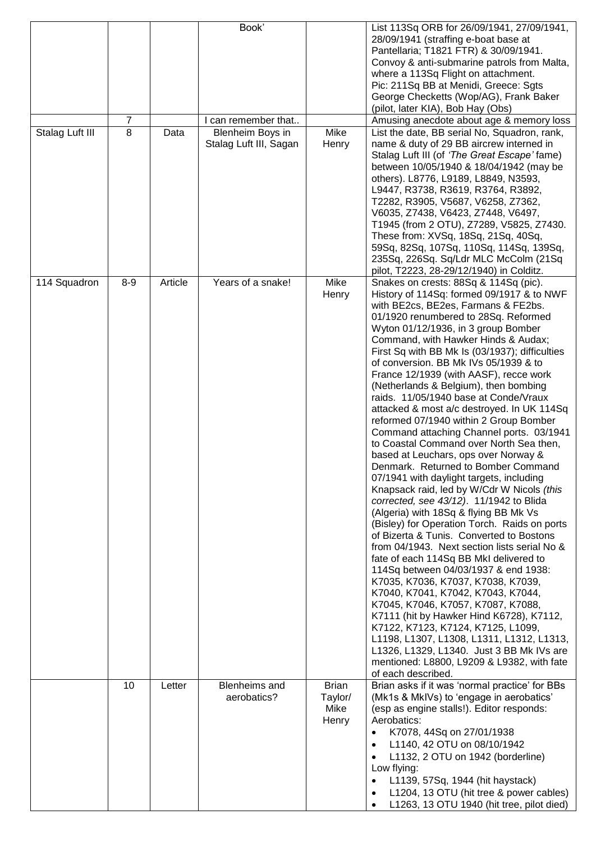| Stalag Luft III | 7<br>8  | Data    | Book'<br>can remember that<br>Blenheim Boys in<br>Stalag Luft III, Sagan | Mike<br>Henry                            | List 113Sq ORB for 26/09/1941, 27/09/1941,<br>28/09/1941 (straffing e-boat base at<br>Pantellaria; T1821 FTR) & 30/09/1941.<br>Convoy & anti-submarine patrols from Malta,<br>where a 113Sq Flight on attachment.<br>Pic: 211Sq BB at Menidi, Greece: Sgts<br>George Checketts (Wop/AG), Frank Baker<br>(pilot, later KIA), Bob Hay (Obs)<br>Amusing anecdote about age & memory loss<br>List the date, BB serial No, Squadron, rank,<br>name & duty of 29 BB aircrew interned in<br>Stalag Luft III (of 'The Great Escape' fame)<br>between 10/05/1940 & 18/04/1942 (may be<br>others). L8776, L9189, L8849, N3593,<br>L9447, R3738, R3619, R3764, R3892,                                                                                                                                                                                                                                                                                                                                                                                                                                                                                                                                                                                                                                                                                                                                                                                                                                                         |
|-----------------|---------|---------|--------------------------------------------------------------------------|------------------------------------------|--------------------------------------------------------------------------------------------------------------------------------------------------------------------------------------------------------------------------------------------------------------------------------------------------------------------------------------------------------------------------------------------------------------------------------------------------------------------------------------------------------------------------------------------------------------------------------------------------------------------------------------------------------------------------------------------------------------------------------------------------------------------------------------------------------------------------------------------------------------------------------------------------------------------------------------------------------------------------------------------------------------------------------------------------------------------------------------------------------------------------------------------------------------------------------------------------------------------------------------------------------------------------------------------------------------------------------------------------------------------------------------------------------------------------------------------------------------------------------------------------------------------|
|                 |         |         |                                                                          |                                          | T2282, R3905, V5687, V6258, Z7362,<br>V6035, Z7438, V6423, Z7448, V6497,<br>T1945 (from 2 OTU), Z7289, V5825, Z7430.<br>These from: XVSq, 18Sq, 21Sq, 40Sq,<br>59Sq, 82Sq, 107Sq, 110Sq, 114Sq, 139Sq,<br>235Sq, 226Sq. Sq/Ldr MLC McColm (21Sq<br>pilot, T2223, 28-29/12/1940) in Colditz.                                                                                                                                                                                                                                                                                                                                                                                                                                                                                                                                                                                                                                                                                                                                                                                                                                                                                                                                                                                                                                                                                                                                                                                                                        |
| 114 Squadron    | $8 - 9$ | Article | Years of a snake!                                                        | Mike<br>Henry                            | Snakes on crests: 88Sq & 114Sq (pic).<br>History of 114Sq: formed 09/1917 & to NWF<br>with BE2cs, BE2es, Farmans & FE2bs.<br>01/1920 renumbered to 28Sq. Reformed<br>Wyton 01/12/1936, in 3 group Bomber<br>Command, with Hawker Hinds & Audax;<br>First Sq with BB Mk Is (03/1937); difficulties<br>of conversion. BB Mk IVs 05/1939 & to<br>France 12/1939 (with AASF), recce work<br>(Netherlands & Belgium), then bombing<br>raids. 11/05/1940 base at Conde/Vraux<br>attacked & most a/c destroyed. In UK 114Sq<br>reformed 07/1940 within 2 Group Bomber<br>Command attaching Channel ports. 03/1941<br>to Coastal Command over North Sea then,<br>based at Leuchars, ops over Norway &<br>Denmark. Returned to Bomber Command<br>07/1941 with daylight targets, including<br>Knapsack raid, led by W/Cdr W Nicols (this<br>corrected, see 43/12). 11/1942 to Blida<br>(Algeria) with 18Sq & flying BB Mk Vs<br>(Bisley) for Operation Torch. Raids on ports<br>of Bizerta & Tunis. Converted to Bostons<br>from 04/1943. Next section lists serial No &<br>fate of each 114Sq BB MkI delivered to<br>114Sq between 04/03/1937 & end 1938:<br>K7035, K7036, K7037, K7038, K7039,<br>K7040, K7041, K7042, K7043, K7044,<br>K7045, K7046, K7057, K7087, K7088,<br>K7111 (hit by Hawker Hind K6728), K7112,<br>K7122, K7123, K7124, K7125, L1099,<br>L1198, L1307, L1308, L1311, L1312, L1313,<br>L1326, L1329, L1340. Just 3 BB Mk IVs are<br>mentioned: L8800, L9209 & L9382, with fate<br>of each described. |
|                 | 10      | Letter  | Blenheims and<br>aerobatics?                                             | <b>Brian</b><br>Taylor/<br>Mike<br>Henry | Brian asks if it was 'normal practice' for BBs<br>(Mk1s & MkIVs) to 'engage in aerobatics'<br>(esp as engine stalls!). Editor responds:<br>Aerobatics:<br>K7078, 44Sq on 27/01/1938<br>L1140, 42 OTU on 08/10/1942<br>L1132, 2 OTU on 1942 (borderline)<br>Low flying:<br>L1139, 57Sq, 1944 (hit haystack)<br>L1204, 13 OTU (hit tree & power cables)<br>L1263, 13 OTU 1940 (hit tree, pilot died)                                                                                                                                                                                                                                                                                                                                                                                                                                                                                                                                                                                                                                                                                                                                                                                                                                                                                                                                                                                                                                                                                                                 |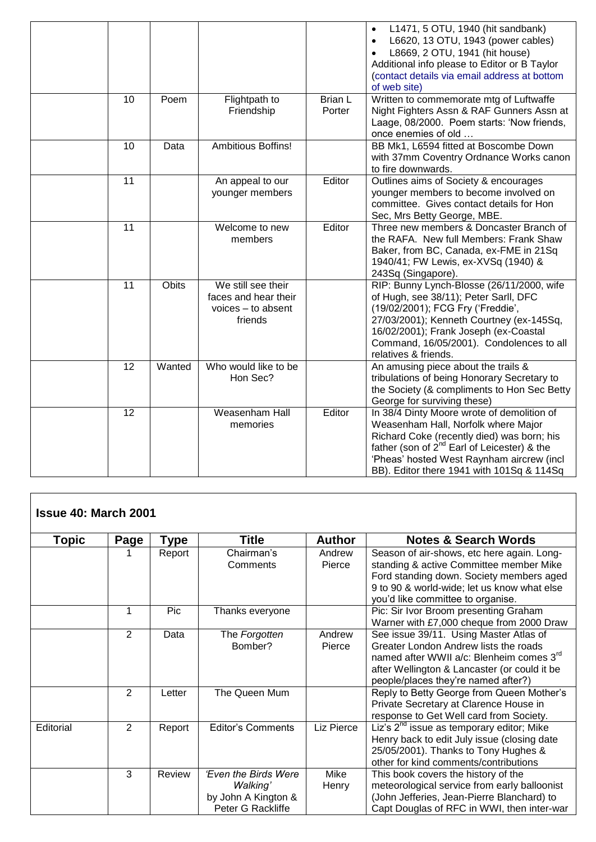|    |        |                                                                             |                          | L1471, 5 OTU, 1940 (hit sandbank)<br>$\bullet$<br>L6620, 13 OTU, 1943 (power cables)<br>L8669, 2 OTU, 1941 (hit house)<br>Additional info please to Editor or B Taylor<br>(contact details via email address at bottom<br>of web site)                                           |
|----|--------|-----------------------------------------------------------------------------|--------------------------|----------------------------------------------------------------------------------------------------------------------------------------------------------------------------------------------------------------------------------------------------------------------------------|
| 10 | Poem   | Flightpath to<br>Friendship                                                 | <b>Brian L</b><br>Porter | Written to commemorate mtg of Luftwaffe<br>Night Fighters Assn & RAF Gunners Assn at<br>Laage, 08/2000. Poem starts: 'Now friends,<br>once enemies of old                                                                                                                        |
| 10 | Data   | Ambitious Boffins!                                                          |                          | BB Mk1, L6594 fitted at Boscombe Down<br>with 37mm Coventry Ordnance Works canon<br>to fire downwards.                                                                                                                                                                           |
| 11 |        | An appeal to our<br>younger members                                         | Editor                   | Outlines aims of Society & encourages<br>younger members to become involved on<br>committee. Gives contact details for Hon<br>Sec, Mrs Betty George, MBE.                                                                                                                        |
| 11 |        | Welcome to new<br>members                                                   | Editor                   | Three new members & Doncaster Branch of<br>the RAFA. New full Members: Frank Shaw<br>Baker, from BC, Canada, ex-FME in 21Sq<br>1940/41; FW Lewis, ex-XVSq (1940) &<br>243Sq (Singapore).                                                                                         |
| 11 | Obits  | We still see their<br>faces and hear their<br>voices - to absent<br>friends |                          | RIP: Bunny Lynch-Blosse (26/11/2000, wife<br>of Hugh, see 38/11); Peter Sarll, DFC<br>(19/02/2001); FCG Fry ('Freddie',<br>27/03/2001); Kenneth Courtney (ex-145Sq,<br>16/02/2001); Frank Joseph (ex-Coastal<br>Command, 16/05/2001). Condolences to all<br>relatives & friends. |
| 12 | Wanted | Who would like to be<br>Hon Sec?                                            |                          | An amusing piece about the trails &<br>tribulations of being Honorary Secretary to<br>the Society (& compliments to Hon Sec Betty<br>George for surviving these)                                                                                                                 |
| 12 |        | Weasenham Hall<br>memories                                                  | Editor                   | In 38/4 Dinty Moore wrote of demolition of<br>Weasenham Hall, Norfolk where Major<br>Richard Coke (recently died) was born; his<br>father (son of $2^{nd}$ Earl of Leicester) & the<br>'Pheas' hosted West Raynham aircrew (incl<br>BB). Editor there 1941 with 101Sq & 114Sq    |

| <b>Issue 40: March 2001</b> |                |        |                                 |               |                                                                                     |  |
|-----------------------------|----------------|--------|---------------------------------|---------------|-------------------------------------------------------------------------------------|--|
| Topic                       | Page           | Type   | Title                           | <b>Author</b> | <b>Notes &amp; Search Words</b>                                                     |  |
|                             |                | Report | Chairman's                      | Andrew        | Season of air-shows, etc here again. Long-                                          |  |
|                             |                |        | Comments                        | Pierce        | standing & active Committee member Mike                                             |  |
|                             |                |        |                                 |               | Ford standing down. Society members aged                                            |  |
|                             |                |        |                                 |               | 9 to 90 & world-wide; let us know what else                                         |  |
|                             |                |        |                                 |               | you'd like committee to organise.                                                   |  |
|                             | 1              | Pic    | Thanks everyone                 |               | Pic: Sir Ivor Broom presenting Graham                                               |  |
|                             |                |        |                                 |               | Warner with £7,000 cheque from 2000 Draw                                            |  |
|                             | 2              | Data   | The Forgotten                   | Andrew        | See issue 39/11. Using Master Atlas of                                              |  |
|                             |                |        | Bomber?                         | Pierce        | Greater London Andrew lists the roads                                               |  |
|                             |                |        |                                 |               | named after WWII a/c: Blenheim comes 3rd                                            |  |
|                             |                |        |                                 |               | after Wellington & Lancaster (or could it be                                        |  |
|                             |                |        |                                 |               | people/places they're named after?)                                                 |  |
|                             | $\overline{2}$ | Letter | The Queen Mum                   |               | Reply to Betty George from Queen Mother's                                           |  |
|                             |                |        |                                 |               | Private Secretary at Clarence House in                                              |  |
|                             |                |        |                                 |               | response to Get Well card from Society.                                             |  |
| Editorial                   | 2              | Report | <b>Editor's Comments</b>        | Liz Pierce    | Liz's 2 <sup>nd</sup> issue as temporary editor; Mike                               |  |
|                             |                |        |                                 |               | Henry back to edit July issue (closing date                                         |  |
|                             |                |        |                                 |               | 25/05/2001). Thanks to Tony Hughes &<br>other for kind comments/contributions       |  |
|                             | 3              | Review | <b>'Even the Birds Were</b>     | Mike          |                                                                                     |  |
|                             |                |        |                                 |               | This book covers the history of the<br>meteorological service from early balloonist |  |
|                             |                |        | Walking'<br>by John A Kington & | Henry         | (John Jefferies, Jean-Pierre Blanchard) to                                          |  |
|                             |                |        | Peter G Rackliffe               |               | Capt Douglas of RFC in WWI, then inter-war                                          |  |
|                             |                |        |                                 |               |                                                                                     |  |

ו

 $\overline{\phantom{a}}$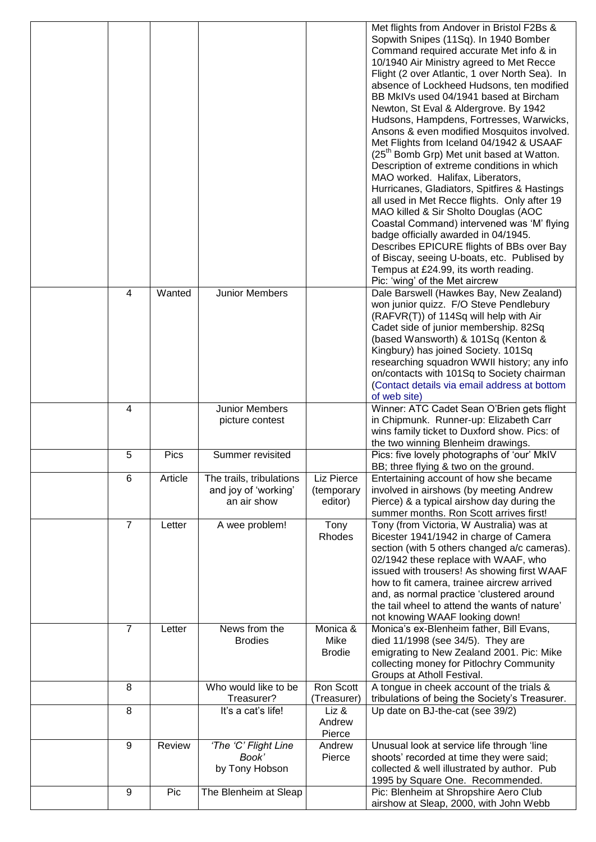|                |         |                                                                 |                                     | Met flights from Andover in Bristol F2Bs &<br>Sopwith Snipes (11Sq). In 1940 Bomber<br>Command required accurate Met info & in<br>10/1940 Air Ministry agreed to Met Recce<br>Flight (2 over Atlantic, 1 over North Sea). In<br>absence of Lockheed Hudsons, ten modified<br>BB MkIVs used 04/1941 based at Bircham<br>Newton, St Eval & Aldergrove. By 1942<br>Hudsons, Hampdens, Fortresses, Warwicks,<br>Ansons & even modified Mosquitos involved.<br>Met Flights from Iceland 04/1942 & USAAF<br>(25 <sup>th</sup> Bomb Grp) Met unit based at Watton.<br>Description of extreme conditions in which<br>MAO worked. Halifax, Liberators,<br>Hurricanes, Gladiators, Spitfires & Hastings<br>all used in Met Recce flights. Only after 19<br>MAO killed & Sir Sholto Douglas (AOC<br>Coastal Command) intervened was 'M' flying<br>badge officially awarded in 04/1945.<br>Describes EPICURE flights of BBs over Bay<br>of Biscay, seeing U-boats, etc. Publised by<br>Tempus at £24.99, its worth reading.<br>Pic: 'wing' of the Met aircrew |
|----------------|---------|-----------------------------------------------------------------|-------------------------------------|---------------------------------------------------------------------------------------------------------------------------------------------------------------------------------------------------------------------------------------------------------------------------------------------------------------------------------------------------------------------------------------------------------------------------------------------------------------------------------------------------------------------------------------------------------------------------------------------------------------------------------------------------------------------------------------------------------------------------------------------------------------------------------------------------------------------------------------------------------------------------------------------------------------------------------------------------------------------------------------------------------------------------------------------------|
| 4              | Wanted  | Junior Members                                                  |                                     | Dale Barswell (Hawkes Bay, New Zealand)<br>won junior quizz. F/O Steve Pendlebury<br>(RAFVR(T)) of 114Sq will help with Air<br>Cadet side of junior membership. 82Sq<br>(based Wansworth) & 101Sq (Kenton &<br>Kingbury) has joined Society. 101Sq<br>researching squadron WWII history; any info<br>on/contacts with 101Sq to Society chairman<br>(Contact details via email address at bottom<br>of web site)                                                                                                                                                                                                                                                                                                                                                                                                                                                                                                                                                                                                                                   |
| 4              |         | Junior Members<br>picture contest                               |                                     | Winner: ATC Cadet Sean O'Brien gets flight<br>in Chipmunk. Runner-up: Elizabeth Carr<br>wins family ticket to Duxford show. Pics: of<br>the two winning Blenheim drawings.                                                                                                                                                                                                                                                                                                                                                                                                                                                                                                                                                                                                                                                                                                                                                                                                                                                                        |
| 5              | Pics    | Summer revisited                                                |                                     | Pics: five lovely photographs of 'our' MkIV<br>BB; three flying & two on the ground.                                                                                                                                                                                                                                                                                                                                                                                                                                                                                                                                                                                                                                                                                                                                                                                                                                                                                                                                                              |
| $6\phantom{1}$ | Article | The trails, tribulations<br>and joy of 'working'<br>an air show | Liz Pierce<br>(temporary<br>editor) | Entertaining account of how she became<br>involved in airshows (by meeting Andrew<br>Pierce) & a typical airshow day during the<br>summer months. Ron Scott arrives first!                                                                                                                                                                                                                                                                                                                                                                                                                                                                                                                                                                                                                                                                                                                                                                                                                                                                        |
| $\overline{7}$ | Letter  | A wee problem!                                                  | Tony<br>Rhodes                      | Tony (from Victoria, W Australia) was at<br>Bicester 1941/1942 in charge of Camera<br>section (with 5 others changed a/c cameras).<br>02/1942 these replace with WAAF, who<br>issued with trousers! As showing first WAAF<br>how to fit camera, trainee aircrew arrived<br>and, as normal practice 'clustered around<br>the tail wheel to attend the wants of nature'<br>not knowing WAAF looking down!                                                                                                                                                                                                                                                                                                                                                                                                                                                                                                                                                                                                                                           |
| 7              | Letter  | News from the<br><b>Brodies</b>                                 | Monica &<br>Mike<br><b>Brodie</b>   | Monica's ex-Blenheim father, Bill Evans,<br>died 11/1998 (see 34/5). They are<br>emigrating to New Zealand 2001. Pic: Mike<br>collecting money for Pitlochry Community<br>Groups at Atholl Festival.                                                                                                                                                                                                                                                                                                                                                                                                                                                                                                                                                                                                                                                                                                                                                                                                                                              |
| 8              |         | Who would like to be<br>Treasurer?                              | Ron Scott<br>(Treasurer)            | A tongue in cheek account of the trials &<br>tribulations of being the Society's Treasurer.                                                                                                                                                                                                                                                                                                                                                                                                                                                                                                                                                                                                                                                                                                                                                                                                                                                                                                                                                       |
| 8              |         | It's a cat's life!                                              | Liz &<br>Andrew<br>Pierce           | Up date on BJ-the-cat (see 39/2)                                                                                                                                                                                                                                                                                                                                                                                                                                                                                                                                                                                                                                                                                                                                                                                                                                                                                                                                                                                                                  |
| 9              | Review  | 'The 'C' Flight Line<br>Book'<br>by Tony Hobson                 | Andrew<br>Pierce                    | Unusual look at service life through 'line<br>shoots' recorded at time they were said;<br>collected & well illustrated by author. Pub<br>1995 by Square One. Recommended.                                                                                                                                                                                                                                                                                                                                                                                                                                                                                                                                                                                                                                                                                                                                                                                                                                                                         |
| 9              | Pic     | The Blenheim at Sleap                                           |                                     | Pic: Blenheim at Shropshire Aero Club<br>airshow at Sleap, 2000, with John Webb                                                                                                                                                                                                                                                                                                                                                                                                                                                                                                                                                                                                                                                                                                                                                                                                                                                                                                                                                                   |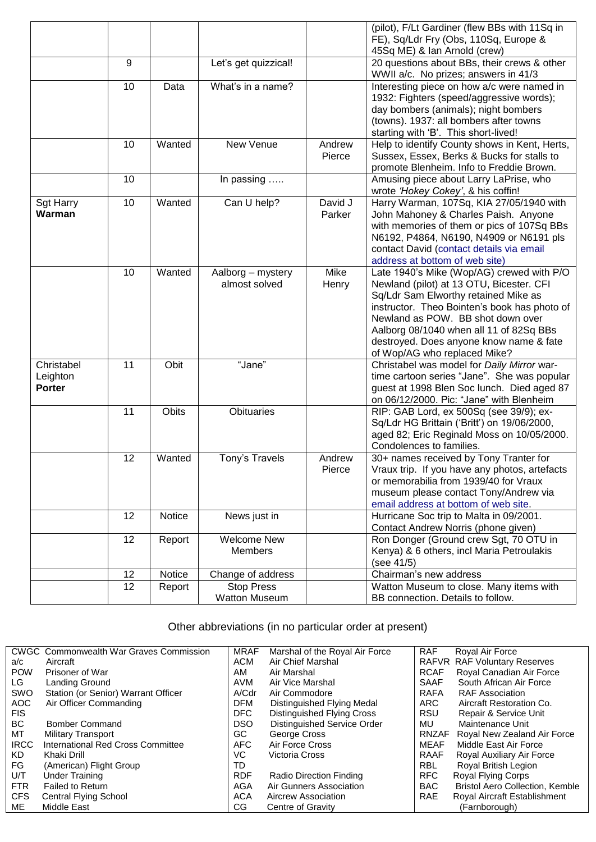|                           |    |        |                      |         | (pilot), F/Lt Gardiner (flew BBs with 11Sq in                                          |
|---------------------------|----|--------|----------------------|---------|----------------------------------------------------------------------------------------|
|                           |    |        |                      |         | FE), Sq/Ldr Fry (Obs, 110Sq, Europe &<br>45Sq ME) & Ian Arnold (crew)                  |
|                           | 9  |        | Let's get quizzical! |         | 20 questions about BBs, their crews & other                                            |
|                           |    |        |                      |         | WWII a/c. No prizes; answers in 41/3                                                   |
|                           | 10 | Data   | What's in a name?    |         | Interesting piece on how a/c were named in                                             |
|                           |    |        |                      |         | 1932: Fighters (speed/aggressive words);                                               |
|                           |    |        |                      |         | day bombers (animals); night bombers                                                   |
|                           |    |        |                      |         | (towns). 1937: all bombers after towns                                                 |
|                           |    |        |                      |         | starting with 'B'. This short-lived!                                                   |
|                           | 10 | Wanted | New Venue            | Andrew  | Help to identify County shows in Kent, Herts,                                          |
|                           |    |        |                      | Pierce  | Sussex, Essex, Berks & Bucks for stalls to                                             |
|                           |    |        |                      |         | promote Blenheim. Info to Freddie Brown.                                               |
|                           | 10 |        | In passing           |         | Amusing piece about Larry LaPrise, who                                                 |
|                           |    |        |                      |         | wrote 'Hokey Cokey', & his coffin!                                                     |
| <b>Sgt Harry</b>          | 10 | Wanted | Can U help?          | David J | Harry Warman, 107Sq, KIA 27/05/1940 with                                               |
| Warman                    |    |        |                      | Parker  | John Mahoney & Charles Paish. Anyone                                                   |
|                           |    |        |                      |         | with memories of them or pics of 107Sq BBs                                             |
|                           |    |        |                      |         | N6192, P4864, N6190, N4909 or N6191 pls<br>contact David (contact details via email    |
|                           |    |        |                      |         | address at bottom of web site)                                                         |
|                           | 10 | Wanted | Aalborg - mystery    | Mike    | Late 1940's Mike (Wop/AG) crewed with P/O                                              |
|                           |    |        | almost solved        | Henry   | Newland (pilot) at 13 OTU, Bicester. CFI                                               |
|                           |    |        |                      |         | Sq/Ldr Sam Elworthy retained Mike as                                                   |
|                           |    |        |                      |         | instructor. Theo Bointen's book has photo of                                           |
|                           |    |        |                      |         | Newland as POW. BB shot down over                                                      |
|                           |    |        |                      |         | Aalborg 08/1040 when all 11 of 82Sq BBs                                                |
|                           |    |        |                      |         | destroyed. Does anyone know name & fate                                                |
|                           |    |        |                      |         | of Wop/AG who replaced Mike?                                                           |
| Christabel                | 11 | Obit   | "Jane"               |         | Christabel was model for Daily Mirror war-                                             |
| Leighton<br><b>Porter</b> |    |        |                      |         | time cartoon series "Jane". She was popular                                            |
|                           |    |        |                      |         | guest at 1998 Blen Soc lunch. Died aged 87<br>on 06/12/2000. Pic: "Jane" with Blenheim |
|                           | 11 | Obits  | <b>Obituaries</b>    |         | RIP: GAB Lord, ex 500Sq (see 39/9); ex-                                                |
|                           |    |        |                      |         | Sq/Ldr HG Brittain ('Britt') on 19/06/2000,                                            |
|                           |    |        |                      |         | aged 82; Eric Reginald Moss on 10/05/2000.                                             |
|                           |    |        |                      |         | Condolences to families.                                                               |
|                           | 12 | Wanted | Tony's Travels       | Andrew  | 30+ names received by Tony Tranter for                                                 |
|                           |    |        |                      | Pierce  | Vraux trip. If you have any photos, artefacts                                          |
|                           |    |        |                      |         | or memorabilia from 1939/40 for Vraux                                                  |
|                           |    |        |                      |         | museum please contact Tony/Andrew via                                                  |
|                           |    |        |                      |         | email address at bottom of web site.                                                   |
|                           | 12 | Notice | News just in         |         | Hurricane Soc trip to Malta in 09/2001.                                                |
|                           | 12 |        | <b>Welcome New</b>   |         | Contact Andrew Norris (phone given)<br>Ron Donger (Ground crew Sgt, 70 OTU in          |
|                           |    | Report | <b>Members</b>       |         | Kenya) & 6 others, incl Maria Petroulakis                                              |
|                           |    |        |                      |         | (see 41/5)                                                                             |
|                           | 12 | Notice | Change of address    |         | Chairman's new address                                                                 |
|                           | 12 | Report | <b>Stop Press</b>    |         | Watton Museum to close. Many items with                                                |
|                           |    |        | Watton Museum        |         | BB connection. Details to follow.                                                      |

## Other abbreviations (in no particular order at present)

|             | <b>CWGC</b> Commonwealth War Graves Commission | <b>MRAF</b> | Marshal of the Royal Air Force | <b>RAF</b>   | Royal Air Force                        |
|-------------|------------------------------------------------|-------------|--------------------------------|--------------|----------------------------------------|
| a/c         | Aircraft                                       | <b>ACM</b>  | Air Chief Marshal              |              | RAFVR RAF Voluntary Reserves           |
| <b>POW</b>  | Prisoner of War                                | AM          | Air Marshal                    | <b>RCAF</b>  | Royal Canadian Air Force               |
| LG          | Landing Ground                                 | AVM         | Air Vice Marshal               | <b>SAAF</b>  | South African Air Force                |
| SWO         | Station (or Senior) Warrant Officer            | A/Cdr       | Air Commodore                  | <b>RAFA</b>  | <b>RAF Association</b>                 |
| AOC         | Air Officer Commanding                         | <b>DFM</b>  | Distinguished Flying Medal     | ARC.         | Aircraft Restoration Co.               |
| <b>FIS</b>  |                                                | DFC         | Distinguished Flying Cross     | <b>RSU</b>   | Repair & Service Unit                  |
| <b>BC</b>   | <b>Bomber Command</b>                          | <b>DSO</b>  | Distinguished Service Order    | MU           | Maintenance Unit                       |
| МT          | <b>Military Transport</b>                      | GC.         | George Cross                   | <b>RNZAF</b> | Royal New Zealand Air Force            |
| <b>IRCC</b> | International Red Cross Committee              | <b>AFC</b>  | Air Force Cross                | <b>MEAF</b>  | Middle East Air Force                  |
| KD.         | Khaki Drill                                    | VC          | Victoria Cross                 | <b>RAAF</b>  | Royal Auxiliary Air Force              |
| FG          | (American) Flight Group                        | TD          |                                | <b>RBL</b>   | Royal British Legion                   |
| U/T         | <b>Under Training</b>                          | <b>RDF</b>  | Radio Direction Finding        | <b>RFC</b>   | Royal Flying Corps                     |
| <b>FTR</b>  | Failed to Return                               | AGA         | Air Gunners Association        | <b>BAC</b>   | <b>Bristol Aero Collection, Kemble</b> |
| <b>CFS</b>  | <b>Central Flying School</b>                   | <b>ACA</b>  | Aircrew Association            | <b>RAE</b>   | Royal Aircraft Establishment           |
| ME          | Middle East                                    | CG          | Centre of Gravity              |              | (Farnborough)                          |